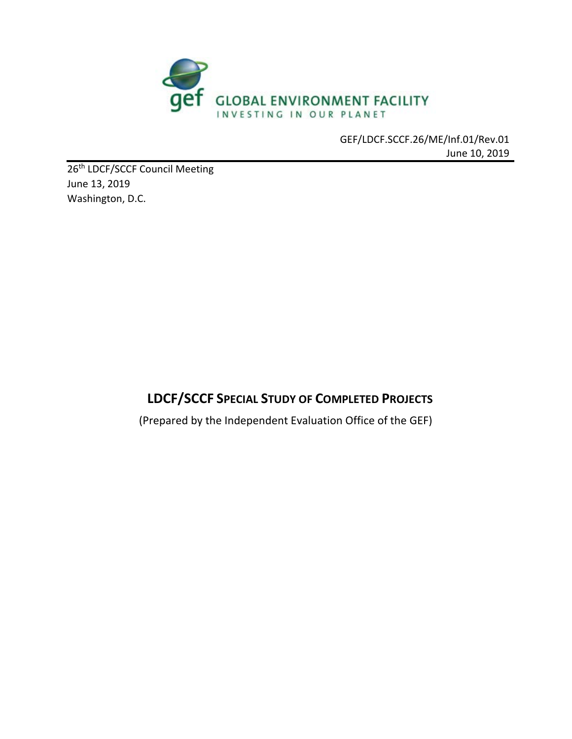

GEF/LDCF.SCCF.26/ME/Inf.01/Rev.01 June 10, 2019

26<sup>th</sup> LDCF/SCCF Council Meeting June 13, 2019 Washington, D.C.

# **LDCF/SCCF SPECIAL STUDY OF COMPLETED PROJECTS**

(Prepared by the Independent Evaluation Office of the GEF)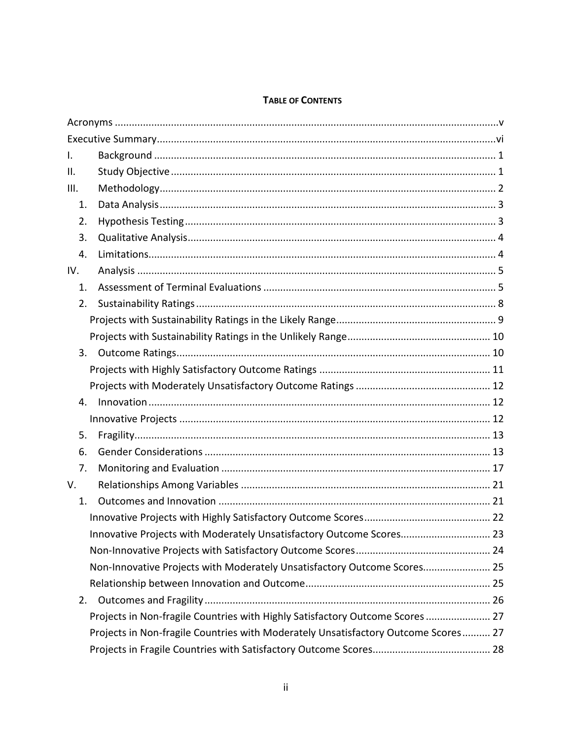#### **TABLE OF CONTENTS**

| I.   |                                                                                    |
|------|------------------------------------------------------------------------------------|
| ΙΙ.  |                                                                                    |
| III. |                                                                                    |
| 1.   |                                                                                    |
| 2.   |                                                                                    |
| 3.   |                                                                                    |
| 4.   |                                                                                    |
| IV.  |                                                                                    |
| 1.   |                                                                                    |
| 2.   |                                                                                    |
|      |                                                                                    |
|      |                                                                                    |
| 3.   |                                                                                    |
|      |                                                                                    |
|      |                                                                                    |
| 4.   |                                                                                    |
|      |                                                                                    |
| 5.   |                                                                                    |
| 6.   |                                                                                    |
| 7.   |                                                                                    |
| V.   |                                                                                    |
| 1.   |                                                                                    |
|      |                                                                                    |
|      | Innovative Projects with Moderately Unsatisfactory Outcome Scores 23               |
|      |                                                                                    |
|      | Non-Innovative Projects with Moderately Unsatisfactory Outcome Scores 25           |
|      |                                                                                    |
| 2.   |                                                                                    |
|      | Projects in Non-fragile Countries with Highly Satisfactory Outcome Scores  27      |
|      | Projects in Non-fragile Countries with Moderately Unsatisfactory Outcome Scores 27 |
|      |                                                                                    |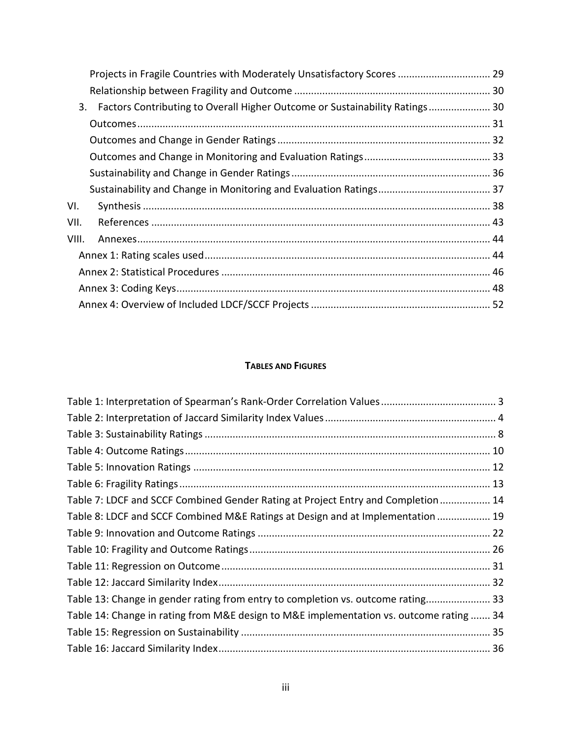|       | Projects in Fragile Countries with Moderately Unsatisfactory Scores  29        |  |
|-------|--------------------------------------------------------------------------------|--|
|       |                                                                                |  |
|       | 3. Factors Contributing to Overall Higher Outcome or Sustainability Ratings 30 |  |
|       |                                                                                |  |
|       |                                                                                |  |
|       |                                                                                |  |
|       |                                                                                |  |
|       |                                                                                |  |
| VI.   |                                                                                |  |
| VII.  |                                                                                |  |
| VIII. |                                                                                |  |
|       |                                                                                |  |
|       |                                                                                |  |
|       |                                                                                |  |
|       |                                                                                |  |

### **TABLES AND FIGURES**

| Table 7: LDCF and SCCF Combined Gender Rating at Project Entry and Completion 14        |  |
|-----------------------------------------------------------------------------------------|--|
| Table 8: LDCF and SCCF Combined M&E Ratings at Design and at Implementation  19         |  |
|                                                                                         |  |
|                                                                                         |  |
|                                                                                         |  |
|                                                                                         |  |
| Table 13: Change in gender rating from entry to completion vs. outcome rating 33        |  |
| Table 14: Change in rating from M&E design to M&E implementation vs. outcome rating  34 |  |
|                                                                                         |  |
|                                                                                         |  |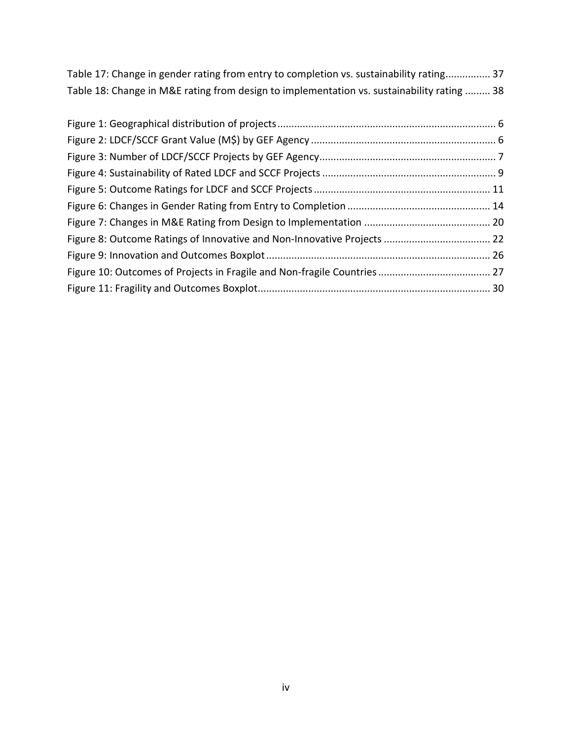[Table 17: Change in gender rating from entry to completion vs. sustainability rating................](#page-45-1) 37 [Table 18: Change in M&E rating from design to implementation vs. sustainability rating](#page-46-1) ......... 38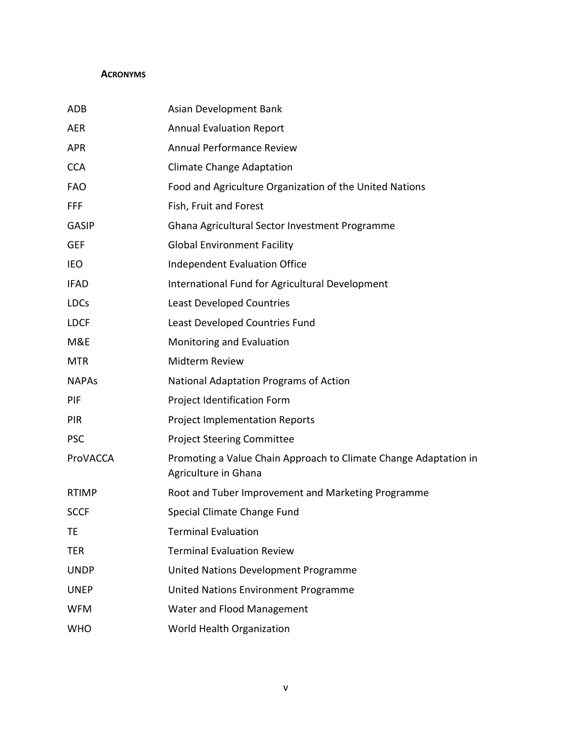#### <span id="page-4-0"></span>**ACRONYMS**

| ADB          | Asian Development Bank                                                                   |
|--------------|------------------------------------------------------------------------------------------|
| AER          | <b>Annual Evaluation Report</b>                                                          |
| APR          | <b>Annual Performance Review</b>                                                         |
| <b>CCA</b>   | <b>Climate Change Adaptation</b>                                                         |
| <b>FAO</b>   | Food and Agriculture Organization of the United Nations                                  |
| FFF          | Fish, Fruit and Forest                                                                   |
| <b>GASIP</b> | Ghana Agricultural Sector Investment Programme                                           |
| <b>GEF</b>   | <b>Global Environment Facility</b>                                                       |
| <b>IEO</b>   | <b>Independent Evaluation Office</b>                                                     |
| <b>IFAD</b>  | International Fund for Agricultural Development                                          |
| <b>LDCs</b>  | <b>Least Developed Countries</b>                                                         |
| <b>LDCF</b>  | Least Developed Countries Fund                                                           |
| M&E          | Monitoring and Evaluation                                                                |
| <b>MTR</b>   | Midterm Review                                                                           |
| <b>NAPAs</b> | National Adaptation Programs of Action                                                   |
| PIF          | Project Identification Form                                                              |
| <b>PIR</b>   | <b>Project Implementation Reports</b>                                                    |
| <b>PSC</b>   | <b>Project Steering Committee</b>                                                        |
| ProVACCA     | Promoting a Value Chain Approach to Climate Change Adaptation in<br>Agriculture in Ghana |
| <b>RTIMP</b> | Root and Tuber Improvement and Marketing Programme                                       |
| <b>SCCF</b>  | Special Climate Change Fund                                                              |
| ТE           | <b>Terminal Evaluation</b>                                                               |
| TER          | <b>Terminal Evaluation Review</b>                                                        |
| <b>UNDP</b>  | United Nations Development Programme                                                     |
| <b>UNEP</b>  | United Nations Environment Programme                                                     |
| <b>WFM</b>   | Water and Flood Management                                                               |
| <b>WHO</b>   | World Health Organization                                                                |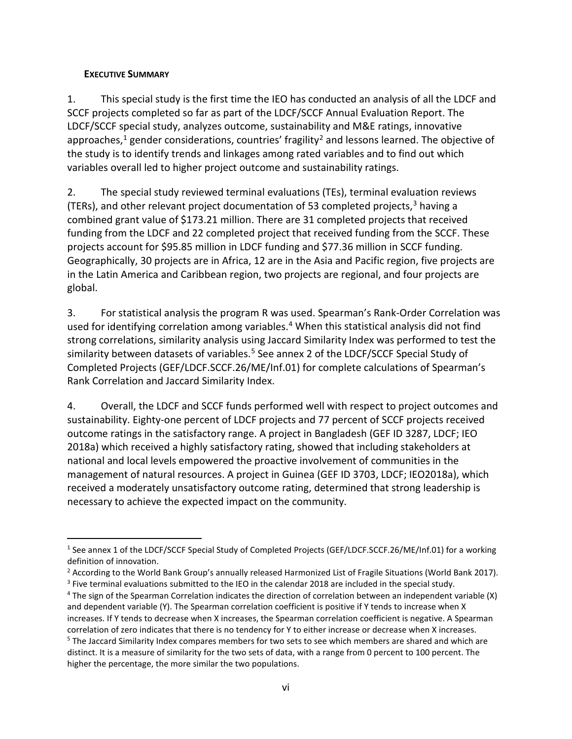#### <span id="page-5-0"></span>**EXECUTIVE SUMMARY**

1. This special study is the first time the IEO has conducted an analysis of all the LDCF and SCCF projects completed so far as part of the LDCF/SCCF Annual Evaluation Report. The LDCF/SCCF special study, analyzes outcome, sustainability and M&E ratings, innovative approaches, $1$  gender considerations, countries' fragility $2$  and lessons learned. The objective of the study is to identify trends and linkages among rated variables and to find out which variables overall led to higher project outcome and sustainability ratings.

2. The special study reviewed terminal evaluations (TEs), terminal evaluation reviews (TERs), and other relevant project documentation of 5[3](#page-5-3) completed projects,  $3$  having a combined grant value of \$173.21 million. There are 31 completed projects that received funding from the LDCF and 22 completed project that received funding from the SCCF. These projects account for \$95.85 million in LDCF funding and \$77.36 million in SCCF funding. Geographically, 30 projects are in Africa, 12 are in the Asia and Pacific region, five projects are in the Latin America and Caribbean region, two projects are regional, and four projects are global.

3. For statistical analysis the program R was used. Spearman's Rank-Order Correlation was used for identifying correlation among variables.<sup>[4](#page-5-4)</sup> When this statistical analysis did not find strong correlations, similarity analysis using Jaccard Similarity Index was performed to test the similarity between datasets of variables.<sup>[5](#page-5-5)</sup> See annex 2 of the LDCF/SCCF Special Study of Completed Projects (GEF/LDCF.SCCF.26/ME/Inf.01) for complete calculations of Spearman's Rank Correlation and Jaccard Similarity Index.

4. Overall, the LDCF and SCCF funds performed well with respect to project outcomes and sustainability. Eighty-one percent of LDCF projects and 77 percent of SCCF projects received outcome ratings in the satisfactory range. A project in Bangladesh (GEF ID 3287, LDCF; IEO 2018a) which received a highly satisfactory rating, showed that including stakeholders at national and local levels empowered the proactive involvement of communities in the management of natural resources. A project in Guinea (GEF ID 3703, LDCF; IEO2018a), which received a moderately unsatisfactory outcome rating, determined that strong leadership is necessary to achieve the expected impact on the community.

<span id="page-5-1"></span> <sup>1</sup> See annex 1 of the LDCF/SCCF Special Study of Completed Projects (GEF/LDCF.SCCF.26/ME/Inf.01) for a working definition of innovation.

<sup>&</sup>lt;sup>2</sup> According to the World Bank Group's annually released Harmonized List of Fragile Situations (World Bank 2017). <sup>3</sup> Five terminal evaluations submitted to the IEO in the calendar 2018 are included in the special study.

<span id="page-5-5"></span><span id="page-5-4"></span><span id="page-5-3"></span><span id="page-5-2"></span><sup>4</sup> The sign of the Spearman Correlation indicates the direction of correlation between an independent variable (X) and dependent variable (Y). The Spearman correlation coefficient is positive if Y tends to increase when X increases. If Y tends to decrease when X increases, the Spearman correlation coefficient is negative. A Spearman correlation of zero indicates that there is no tendency for Y to either increase or decrease when X increases. <sup>5</sup> The Jaccard Similarity Index compares members for two sets to see which members are shared and which are distinct. It is a measure of similarity for the two sets of data, with a range from 0 percent to 100 percent. The higher the percentage, the more similar the two populations.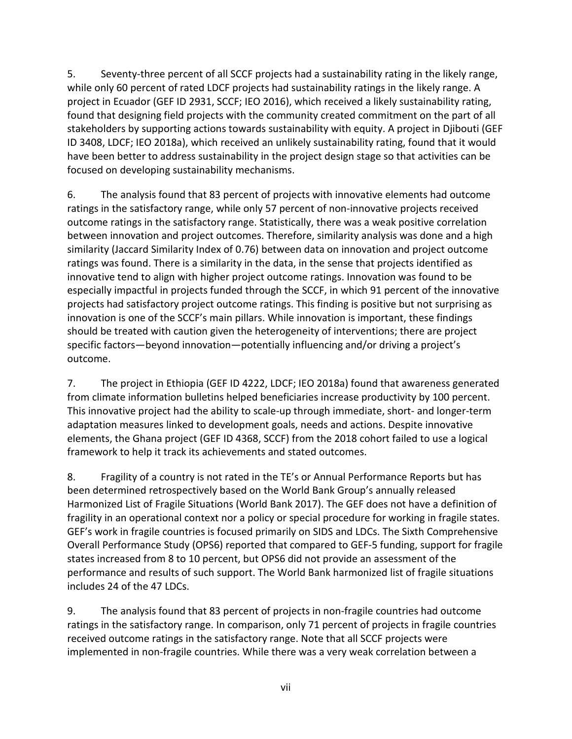5. Seventy-three percent of all SCCF projects had a sustainability rating in the likely range, while only 60 percent of rated LDCF projects had sustainability ratings in the likely range. A project in Ecuador (GEF ID 2931, SCCF; IEO 2016), which received a likely sustainability rating, found that designing field projects with the community created commitment on the part of all stakeholders by supporting actions towards sustainability with equity. A project in Djibouti (GEF ID 3408, LDCF; IEO 2018a), which received an unlikely sustainability rating, found that it would have been better to address sustainability in the project design stage so that activities can be focused on developing sustainability mechanisms.

6. The analysis found that 83 percent of projects with innovative elements had outcome ratings in the satisfactory range, while only 57 percent of non-innovative projects received outcome ratings in the satisfactory range. Statistically, there was a weak positive correlation between innovation and project outcomes. Therefore, similarity analysis was done and a high similarity (Jaccard Similarity Index of 0.76) between data on innovation and project outcome ratings was found. There is a similarity in the data, in the sense that projects identified as innovative tend to align with higher project outcome ratings. Innovation was found to be especially impactful in projects funded through the SCCF, in which 91 percent of the innovative projects had satisfactory project outcome ratings. This finding is positive but not surprising as innovation is one of the SCCF's main pillars. While innovation is important, these findings should be treated with caution given the heterogeneity of interventions; there are project specific factors—beyond innovation—potentially influencing and/or driving a project's outcome.

7. The project in Ethiopia (GEF ID 4222, LDCF; IEO 2018a) found that awareness generated from climate information bulletins helped beneficiaries increase productivity by 100 percent. This innovative project had the ability to scale-up through immediate, short- and longer-term adaptation measures linked to development goals, needs and actions. Despite innovative elements, the Ghana project (GEF ID 4368, SCCF) from the 2018 cohort failed to use a logical framework to help it track its achievements and stated outcomes.

8. Fragility of a country is not rated in the TE's or Annual Performance Reports but has been determined retrospectively based on the World Bank Group's annually released Harmonized List of Fragile Situations (World Bank 2017). The GEF does not have a definition of fragility in an operational context nor a policy or special procedure for working in fragile states. GEF's work in fragile countries is focused primarily on SIDS and LDCs. The Sixth Comprehensive Overall Performance Study (OPS6) reported that compared to GEF-5 funding, support for fragile states increased from 8 to 10 percent, but OPS6 did not provide an assessment of the performance and results of such support. The World Bank harmonized list of fragile situations includes 24 of the 47 LDCs.

9. The analysis found that 83 percent of projects in non-fragile countries had outcome ratings in the satisfactory range. In comparison, only 71 percent of projects in fragile countries received outcome ratings in the satisfactory range. Note that all SCCF projects were implemented in non-fragile countries. While there was a very weak correlation between a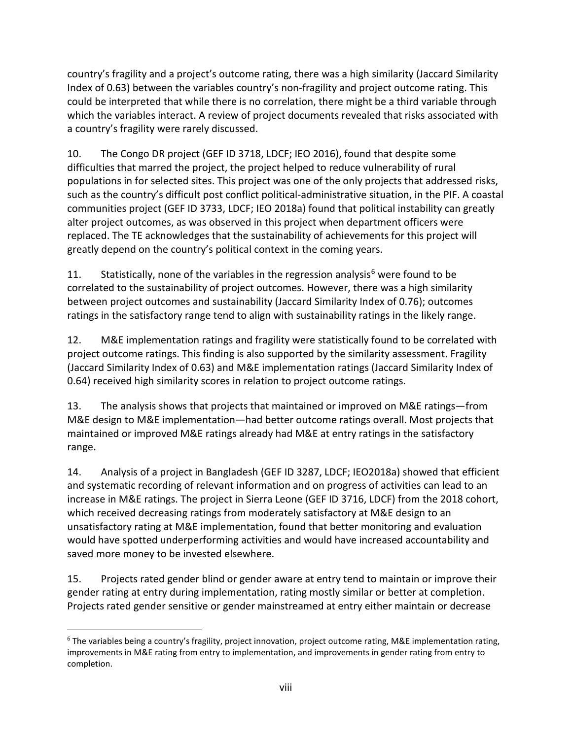country's fragility and a project's outcome rating, there was a high similarity (Jaccard Similarity Index of 0.63) between the variables country's non-fragility and project outcome rating. This could be interpreted that while there is no correlation, there might be a third variable through which the variables interact. A review of project documents revealed that risks associated with a country's fragility were rarely discussed.

10. The Congo DR project (GEF ID 3718, LDCF; IEO 2016), found that despite some difficulties that marred the project, the project helped to reduce vulnerability of rural populations in for selected sites. This project was one of the only projects that addressed risks, such as the country's difficult post conflict political-administrative situation, in the PIF. A coastal communities project (GEF ID 3733, LDCF; IEO 2018a) found that political instability can greatly alter project outcomes, as was observed in this project when department officers were replaced. The TE acknowledges that the sustainability of achievements for this project will greatly depend on the country's political context in the coming years.

11. Statistically, none of the variables in the regression analysis<sup>[6](#page-7-0)</sup> were found to be correlated to the sustainability of project outcomes. However, there was a high similarity between project outcomes and sustainability (Jaccard Similarity Index of 0.76); outcomes ratings in the satisfactory range tend to align with sustainability ratings in the likely range.

12. M&E implementation ratings and fragility were statistically found to be correlated with project outcome ratings. This finding is also supported by the similarity assessment. Fragility (Jaccard Similarity Index of 0.63) and M&E implementation ratings (Jaccard Similarity Index of 0.64) received high similarity scores in relation to project outcome ratings.

13. The analysis shows that projects that maintained or improved on M&E ratings—from M&E design to M&E implementation—had better outcome ratings overall. Most projects that maintained or improved M&E ratings already had M&E at entry ratings in the satisfactory range.

14. Analysis of a project in Bangladesh (GEF ID 3287, LDCF; IEO2018a) showed that efficient and systematic recording of relevant information and on progress of activities can lead to an increase in M&E ratings. The project in Sierra Leone (GEF ID 3716, LDCF) from the 2018 cohort, which received decreasing ratings from moderately satisfactory at M&E design to an unsatisfactory rating at M&E implementation, found that better monitoring and evaluation would have spotted underperforming activities and would have increased accountability and saved more money to be invested elsewhere.

15. Projects rated gender blind or gender aware at entry tend to maintain or improve their gender rating at entry during implementation, rating mostly similar or better at completion. Projects rated gender sensitive or gender mainstreamed at entry either maintain or decrease

<span id="page-7-0"></span> $6$  The variables being a country's fragility, project innovation, project outcome rating, M&E implementation rating, improvements in M&E rating from entry to implementation, and improvements in gender rating from entry to completion.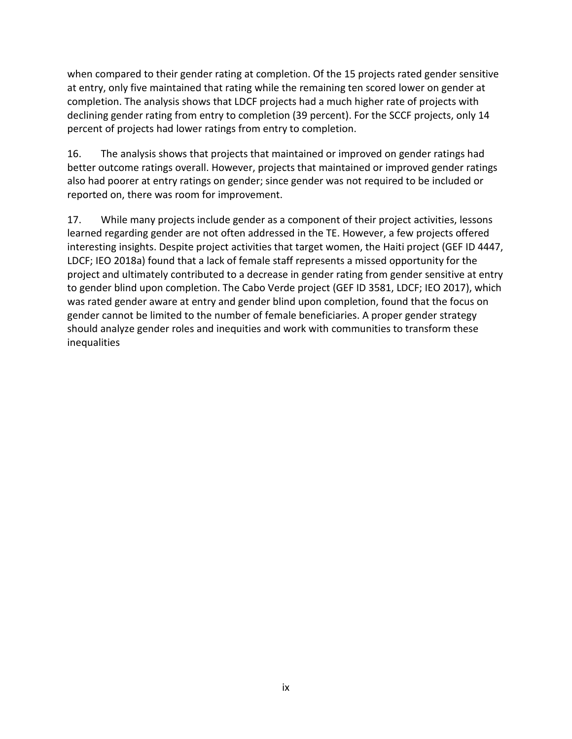when compared to their gender rating at completion. Of the 15 projects rated gender sensitive at entry, only five maintained that rating while the remaining ten scored lower on gender at completion. The analysis shows that LDCF projects had a much higher rate of projects with declining gender rating from entry to completion (39 percent). For the SCCF projects, only 14 percent of projects had lower ratings from entry to completion.

16. The analysis shows that projects that maintained or improved on gender ratings had better outcome ratings overall. However, projects that maintained or improved gender ratings also had poorer at entry ratings on gender; since gender was not required to be included or reported on, there was room for improvement.

17. While many projects include gender as a component of their project activities, lessons learned regarding gender are not often addressed in the TE. However, a few projects offered interesting insights. Despite project activities that target women, the Haiti project (GEF ID 4447, LDCF; IEO 2018a) found that a lack of female staff represents a missed opportunity for the project and ultimately contributed to a decrease in gender rating from gender sensitive at entry to gender blind upon completion. The Cabo Verde project (GEF ID 3581, LDCF; IEO 2017), which was rated gender aware at entry and gender blind upon completion, found that the focus on gender cannot be limited to the number of female beneficiaries. A proper gender strategy should analyze gender roles and inequities and work with communities to transform these inequalities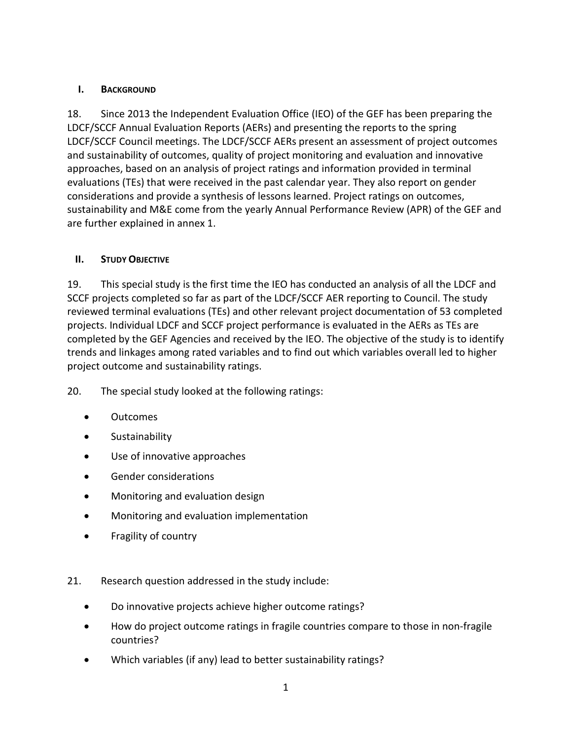### <span id="page-9-0"></span>**I. BACKGROUND**

18. Since 2013 the Independent Evaluation Office (IEO) of the GEF has been preparing the LDCF/SCCF Annual Evaluation Reports (AERs) and presenting the reports to the spring LDCF/SCCF Council meetings. The LDCF/SCCF AERs present an assessment of project outcomes and sustainability of outcomes, quality of project monitoring and evaluation and innovative approaches, based on an analysis of project ratings and information provided in terminal evaluations (TEs) that were received in the past calendar year. They also report on gender considerations and provide a synthesis of lessons learned. Project ratings on outcomes, sustainability and M&E come from the yearly Annual Performance Review (APR) of the GEF and are further explained in annex 1.

## <span id="page-9-1"></span>**II. STUDY OBJECTIVE**

19. This special study is the first time the IEO has conducted an analysis of all the LDCF and SCCF projects completed so far as part of the LDCF/SCCF AER reporting to Council. The study reviewed terminal evaluations (TEs) and other relevant project documentation of 53 completed projects. Individual LDCF and SCCF project performance is evaluated in the AERs as TEs are completed by the GEF Agencies and received by the IEO. The objective of the study is to identify trends and linkages among rated variables and to find out which variables overall led to higher project outcome and sustainability ratings.

20. The special study looked at the following ratings:

- Outcomes
- Sustainability
- Use of innovative approaches
- Gender considerations
- Monitoring and evaluation design
- Monitoring and evaluation implementation
- Fragility of country
- 21. Research question addressed in the study include:
	- Do innovative projects achieve higher outcome ratings?
	- How do project outcome ratings in fragile countries compare to those in non-fragile countries?
	- Which variables (if any) lead to better sustainability ratings?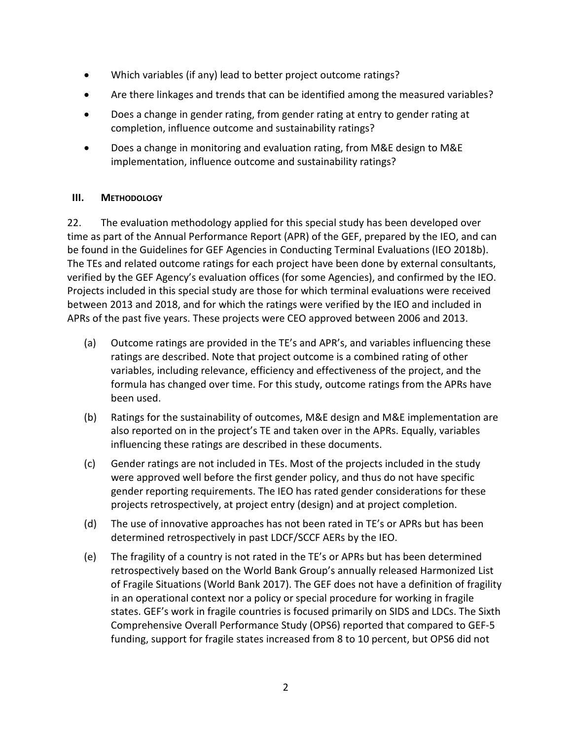- Which variables (if any) lead to better project outcome ratings?
- Are there linkages and trends that can be identified among the measured variables?
- Does a change in gender rating, from gender rating at entry to gender rating at completion, influence outcome and sustainability ratings?
- Does a change in monitoring and evaluation rating, from M&E design to M&E implementation, influence outcome and sustainability ratings?

#### <span id="page-10-0"></span>**III. METHODOLOGY**

22. The evaluation methodology applied for this special study has been developed over time as part of the Annual Performance Report (APR) of the GEF, prepared by the IEO, and can be found in the Guidelines for GEF Agencies in Conducting Terminal Evaluations (IEO 2018b). The TEs and related outcome ratings for each project have been done by external consultants, verified by the GEF Agency's evaluation offices (for some Agencies), and confirmed by the IEO. Projects included in this special study are those for which terminal evaluations were received between 2013 and 2018, and for which the ratings were verified by the IEO and included in APRs of the past five years. These projects were CEO approved between 2006 and 2013.

- (a) Outcome ratings are provided in the TE's and APR's, and variables influencing these ratings are described. Note that project outcome is a combined rating of other variables, including relevance, efficiency and effectiveness of the project, and the formula has changed over time. For this study, outcome ratings from the APRs have been used.
- (b) Ratings for the sustainability of outcomes, M&E design and M&E implementation are also reported on in the project's TE and taken over in the APRs. Equally, variables influencing these ratings are described in these documents.
- (c) Gender ratings are not included in TEs. Most of the projects included in the study were approved well before the first gender policy, and thus do not have specific gender reporting requirements. The IEO has rated gender considerations for these projects retrospectively, at project entry (design) and at project completion.
- (d) The use of innovative approaches has not been rated in TE's or APRs but has been determined retrospectively in past LDCF/SCCF AERs by the IEO.
- (e) The fragility of a country is not rated in the TE's or APRs but has been determined retrospectively based on the World Bank Group's annually released Harmonized List of Fragile Situations (World Bank 2017). The GEF does not have a definition of fragility in an operational context nor a policy or special procedure for working in fragile states. GEF's work in fragile countries is focused primarily on SIDS and LDCs. The Sixth Comprehensive Overall Performance Study (OPS6) reported that compared to GEF-5 funding, support for fragile states increased from 8 to 10 percent, but OPS6 did not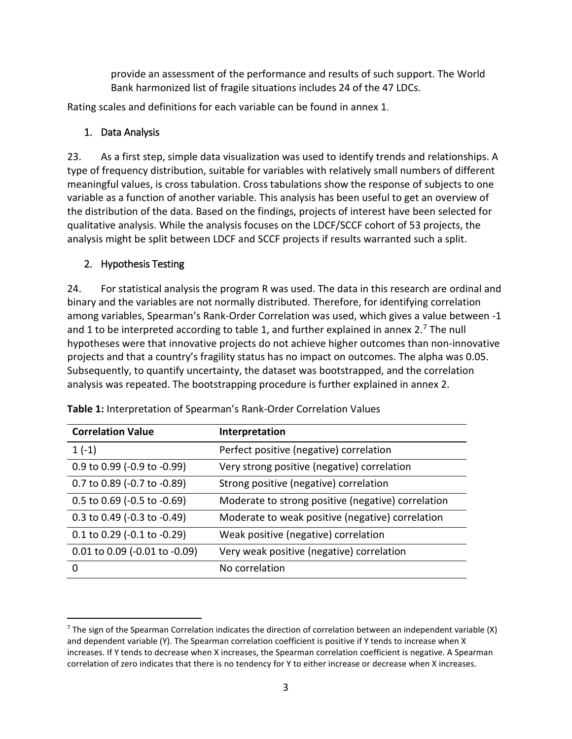provide an assessment of the performance and results of such support. The World Bank harmonized list of fragile situations includes 24 of the 47 LDCs.

<span id="page-11-0"></span>Rating scales and definitions for each variable can be found in annex 1.

## 1. Data Analysis

23. As a first step, simple data visualization was used to identify trends and relationships. A type of frequency distribution, suitable for variables with relatively small numbers of different meaningful values, is cross tabulation. Cross tabulations show the response of subjects to one variable as a function of another variable. This analysis has been useful to get an overview of the distribution of the data. Based on the findings, projects of interest have been selected for qualitative analysis. While the analysis focuses on the LDCF/SCCF cohort of 53 projects, the analysis might be split between LDCF and SCCF projects if results warranted such a split.

## <span id="page-11-1"></span>2. Hypothesis Testing

24. For statistical analysis the program R was used. The data in this research are ordinal and binary and the variables are not normally distributed. Therefore, for identifying correlation among variables, Spearman's Rank-Order Correlation was used, which gives a value between -1 and 1 to be interpreted according to table 1, and further explained in annex 2.<sup>[7](#page-11-3)</sup> The null hypotheses were that innovative projects do not achieve higher outcomes than non-innovative projects and that a country's fragility status has no impact on outcomes. The alpha was 0.05. Subsequently, to quantify uncertainty, the dataset was bootstrapped, and the correlation analysis was repeated. The bootstrapping procedure is further explained in annex 2.

| <b>Correlation Value</b>          | Interpretation                                     |
|-----------------------------------|----------------------------------------------------|
| $1(-1)$                           | Perfect positive (negative) correlation            |
| 0.9 to 0.99 (-0.9 to -0.99)       | Very strong positive (negative) correlation        |
| 0.7 to 0.89 (-0.7 to -0.89)       | Strong positive (negative) correlation             |
| $0.5$ to $0.69$ (-0.5 to -0.69)   | Moderate to strong positive (negative) correlation |
| 0.3 to 0.49 (-0.3 to -0.49)       | Moderate to weak positive (negative) correlation   |
| $0.1$ to $0.29$ (-0.1 to -0.29)   | Weak positive (negative) correlation               |
| $0.01$ to $0.09$ (-0.01 to -0.09) | Very weak positive (negative) correlation          |
| 0                                 | No correlation                                     |

<span id="page-11-2"></span>**Table 1:** Interpretation of Spearman's Rank-Order Correlation Values

<span id="page-11-3"></span> $7$  The sign of the Spearman Correlation indicates the direction of correlation between an independent variable (X) and dependent variable (Y). The Spearman correlation coefficient is positive if Y tends to increase when X increases. If Y tends to decrease when X increases, the Spearman correlation coefficient is negative. A Spearman correlation of zero indicates that there is no tendency for Y to either increase or decrease when X increases.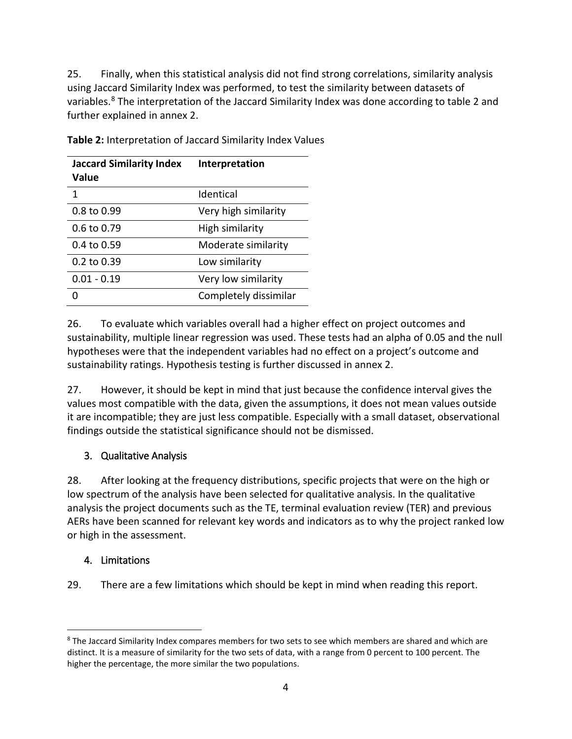25. Finally, when this statistical analysis did not find strong correlations, similarity analysis using Jaccard Similarity Index was performed, to test the similarity between datasets of variables.<sup>[8](#page-12-3)</sup> The interpretation of the Jaccard Similarity Index was done according to table 2 and further explained in annex 2.

| <b>Jaccard Similarity Index</b><br>Value | Interpretation        |
|------------------------------------------|-----------------------|
| 1                                        | Identical             |
| 0.8 to 0.99                              | Very high similarity  |
| 0.6 to 0.79                              | High similarity       |
| 0.4 to 0.59                              | Moderate similarity   |
| $0.2$ to $0.39$                          | Low similarity        |
| $0.01 - 0.19$                            | Very low similarity   |
|                                          | Completely dissimilar |

<span id="page-12-2"></span>**Table 2:** Interpretation of Jaccard Similarity Index Values

26. To evaluate which variables overall had a higher effect on project outcomes and sustainability, multiple linear regression was used. These tests had an alpha of 0.05 and the null hypotheses were that the independent variables had no effect on a project's outcome and sustainability ratings. Hypothesis testing is further discussed in annex 2.

27. However, it should be kept in mind that just because the confidence interval gives the values most compatible with the data, given the assumptions, it does not mean values outside it are incompatible; they are just less compatible. Especially with a small dataset, observational findings outside the statistical significance should not be dismissed.

## <span id="page-12-0"></span>3. Qualitative Analysis

28. After looking at the frequency distributions, specific projects that were on the high or low spectrum of the analysis have been selected for qualitative analysis. In the qualitative analysis the project documents such as the TE, terminal evaluation review (TER) and previous AERs have been scanned for relevant key words and indicators as to why the project ranked low or high in the assessment.

#### <span id="page-12-1"></span>4. Limitations

29. There are a few limitations which should be kept in mind when reading this report.

<span id="page-12-3"></span><sup>&</sup>lt;sup>8</sup> The Jaccard Similarity Index compares members for two sets to see which members are shared and which are distinct. It is a measure of similarity for the two sets of data, with a range from 0 percent to 100 percent. The higher the percentage, the more similar the two populations.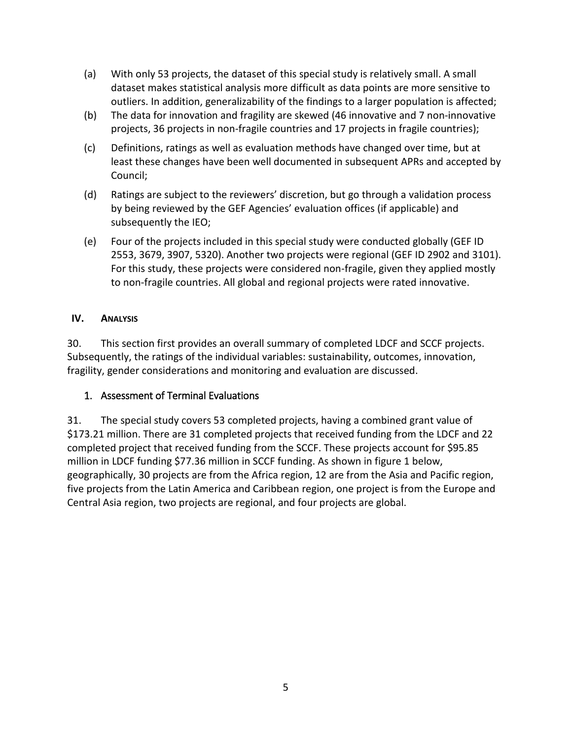- (a) With only 53 projects, the dataset of this special study is relatively small. A small dataset makes statistical analysis more difficult as data points are more sensitive to outliers. In addition, generalizability of the findings to a larger population is affected;
- (b) The data for innovation and fragility are skewed (46 innovative and 7 non-innovative projects, 36 projects in non-fragile countries and 17 projects in fragile countries);
- (c) Definitions, ratings as well as evaluation methods have changed over time, but at least these changes have been well documented in subsequent APRs and accepted by Council;
- (d) Ratings are subject to the reviewers' discretion, but go through a validation process by being reviewed by the GEF Agencies' evaluation offices (if applicable) and subsequently the IEO;
- (e) Four of the projects included in this special study were conducted globally (GEF ID 2553, 3679, 3907, 5320). Another two projects were regional (GEF ID 2902 and 3101). For this study, these projects were considered non-fragile, given they applied mostly to non-fragile countries. All global and regional projects were rated innovative.

### <span id="page-13-0"></span>**IV. ANALYSIS**

30. This section first provides an overall summary of completed LDCF and SCCF projects. Subsequently, the ratings of the individual variables: sustainability, outcomes, innovation, fragility, gender considerations and monitoring and evaluation are discussed.

## <span id="page-13-1"></span>1. Assessment of Terminal Evaluations

31. The special study covers 53 completed projects, having a combined grant value of \$173.21 million. There are 31 completed projects that received funding from the LDCF and 22 completed project that received funding from the SCCF. These projects account for \$95.85 million in LDCF funding \$77.36 million in SCCF funding. As shown in figure 1 below, geographically, 30 projects are from the Africa region, 12 are from the Asia and Pacific region, five projects from the Latin America and Caribbean region, one project is from the Europe and Central Asia region, two projects are regional, and four projects are global.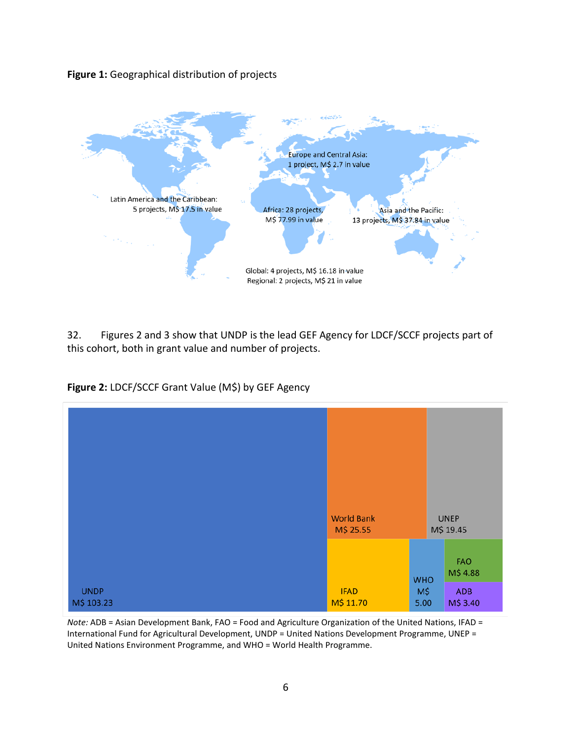<span id="page-14-0"></span>**Figure 1:** Geographical distribution of projects



32. Figures 2 and 3 show that UNDP is the lead GEF Agency for LDCF/SCCF projects part of this cohort, both in grant value and number of projects.

<span id="page-14-1"></span>**Figure 2:** LDCF/SCCF Grant Value (M\$) by GEF Agency



*Note:* ADB = Asian Development Bank, FAO = Food and Agriculture Organization of the United Nations, IFAD = International Fund for Agricultural Development, UNDP = United Nations Development Programme, UNEP = United Nations Environment Programme, and WHO = World Health Programme.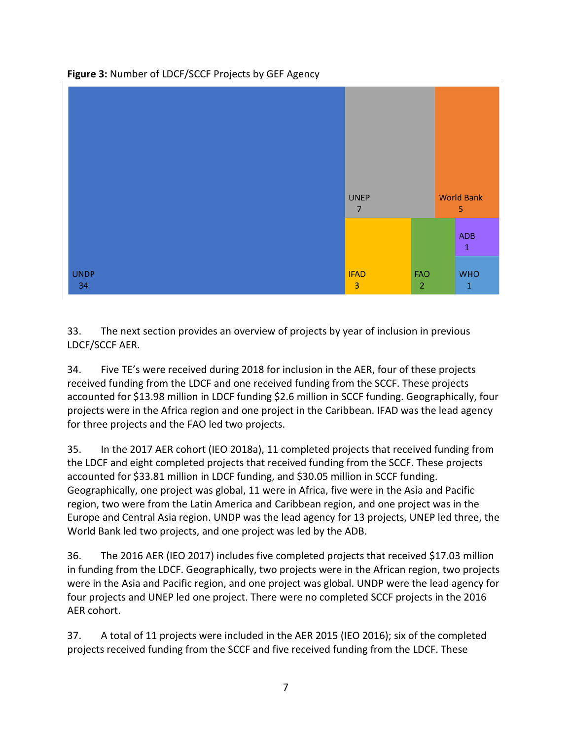

<span id="page-15-0"></span>**Figure 3:** Number of LDCF/SCCF Projects by GEF Agency

33. The next section provides an overview of projects by year of inclusion in previous LDCF/SCCF AER.

34. Five TE's were received during 2018 for inclusion in the AER, four of these projects received funding from the LDCF and one received funding from the SCCF. These projects accounted for \$13.98 million in LDCF funding \$2.6 million in SCCF funding. Geographically, four projects were in the Africa region and one project in the Caribbean. IFAD was the lead agency for three projects and the FAO led two projects.

35. In the 2017 AER cohort (IEO 2018a), 11 completed projects that received funding from the LDCF and eight completed projects that received funding from the SCCF. These projects accounted for \$33.81 million in LDCF funding, and \$30.05 million in SCCF funding. Geographically, one project was global, 11 were in Africa, five were in the Asia and Pacific region, two were from the Latin America and Caribbean region, and one project was in the Europe and Central Asia region. UNDP was the lead agency for 13 projects, UNEP led three, the World Bank led two projects, and one project was led by the ADB.

36. The 2016 AER (IEO 2017) includes five completed projects that received \$17.03 million in funding from the LDCF. Geographically, two projects were in the African region, two projects were in the Asia and Pacific region, and one project was global. UNDP were the lead agency for four projects and UNEP led one project. There were no completed SCCF projects in the 2016 AER cohort.

37. A total of 11 projects were included in the AER 2015 (IEO 2016); six of the completed projects received funding from the SCCF and five received funding from the LDCF. These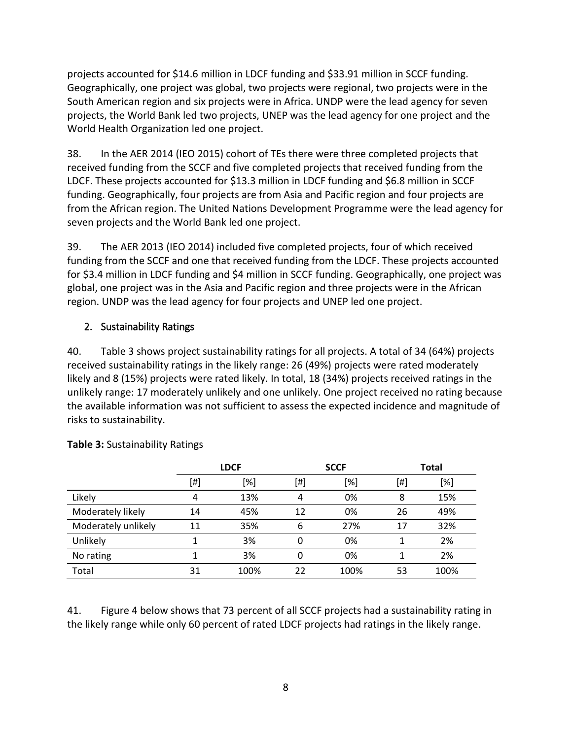projects accounted for \$14.6 million in LDCF funding and \$33.91 million in SCCF funding. Geographically, one project was global, two projects were regional, two projects were in the South American region and six projects were in Africa. UNDP were the lead agency for seven projects, the World Bank led two projects, UNEP was the lead agency for one project and the World Health Organization led one project.

38. In the AER 2014 (IEO 2015) cohort of TEs there were three completed projects that received funding from the SCCF and five completed projects that received funding from the LDCF. These projects accounted for \$13.3 million in LDCF funding and \$6.8 million in SCCF funding. Geographically, four projects are from Asia and Pacific region and four projects are from the African region. The United Nations Development Programme were the lead agency for seven projects and the World Bank led one project.

39. The AER 2013 (IEO 2014) included five completed projects, four of which received funding from the SCCF and one that received funding from the LDCF. These projects accounted for \$3.4 million in LDCF funding and \$4 million in SCCF funding. Geographically, one project was global, one project was in the Asia and Pacific region and three projects were in the African region. UNDP was the lead agency for four projects and UNEP led one project.

## <span id="page-16-0"></span>2. Sustainability Ratings

40. Table 3 shows project sustainability ratings for all projects. A total of 34 (64%) projects received sustainability ratings in the likely range: 26 (49%) projects were rated moderately likely and 8 (15%) projects were rated likely. In total, 18 (34%) projects received ratings in the unlikely range: 17 moderately unlikely and one unlikely. One project received no rating because the available information was not sufficient to assess the expected incidence and magnitude of risks to sustainability.

|                     | <b>LDCF</b> |      |          | <b>SCCF</b> | <b>Total</b> |      |  |
|---------------------|-------------|------|----------|-------------|--------------|------|--|
|                     | [#]         | [%]  | [#]      | [%]         |              | [%]  |  |
| Likely              | 4           | 13%  | 4        | 0%          | 8            | 15%  |  |
| Moderately likely   | 14          | 45%  | 12       | 0%          | 26           | 49%  |  |
| Moderately unlikely | 11          | 35%  | 6        | 27%         | 17           | 32%  |  |
| Unlikely            |             | 3%   | $\Omega$ | 0%          |              | 2%   |  |
| No rating           |             | 3%   | 0        | 0%          |              | 2%   |  |
| Total               | 31          | 100% | 22       | 100%        | 53           | 100% |  |

<span id="page-16-1"></span>**Table 3:** Sustainability Ratings

41. Figure 4 below shows that 73 percent of all SCCF projects had a sustainability rating in the likely range while only 60 percent of rated LDCF projects had ratings in the likely range.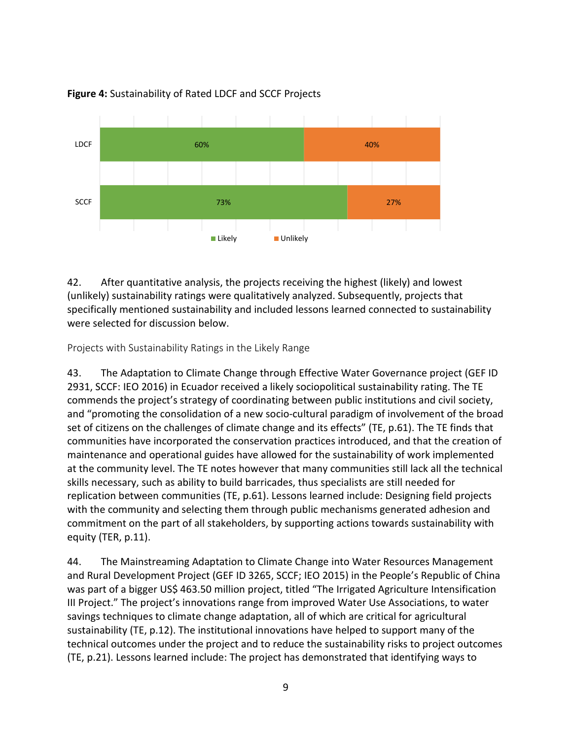

#### <span id="page-17-1"></span>**Figure 4:** Sustainability of Rated LDCF and SCCF Projects

42. After quantitative analysis, the projects receiving the highest (likely) and lowest (unlikely) sustainability ratings were qualitatively analyzed. Subsequently, projects that specifically mentioned sustainability and included lessons learned connected to sustainability were selected for discussion below.

<span id="page-17-0"></span>Projects with Sustainability Ratings in the Likely Range

43. The Adaptation to Climate Change through Effective Water Governance project (GEF ID 2931, SCCF: IEO 2016) in Ecuador received a likely sociopolitical sustainability rating. The TE commends the project's strategy of coordinating between public institutions and civil society, and "promoting the consolidation of a new socio-cultural paradigm of involvement of the broad set of citizens on the challenges of climate change and its effects" (TE, p.61). The TE finds that communities have incorporated the conservation practices introduced, and that the creation of maintenance and operational guides have allowed for the sustainability of work implemented at the community level. The TE notes however that many communities still lack all the technical skills necessary, such as ability to build barricades, thus specialists are still needed for replication between communities (TE, p.61). Lessons learned include: Designing field projects with the community and selecting them through public mechanisms generated adhesion and commitment on the part of all stakeholders, by supporting actions towards sustainability with equity (TER, p.11).

44. The Mainstreaming Adaptation to Climate Change into Water Resources Management and Rural Development Project (GEF ID 3265, SCCF; IEO 2015) in the People's Republic of China was part of a bigger US\$ 463.50 million project, titled "The Irrigated Agriculture Intensification III Project." The project's innovations range from improved Water Use Associations, to water savings techniques to climate change adaptation, all of which are critical for agricultural sustainability (TE, p.12). The institutional innovations have helped to support many of the technical outcomes under the project and to reduce the sustainability risks to project outcomes (TE, p.21). Lessons learned include: The project has demonstrated that identifying ways to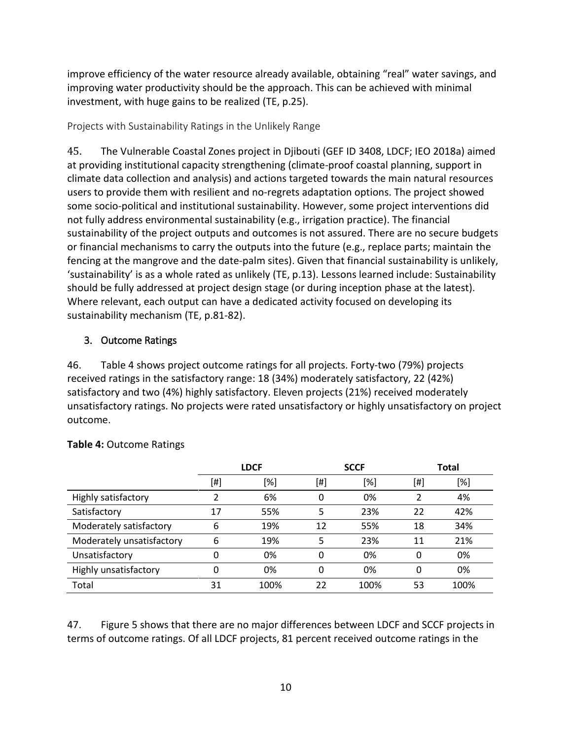improve efficiency of the water resource already available, obtaining "real" water savings, and improving water productivity should be the approach. This can be achieved with minimal investment, with huge gains to be realized (TE, p.25).

### <span id="page-18-0"></span>Projects with Sustainability Ratings in the Unlikely Range

45. The Vulnerable Coastal Zones project in Djibouti (GEF ID 3408, LDCF; IEO 2018a) aimed at providing institutional capacity strengthening (climate-proof coastal planning, support in climate data collection and analysis) and actions targeted towards the main natural resources users to provide them with resilient and no-regrets adaptation options. The project showed some socio-political and institutional sustainability. However, some project interventions did not fully address environmental sustainability (e.g., irrigation practice). The financial sustainability of the project outputs and outcomes is not assured. There are no secure budgets or financial mechanisms to carry the outputs into the future (e.g., replace parts; maintain the fencing at the mangrove and the date-palm sites). Given that financial sustainability is unlikely, 'sustainability' is as a whole rated as unlikely (TE, p.13). Lessons learned include: Sustainability should be fully addressed at project design stage (or during inception phase at the latest). Where relevant, each output can have a dedicated activity focused on developing its sustainability mechanism (TE, p.81-82).

## <span id="page-18-1"></span>3. Outcome Ratings

46. Table 4 shows project outcome ratings for all projects. Forty-two (79%) projects received ratings in the satisfactory range: 18 (34%) moderately satisfactory, 22 (42%) satisfactory and two (4%) highly satisfactory. Eleven projects (21%) received moderately unsatisfactory ratings. No projects were rated unsatisfactory or highly unsatisfactory on project outcome.

|                           | <b>LDCF</b> |      | <b>SCCF</b>  |      |          | <b>Total</b> |
|---------------------------|-------------|------|--------------|------|----------|--------------|
|                           | [#]         | [%]  | [#]          | [%]  | [#]      | [%]          |
| Highly satisfactory       |             | 6%   | 0            | 0%   |          | 4%           |
| Satisfactory              | 17          | 55%  | 5            | 23%  | 22       | 42%          |
| Moderately satisfactory   | 6           | 19%  | 12           | 55%  | 18       | 34%          |
| Moderately unsatisfactory | 6           | 19%  | 5            | 23%  | 11       | 21%          |
| Unsatisfactory            | 0           | 0%   | $\mathbf{0}$ | 0%   | $\Omega$ | 0%           |
| Highly unsatisfactory     | 0           | 0%   | 0            | 0%   | 0        | 0%           |
| Total                     | 31          | 100% | 22           | 100% | 53       | 100%         |

#### <span id="page-18-2"></span>**Table 4:** Outcome Ratings

47. Figure 5 shows that there are no major differences between LDCF and SCCF projects in terms of outcome ratings. Of all LDCF projects, 81 percent received outcome ratings in the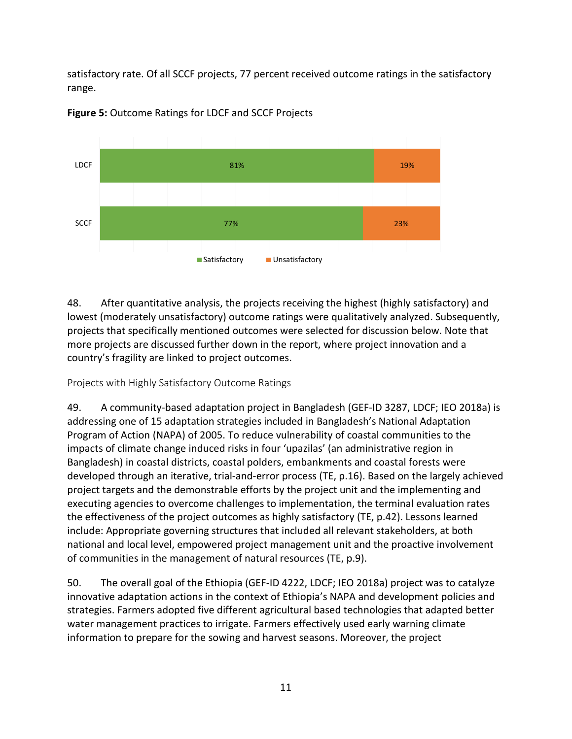satisfactory rate. Of all SCCF projects, 77 percent received outcome ratings in the satisfactory range.



<span id="page-19-1"></span>**Figure 5:** Outcome Ratings for LDCF and SCCF Projects

48. After quantitative analysis, the projects receiving the highest (highly satisfactory) and lowest (moderately unsatisfactory) outcome ratings were qualitatively analyzed. Subsequently, projects that specifically mentioned outcomes were selected for discussion below. Note that more projects are discussed further down in the report, where project innovation and a country's fragility are linked to project outcomes.

<span id="page-19-0"></span>Projects with Highly Satisfactory Outcome Ratings

49. A community-based adaptation project in Bangladesh (GEF-ID 3287, LDCF; IEO 2018a) is addressing one of 15 adaptation strategies included in Bangladesh's National Adaptation Program of Action (NAPA) of 2005. To reduce vulnerability of coastal communities to the impacts of climate change induced risks in four 'upazilas' (an administrative region in Bangladesh) in coastal districts, coastal polders, embankments and coastal forests were developed through an iterative, trial-and-error process (TE, p.16). Based on the largely achieved project targets and the demonstrable efforts by the project unit and the implementing and executing agencies to overcome challenges to implementation, the terminal evaluation rates the effectiveness of the project outcomes as highly satisfactory (TE, p.42). Lessons learned include: Appropriate governing structures that included all relevant stakeholders, at both national and local level, empowered project management unit and the proactive involvement of communities in the management of natural resources (TE, p.9).

50. The overall goal of the Ethiopia (GEF-ID 4222, LDCF; IEO 2018a) project was to catalyze innovative adaptation actions in the context of Ethiopia's NAPA and development policies and strategies. Farmers adopted five different agricultural based technologies that adapted better water management practices to irrigate. Farmers effectively used early warning climate information to prepare for the sowing and harvest seasons. Moreover, the project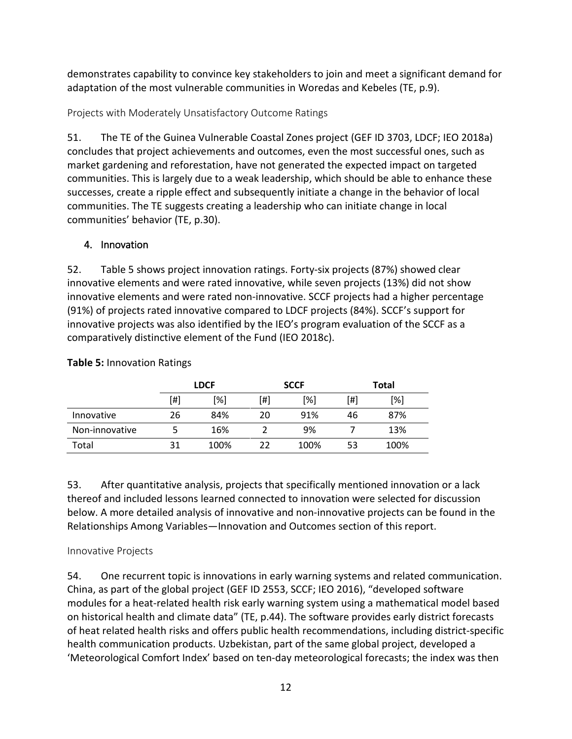demonstrates capability to convince key stakeholders to join and meet a significant demand for adaptation of the most vulnerable communities in Woredas and Kebeles (TE, p.9).

<span id="page-20-0"></span>Projects with Moderately Unsatisfactory Outcome Ratings

51. The TE of the Guinea Vulnerable Coastal Zones project (GEF ID 3703, LDCF; IEO 2018a) concludes that project achievements and outcomes, even the most successful ones, such as market gardening and reforestation, have not generated the expected impact on targeted communities. This is largely due to a weak leadership, which should be able to enhance these successes, create a ripple effect and subsequently initiate a change in the behavior of local communities. The TE suggests creating a leadership who can initiate change in local communities' behavior (TE, p.30).

## <span id="page-20-1"></span>4. Innovation

52. Table 5 shows project innovation ratings. Forty-six projects (87%) showed clear innovative elements and were rated innovative, while seven projects (13%) did not show innovative elements and were rated non-innovative. SCCF projects had a higher percentage (91%) of projects rated innovative compared to LDCF projects (84%). SCCF's support for innovative projects was also identified by the IEO's program evaluation of the SCCF as a comparatively distinctive element of the Fund (IEO 2018c).

|                |     | <b>LDCF</b> |     | <b>SCCF</b> | Total |      |  |
|----------------|-----|-------------|-----|-------------|-------|------|--|
|                | [#] | [%]         | [#] | [%]         |       | [%]  |  |
| Innovative     | 26  | 84%         | 20  | 91%         | 46    | 87%  |  |
| Non-innovative |     | 16%         |     | 9%          |       | 13%  |  |
| Total          | 31  | 100%        |     | 100%        | 53    | 100% |  |

<span id="page-20-3"></span>**Table 5:** Innovation Ratings

53. After quantitative analysis, projects that specifically mentioned innovation or a lack thereof and included lessons learned connected to innovation were selected for discussion below. A more detailed analysis of innovative and non-innovative projects can be found in the Relationships Among Variables—Innovation and Outcomes section of this report.

## <span id="page-20-2"></span>Innovative Projects

54. One recurrent topic is innovations in early warning systems and related communication. China, as part of the global project (GEF ID 2553, SCCF; IEO 2016), "developed software modules for a heat-related health risk early warning system using a mathematical model based on historical health and climate data" (TE, p.44). The software provides early district forecasts of heat related health risks and offers public health recommendations, including district-specific health communication products. Uzbekistan, part of the same global project, developed a 'Meteorological Comfort Index' based on ten-day meteorological forecasts; the index was then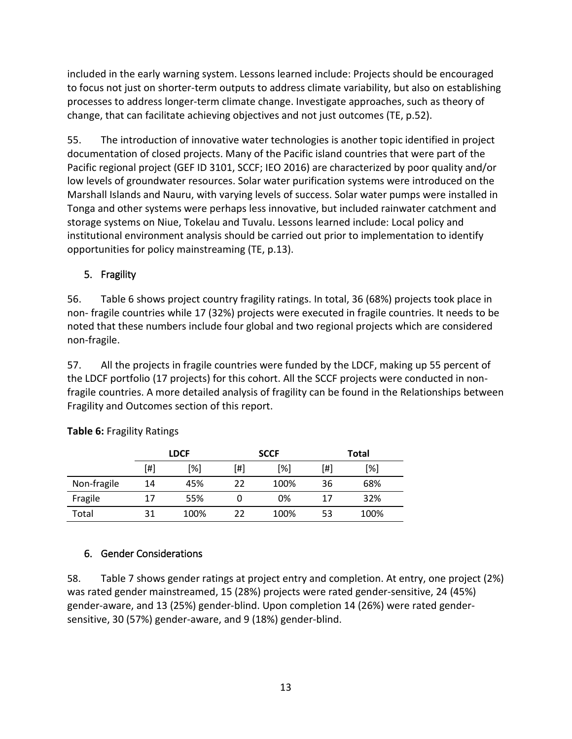included in the early warning system. Lessons learned include: Projects should be encouraged to focus not just on shorter-term outputs to address climate variability, but also on establishing processes to address longer-term climate change. Investigate approaches, such as theory of change, that can facilitate achieving objectives and not just outcomes (TE, p.52).

55. The introduction of innovative water technologies is another topic identified in project documentation of closed projects. Many of the Pacific island countries that were part of the Pacific regional project (GEF ID 3101, SCCF; IEO 2016) are characterized by poor quality and/or low levels of groundwater resources. Solar water purification systems were introduced on the Marshall Islands and Nauru, with varying levels of success. Solar water pumps were installed in Tonga and other systems were perhaps less innovative, but included rainwater catchment and storage systems on Niue, Tokelau and Tuvalu. Lessons learned include: Local policy and institutional environment analysis should be carried out prior to implementation to identify opportunities for policy mainstreaming (TE, p.13).

## <span id="page-21-0"></span>5. Fragility

56. Table 6 shows project country fragility ratings. In total, 36 (68%) projects took place in non- fragile countries while 17 (32%) projects were executed in fragile countries. It needs to be noted that these numbers include four global and two regional projects which are considered non-fragile.

57. All the projects in fragile countries were funded by the LDCF, making up 55 percent of the LDCF portfolio (17 projects) for this cohort. All the SCCF projects were conducted in nonfragile countries. A more detailed analysis of fragility can be found in the Relationships between Fragility and Outcomes section of this report.

|             | <b>LDCF</b> |      |     | <b>SCCF</b> |     | <b>Total</b> |  |  |
|-------------|-------------|------|-----|-------------|-----|--------------|--|--|
|             | [#]         | [%]  | 「#1 | [%]         | [#] | [%]          |  |  |
| Non-fragile | 14          | 45%  | 22  | 100%        | 36  | 68%          |  |  |
| Fragile     | 17          | 55%  | O   | 0%          | 17  | 32%          |  |  |
| Total       | 31          | 100% | 22  | 100%        | 53  | 100%         |  |  |

<span id="page-21-2"></span>**Table 6:** Fragility Ratings

## <span id="page-21-1"></span>6. Gender Considerations

58. Table 7 shows gender ratings at project entry and completion. At entry, one project (2%) was rated gender mainstreamed, 15 (28%) projects were rated gender-sensitive, 24 (45%) gender-aware, and 13 (25%) gender-blind. Upon completion 14 (26%) were rated gendersensitive, 30 (57%) gender-aware, and 9 (18%) gender-blind.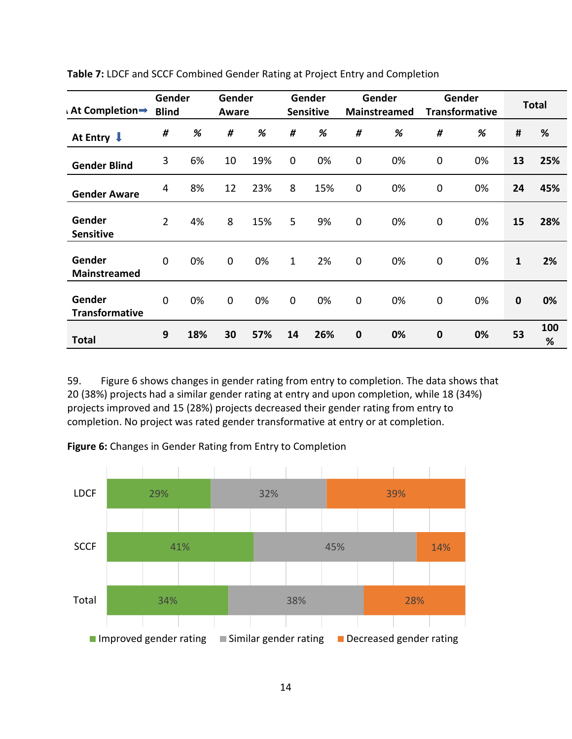| <b>At Completion→</b>           | Gender<br><b>Blind</b> |     | Gender<br>Aware |     |              | Gender<br><b>Sensitive</b> |             | Gender<br>Mainstreamed |             | Gender<br><b>Transformative</b> |              | <b>Total</b> |
|---------------------------------|------------------------|-----|-----------------|-----|--------------|----------------------------|-------------|------------------------|-------------|---------------------------------|--------------|--------------|
| At Entry $\downarrow$           | #                      | %   | #               | %   | #            | %                          | #           | %                      | #           | %                               | #            | %            |
| <b>Gender Blind</b>             | 3                      | 6%  | 10              | 19% | $\mathbf 0$  | 0%                         | $\mathbf 0$ | 0%                     | $\pmb{0}$   | 0%                              | 13           | 25%          |
| <b>Gender Aware</b>             | 4                      | 8%  | 12              | 23% | 8            | 15%                        | $\mathbf 0$ | 0%                     | $\mathbf 0$ | 0%                              | 24           | 45%          |
| Gender<br><b>Sensitive</b>      | $\overline{2}$         | 4%  | 8               | 15% | 5            | 9%                         | $\mathbf 0$ | 0%                     | $\mathbf 0$ | 0%                              | 15           | 28%          |
| Gender<br><b>Mainstreamed</b>   | $\mathbf 0$            | 0%  | $\mathbf 0$     | 0%  | $\mathbf{1}$ | 2%                         | $\mathbf 0$ | 0%                     | $\pmb{0}$   | 0%                              | $\mathbf{1}$ | 2%           |
| Gender<br><b>Transformative</b> | $\mathbf 0$            | 0%  | $\mathbf 0$     | 0%  | $\mathbf 0$  | 0%                         | $\mathbf 0$ | 0%                     | $\mathbf 0$ | 0%                              | $\mathbf 0$  | 0%           |
| <b>Total</b>                    | 9                      | 18% | 30              | 57% | 14           | 26%                        | $\bf{0}$    | 0%                     | $\bf{0}$    | 0%                              | 53           | 100<br>%     |

<span id="page-22-0"></span>**Table 7:** LDCF and SCCF Combined Gender Rating at Project Entry and Completion

59. Figure 6 shows changes in gender rating from entry to completion. The data shows that 20 (38%) projects had a similar gender rating at entry and upon completion, while 18 (34%) projects improved and 15 (28%) projects decreased their gender rating from entry to completion. No project was rated gender transformative at entry or at completion.

<span id="page-22-1"></span>

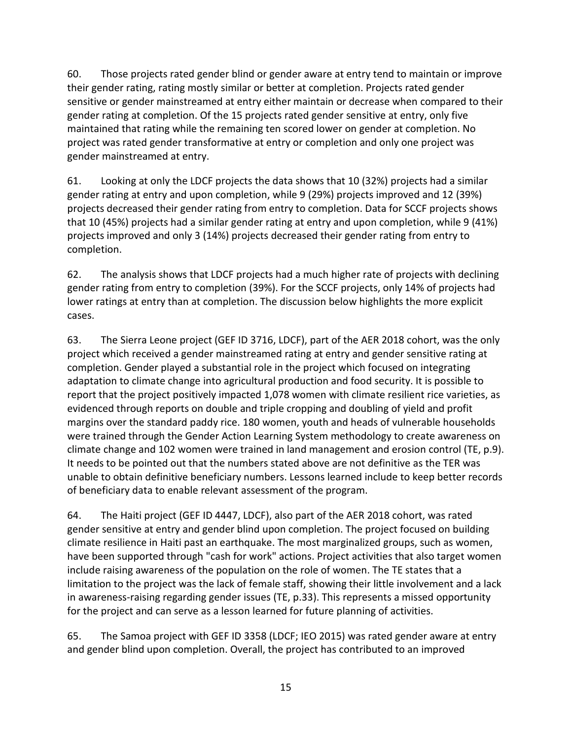60. Those projects rated gender blind or gender aware at entry tend to maintain or improve their gender rating, rating mostly similar or better at completion. Projects rated gender sensitive or gender mainstreamed at entry either maintain or decrease when compared to their gender rating at completion. Of the 15 projects rated gender sensitive at entry, only five maintained that rating while the remaining ten scored lower on gender at completion. No project was rated gender transformative at entry or completion and only one project was gender mainstreamed at entry.

61. Looking at only the LDCF projects the data shows that 10 (32%) projects had a similar gender rating at entry and upon completion, while 9 (29%) projects improved and 12 (39%) projects decreased their gender rating from entry to completion. Data for SCCF projects shows that 10 (45%) projects had a similar gender rating at entry and upon completion, while 9 (41%) projects improved and only 3 (14%) projects decreased their gender rating from entry to completion.

62. The analysis shows that LDCF projects had a much higher rate of projects with declining gender rating from entry to completion (39%). For the SCCF projects, only 14% of projects had lower ratings at entry than at completion. The discussion below highlights the more explicit cases.

63. The Sierra Leone project (GEF ID 3716, LDCF), part of the AER 2018 cohort, was the only project which received a gender mainstreamed rating at entry and gender sensitive rating at completion. Gender played a substantial role in the project which focused on integrating adaptation to climate change into agricultural production and food security. It is possible to report that the project positively impacted 1,078 women with climate resilient rice varieties, as evidenced through reports on double and triple cropping and doubling of yield and profit margins over the standard paddy rice. 180 women, youth and heads of vulnerable households were trained through the Gender Action Learning System methodology to create awareness on climate change and 102 women were trained in land management and erosion control (TE, p.9). It needs to be pointed out that the numbers stated above are not definitive as the TER was unable to obtain definitive beneficiary numbers. Lessons learned include to keep better records of beneficiary data to enable relevant assessment of the program.

64. The Haiti project (GEF ID 4447, LDCF), also part of the AER 2018 cohort, was rated gender sensitive at entry and gender blind upon completion. The project focused on building climate resilience in Haiti past an earthquake. The most marginalized groups, such as women, have been supported through "cash for work" actions. Project activities that also target women include raising awareness of the population on the role of women. The TE states that a limitation to the project was the lack of female staff, showing their little involvement and a lack in awareness-raising regarding gender issues (TE, p.33). This represents a missed opportunity for the project and can serve as a lesson learned for future planning of activities.

65. The Samoa project with GEF ID 3358 (LDCF; IEO 2015) was rated gender aware at entry and gender blind upon completion. Overall, the project has contributed to an improved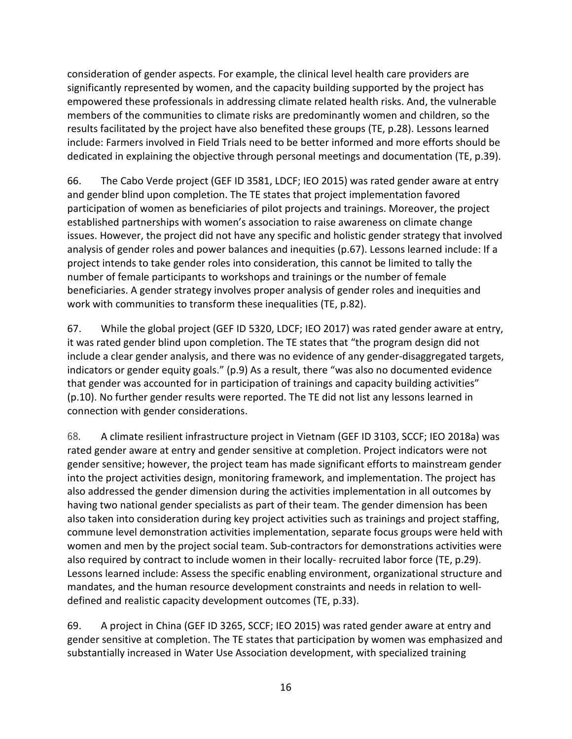consideration of gender aspects. For example, the clinical level health care providers are significantly represented by women, and the capacity building supported by the project has empowered these professionals in addressing climate related health risks. And, the vulnerable members of the communities to climate risks are predominantly women and children, so the results facilitated by the project have also benefited these groups (TE, p.28). Lessons learned include: Farmers involved in Field Trials need to be better informed and more efforts should be dedicated in explaining the objective through personal meetings and documentation (TE, p.39).

66. The Cabo Verde project (GEF ID 3581, LDCF; IEO 2015) was rated gender aware at entry and gender blind upon completion. The TE states that project implementation favored participation of women as beneficiaries of pilot projects and trainings. Moreover, the project established partnerships with women's association to raise awareness on climate change issues. However, the project did not have any specific and holistic gender strategy that involved analysis of gender roles and power balances and inequities (p.67). Lessons learned include: If a project intends to take gender roles into consideration, this cannot be limited to tally the number of female participants to workshops and trainings or the number of female beneficiaries. A gender strategy involves proper analysis of gender roles and inequities and work with communities to transform these inequalities (TE, p.82).

67. While the global project (GEF ID 5320, LDCF; IEO 2017) was rated gender aware at entry, it was rated gender blind upon completion. The TE states that "the program design did not include a clear gender analysis, and there was no evidence of any gender-disaggregated targets, indicators or gender equity goals." (p.9) As a result, there "was also no documented evidence that gender was accounted for in participation of trainings and capacity building activities" (p.10). No further gender results were reported. The TE did not list any lessons learned in connection with gender considerations.

68. A climate resilient infrastructure project in Vietnam (GEF ID 3103, SCCF; IEO 2018a) was rated gender aware at entry and gender sensitive at completion. Project indicators were not gender sensitive; however, the project team has made significant efforts to mainstream gender into the project activities design, monitoring framework, and implementation. The project has also addressed the gender dimension during the activities implementation in all outcomes by having two national gender specialists as part of their team. The gender dimension has been also taken into consideration during key project activities such as trainings and project staffing, commune level demonstration activities implementation, separate focus groups were held with women and men by the project social team. Sub-contractors for demonstrations activities were also required by contract to include women in their locally- recruited labor force (TE, p.29). Lessons learned include: Assess the specific enabling environment, organizational structure and mandates, and the human resource development constraints and needs in relation to welldefined and realistic capacity development outcomes (TE, p.33).

69. A project in China (GEF ID 3265, SCCF; IEO 2015) was rated gender aware at entry and gender sensitive at completion. The TE states that participation by women was emphasized and substantially increased in Water Use Association development, with specialized training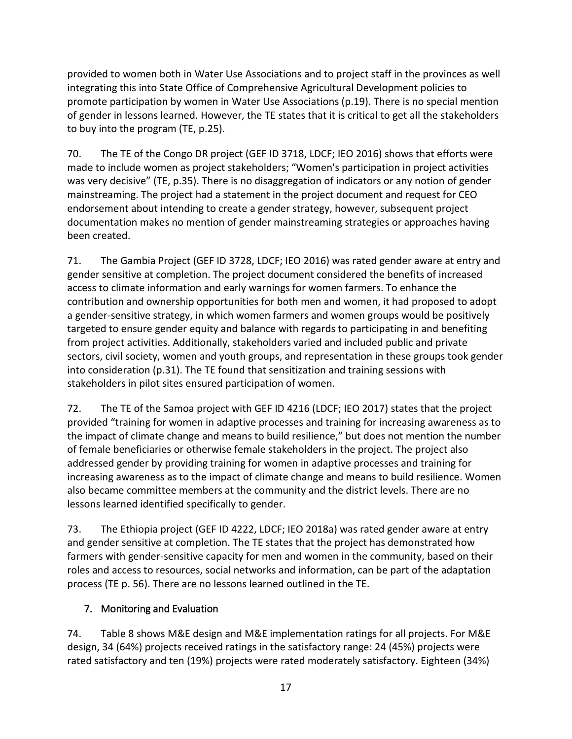provided to women both in Water Use Associations and to project staff in the provinces as well integrating this into State Office of Comprehensive Agricultural Development policies to promote participation by women in Water Use Associations (p.19). There is no special mention of gender in lessons learned. However, the TE states that it is critical to get all the stakeholders to buy into the program (TE, p.25).

70. The TE of the Congo DR project (GEF ID 3718, LDCF; IEO 2016) shows that efforts were made to include women as project stakeholders; "Women's participation in project activities was very decisive" (TE, p.35). There is no disaggregation of indicators or any notion of gender mainstreaming. The project had a statement in the project document and request for CEO endorsement about intending to create a gender strategy, however, subsequent project documentation makes no mention of gender mainstreaming strategies or approaches having been created.

71. The Gambia Project (GEF ID 3728, LDCF; IEO 2016) was rated gender aware at entry and gender sensitive at completion. The project document considered the benefits of increased access to climate information and early warnings for women farmers. To enhance the contribution and ownership opportunities for both men and women, it had proposed to adopt a gender-sensitive strategy, in which women farmers and women groups would be positively targeted to ensure gender equity and balance with regards to participating in and benefiting from project activities. Additionally, stakeholders varied and included public and private sectors, civil society, women and youth groups, and representation in these groups took gender into consideration (p.31). The TE found that sensitization and training sessions with stakeholders in pilot sites ensured participation of women.

72. The TE of the Samoa project with GEF ID 4216 (LDCF; IEO 2017) states that the project provided "training for women in adaptive processes and training for increasing awareness as to the impact of climate change and means to build resilience," but does not mention the number of female beneficiaries or otherwise female stakeholders in the project. The project also addressed gender by providing training for women in adaptive processes and training for increasing awareness as to the impact of climate change and means to build resilience. Women also became committee members at the community and the district levels. There are no lessons learned identified specifically to gender.

73. The Ethiopia project (GEF ID 4222, LDCF; IEO 2018a) was rated gender aware at entry and gender sensitive at completion. The TE states that the project has demonstrated how farmers with gender-sensitive capacity for men and women in the community, based on their roles and access to resources, social networks and information, can be part of the adaptation process (TE p. 56). There are no lessons learned outlined in the TE.

## <span id="page-25-0"></span>7. Monitoring and Evaluation

74. Table 8 shows M&E design and M&E implementation ratings for all projects. For M&E design, 34 (64%) projects received ratings in the satisfactory range: 24 (45%) projects were rated satisfactory and ten (19%) projects were rated moderately satisfactory. Eighteen (34%)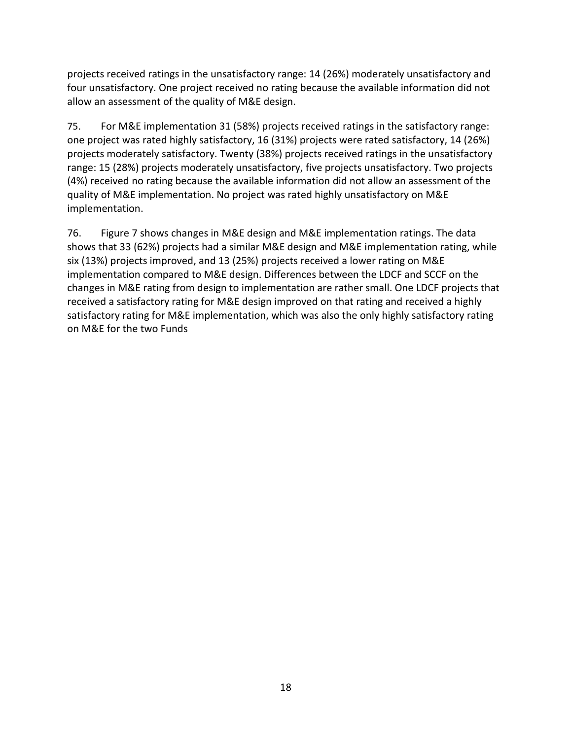projects received ratings in the unsatisfactory range: 14 (26%) moderately unsatisfactory and four unsatisfactory. One project received no rating because the available information did not allow an assessment of the quality of M&E design.

75. For M&E implementation 31 (58%) projects received ratings in the satisfactory range: one project was rated highly satisfactory, 16 (31%) projects were rated satisfactory, 14 (26%) projects moderately satisfactory. Twenty (38%) projects received ratings in the unsatisfactory range: 15 (28%) projects moderately unsatisfactory, five projects unsatisfactory. Two projects (4%) received no rating because the available information did not allow an assessment of the quality of M&E implementation. No project was rated highly unsatisfactory on M&E implementation.

76. Figure 7 shows changes in M&E design and M&E implementation ratings. The data shows that 33 (62%) projects had a similar M&E design and M&E implementation rating, while six (13%) projects improved, and 13 (25%) projects received a lower rating on M&E implementation compared to M&E design. Differences between the LDCF and SCCF on the changes in M&E rating from design to implementation are rather small. One LDCF projects that received a satisfactory rating for M&E design improved on that rating and received a highly satisfactory rating for M&E implementation, which was also the only highly satisfactory rating on M&E for the two Funds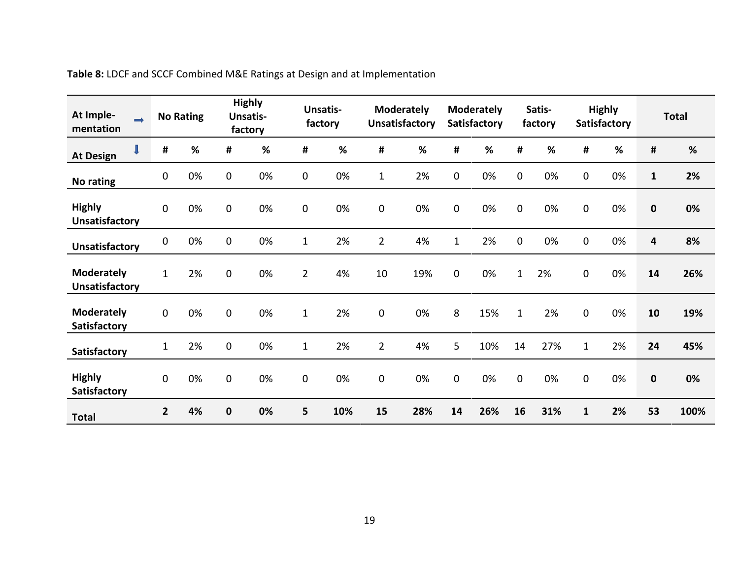<span id="page-27-0"></span>

| At Imple-<br>$\Rightarrow$<br>mentation    |                | <b>No Rating</b> |                  | <b>Highly</b><br><b>Unsatis-</b><br>factory | factory        | <b>Unsatis-</b> |                | <b>Moderately</b><br><b>Unsatisfactory</b> |                | <b>Moderately</b><br><b>Satisfactory</b> |              | Satis-<br>factory |              | <b>Highly</b><br><b>Satisfactory</b> |              | <b>Total</b> |
|--------------------------------------------|----------------|------------------|------------------|---------------------------------------------|----------------|-----------------|----------------|--------------------------------------------|----------------|------------------------------------------|--------------|-------------------|--------------|--------------------------------------|--------------|--------------|
| <b>At Design</b>                           | #              | %                | #                | %                                           | #              | %               | $\pmb{\sharp}$ | %                                          | #              | %                                        | #            | %                 | #            | %                                    | #            | %            |
| No rating                                  | $\mathbf 0$    | 0%               | $\boldsymbol{0}$ | 0%                                          | 0              | 0%              | $\mathbf{1}$   | 2%                                         | $\mathbf{0}$   | 0%                                       | $\mathbf 0$  | 0%                | 0            | 0%                                   | $\mathbf{1}$ | 2%           |
| <b>Highly</b><br><b>Unsatisfactory</b>     | $\overline{0}$ | 0%               | 0                | 0%                                          | 0              | 0%              | $\pmb{0}$      | 0%                                         | 0              | 0%                                       | $\mathbf 0$  | 0%                | 0            | 0%                                   | $\mathbf 0$  | 0%           |
| <b>Unsatisfactory</b>                      | 0              | 0%               | $\mathbf 0$      | 0%                                          | $\mathbf{1}$   | 2%              | $\overline{2}$ | 4%                                         | $\mathbf{1}$   | 2%                                       | $\pmb{0}$    | 0%                | 0            | 0%                                   | 4            | 8%           |
| <b>Moderately</b><br><b>Unsatisfactory</b> | $\mathbf{1}$   | 2%               | 0                | 0%                                          | $\overline{2}$ | 4%              | 10             | 19%                                        | $\mathbf 0$    | 0%                                       | $\mathbf 1$  | 2%                | 0            | 0%                                   | 14           | 26%          |
| <b>Moderately</b><br>Satisfactory          | $\mathbf 0$    | 0%               | $\mathbf 0$      | 0%                                          | $\mathbf{1}$   | 2%              | $\pmb{0}$      | 0%                                         | 8              | 15%                                      | $\mathbf{1}$ | 2%                | 0            | 0%                                   | 10           | 19%          |
| Satisfactory                               | $\mathbf{1}$   | 2%               | $\mathbf 0$      | 0%                                          | $\mathbf{1}$   | 2%              | $\overline{2}$ | 4%                                         | $5\phantom{.}$ | 10%                                      | 14           | 27%               | $\mathbf{1}$ | 2%                                   | 24           | 45%          |
| <b>Highly</b><br>Satisfactory              | $\Omega$       | 0%               | 0                | 0%                                          | 0              | 0%              | $\mathbf 0$    | 0%                                         | $\Omega$       | 0%                                       | $\mathbf 0$  | 0%                | 0            | 0%                                   | $\mathbf 0$  | 0%           |
| <b>Total</b>                               | $\overline{2}$ | 4%               | $\bf{0}$         | 0%                                          | 5              | 10%             | 15             | 28%                                        | 14             | 26%                                      | 16           | 31%               | $\mathbf{1}$ | 2%                                   | 53           | 100%         |

**Table 8:** LDCF and SCCF Combined M&E Ratings at Design and at Implementation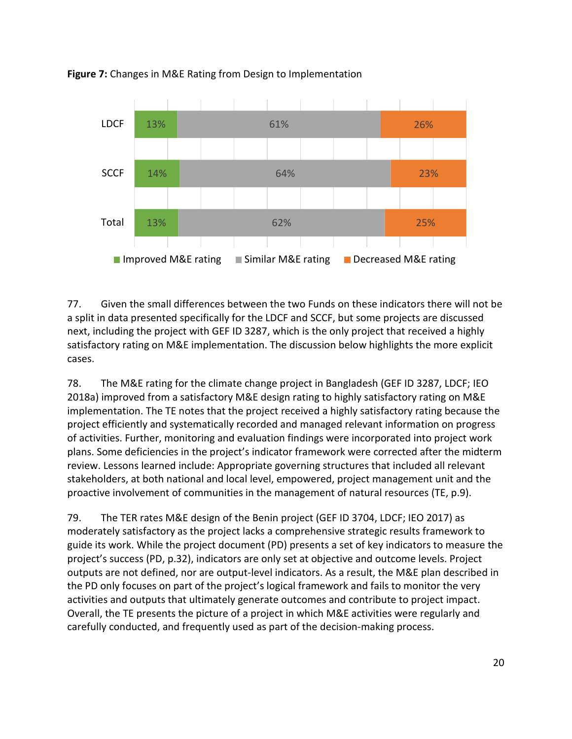

<span id="page-28-0"></span>**Figure 7:** Changes in M&E Rating from Design to Implementation

77. Given the small differences between the two Funds on these indicators there will not be a split in data presented specifically for the LDCF and SCCF, but some projects are discussed next, including the project with GEF ID 3287, which is the only project that received a highly satisfactory rating on M&E implementation. The discussion below highlights the more explicit cases.

78. The M&E rating for the climate change project in Bangladesh (GEF ID 3287, LDCF; IEO 2018a) improved from a satisfactory M&E design rating to highly satisfactory rating on M&E implementation. The TE notes that the project received a highly satisfactory rating because the project efficiently and systematically recorded and managed relevant information on progress of activities. Further, monitoring and evaluation findings were incorporated into project work plans. Some deficiencies in the project's indicator framework were corrected after the midterm review. Lessons learned include: Appropriate governing structures that included all relevant stakeholders, at both national and local level, empowered, project management unit and the proactive involvement of communities in the management of natural resources (TE, p.9).

79. The TER rates M&E design of the Benin project (GEF ID 3704, LDCF; IEO 2017) as moderately satisfactory as the project lacks a comprehensive strategic results framework to guide its work. While the project document (PD) presents a set of key indicators to measure the project's success (PD, p.32), indicators are only set at objective and outcome levels. Project outputs are not defined, nor are output-level indicators. As a result, the M&E plan described in the PD only focuses on part of the project's logical framework and fails to monitor the very activities and outputs that ultimately generate outcomes and contribute to project impact. Overall, the TE presents the picture of a project in which M&E activities were regularly and carefully conducted, and frequently used as part of the decision-making process.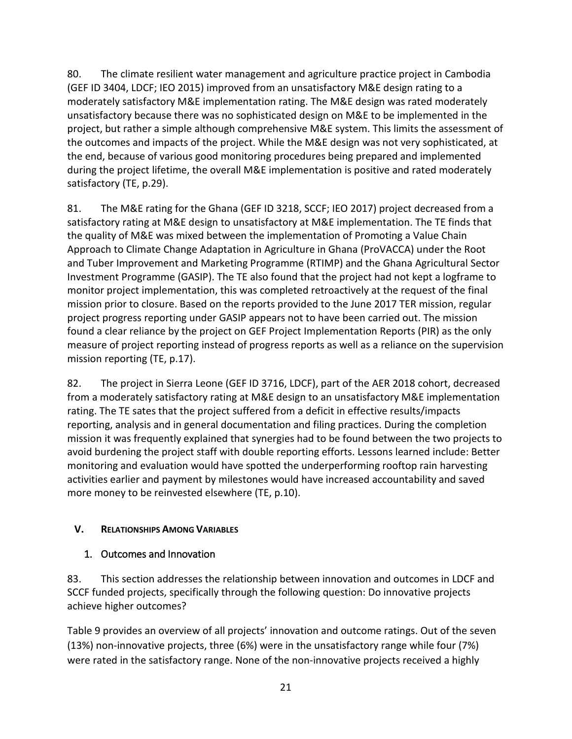80. The climate resilient water management and agriculture practice project in Cambodia (GEF ID 3404, LDCF; IEO 2015) improved from an unsatisfactory M&E design rating to a moderately satisfactory M&E implementation rating. The M&E design was rated moderately unsatisfactory because there was no sophisticated design on M&E to be implemented in the project, but rather a simple although comprehensive M&E system. This limits the assessment of the outcomes and impacts of the project. While the M&E design was not very sophisticated, at the end, because of various good monitoring procedures being prepared and implemented during the project lifetime, the overall M&E implementation is positive and rated moderately satisfactory (TE, p.29).

81. The M&E rating for the Ghana (GEF ID 3218, SCCF; IEO 2017) project decreased from a satisfactory rating at M&E design to unsatisfactory at M&E implementation. The TE finds that the quality of M&E was mixed between the implementation of Promoting a Value Chain Approach to Climate Change Adaptation in Agriculture in Ghana (ProVACCA) under the Root and Tuber Improvement and Marketing Programme (RTIMP) and the Ghana Agricultural Sector Investment Programme (GASIP). The TE also found that the project had not kept a logframe to monitor project implementation, this was completed retroactively at the request of the final mission prior to closure. Based on the reports provided to the June 2017 TER mission, regular project progress reporting under GASIP appears not to have been carried out. The mission found a clear reliance by the project on GEF Project Implementation Reports (PIR) as the only measure of project reporting instead of progress reports as well as a reliance on the supervision mission reporting (TE, p.17).

82. The project in Sierra Leone (GEF ID 3716, LDCF), part of the AER 2018 cohort, decreased from a moderately satisfactory rating at M&E design to an unsatisfactory M&E implementation rating. The TE sates that the project suffered from a deficit in effective results/impacts reporting, analysis and in general documentation and filing practices. During the completion mission it was frequently explained that synergies had to be found between the two projects to avoid burdening the project staff with double reporting efforts. Lessons learned include: Better monitoring and evaluation would have spotted the underperforming rooftop rain harvesting activities earlier and payment by milestones would have increased accountability and saved more money to be reinvested elsewhere (TE, p.10).

## <span id="page-29-0"></span>**V. RELATIONSHIPS AMONG VARIABLES**

## <span id="page-29-1"></span>1. Outcomes and Innovation

83. This section addresses the relationship between innovation and outcomes in LDCF and SCCF funded projects, specifically through the following question: Do innovative projects achieve higher outcomes?

Table 9 provides an overview of all projects' innovation and outcome ratings. Out of the seven (13%) non-innovative projects, three (6%) were in the unsatisfactory range while four (7%) were rated in the satisfactory range. None of the non-innovative projects received a highly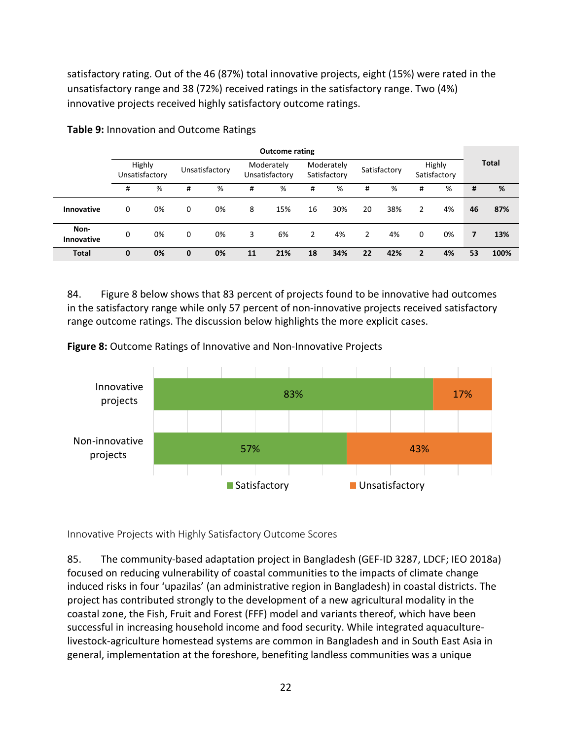satisfactory rating. Out of the 46 (87%) total innovative projects, eight (15%) were rated in the unsatisfactory range and 38 (72%) received ratings in the satisfactory range. Two (4%) innovative projects received highly satisfactory outcome ratings.

|                           | <b>Outcome rating</b> |                          |   |                |    |                              |                |                            |    |              |                |                        |                |              |
|---------------------------|-----------------------|--------------------------|---|----------------|----|------------------------------|----------------|----------------------------|----|--------------|----------------|------------------------|----------------|--------------|
|                           |                       | Highly<br>Unsatisfactory |   | Unsatisfactory |    | Moderately<br>Unsatisfactory |                | Moderately<br>Satisfactory |    | Satisfactory |                | Highly<br>Satisfactory |                | <b>Total</b> |
|                           | #                     | %                        | # | %              | #  | %                            | #              | %                          | #  | %            | #              | %                      | #              | %            |
| Innovative                | 0                     | 0%                       | 0 | 0%             | 8  | 15%                          | 16             | 30%                        | 20 | 38%          | 2              | 4%                     | 46             | 87%          |
| Non-<br><b>Innovative</b> | 0                     | 0%                       | 0 | 0%             | 3  | 6%                           | $\overline{2}$ | 4%                         | 2  | 4%           | 0              | 0%                     | $\overline{7}$ | 13%          |
| <b>Total</b>              | 0                     | 0%                       | 0 | 0%             | 11 | 21%                          | 18             | 34%                        | 22 | 42%          | $\overline{2}$ | 4%                     | 53             | 100%         |

<span id="page-30-1"></span>**Table 9:** Innovation and Outcome Ratings

84. Figure 8 below shows that 83 percent of projects found to be innovative had outcomes in the satisfactory range while only 57 percent of non-innovative projects received satisfactory range outcome ratings. The discussion below highlights the more explicit cases.

<span id="page-30-2"></span>**Figure 8:** Outcome Ratings of Innovative and Non-Innovative Projects



<span id="page-30-0"></span>Innovative Projects with Highly Satisfactory Outcome Scores

85. The community-based adaptation project in Bangladesh (GEF-ID 3287, LDCF; IEO 2018a) focused on reducing vulnerability of coastal communities to the impacts of climate change induced risks in four 'upazilas' (an administrative region in Bangladesh) in coastal districts. The project has contributed strongly to the development of a new agricultural modality in the coastal zone, the Fish, Fruit and Forest (FFF) model and variants thereof, which have been successful in increasing household income and food security. While integrated aquaculturelivestock-agriculture homestead systems are common in Bangladesh and in South East Asia in general, implementation at the foreshore, benefiting landless communities was a unique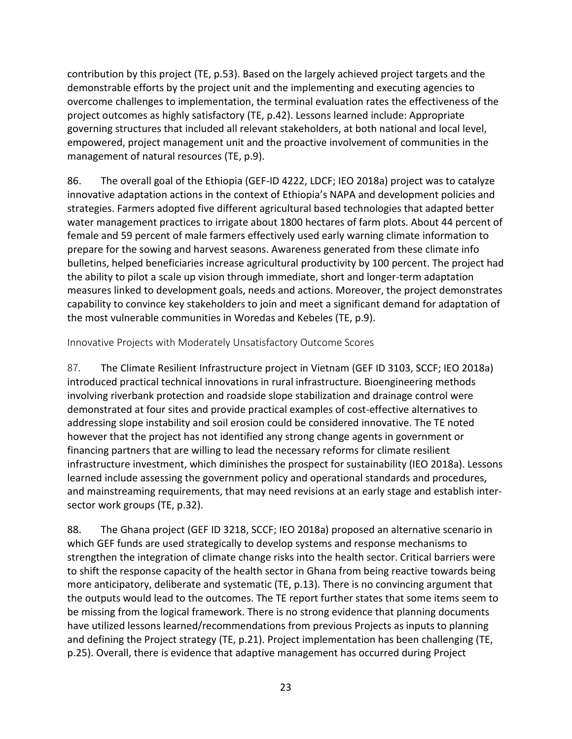contribution by this project (TE, p.53). Based on the largely achieved project targets and the demonstrable efforts by the project unit and the implementing and executing agencies to overcome challenges to implementation, the terminal evaluation rates the effectiveness of the project outcomes as highly satisfactory (TE, p.42). Lessons learned include: Appropriate governing structures that included all relevant stakeholders, at both national and local level, empowered, project management unit and the proactive involvement of communities in the management of natural resources (TE, p.9).

86. The overall goal of the Ethiopia (GEF-ID 4222, LDCF; IEO 2018a) project was to catalyze innovative adaptation actions in the context of Ethiopia's NAPA and development policies and strategies. Farmers adopted five different agricultural based technologies that adapted better water management practices to irrigate about 1800 hectares of farm plots. About 44 percent of female and 59 percent of male farmers effectively used early warning climate information to prepare for the sowing and harvest seasons. Awareness generated from these climate info bulletins, helped beneficiaries increase agricultural productivity by 100 percent. The project had the ability to pilot a scale up vision through immediate, short and longer-term adaptation measures linked to development goals, needs and actions. Moreover, the project demonstrates capability to convince key stakeholders to join and meet a significant demand for adaptation of the most vulnerable communities in Woredas and Kebeles (TE, p.9).

<span id="page-31-0"></span>Innovative Projects with Moderately Unsatisfactory Outcome Scores

87. The Climate Resilient Infrastructure project in Vietnam (GEF ID 3103, SCCF; IEO 2018a) introduced practical technical innovations in rural infrastructure. Bioengineering methods involving riverbank protection and roadside slope stabilization and drainage control were demonstrated at four sites and provide practical examples of cost-effective alternatives to addressing slope instability and soil erosion could be considered innovative. The TE noted however that the project has not identified any strong change agents in government or financing partners that are willing to lead the necessary reforms for climate resilient infrastructure investment, which diminishes the prospect for sustainability (IEO 2018a). Lessons learned include assessing the government policy and operational standards and procedures, and mainstreaming requirements, that may need revisions at an early stage and establish intersector work groups (TE, p.32).

88. The Ghana project (GEF ID 3218, SCCF; IEO 2018a) proposed an alternative scenario in which GEF funds are used strategically to develop systems and response mechanisms to strengthen the integration of climate change risks into the health sector. Critical barriers were to shift the response capacity of the health sector in Ghana from being reactive towards being more anticipatory, deliberate and systematic (TE, p.13). There is no convincing argument that the outputs would lead to the outcomes. The TE report further states that some items seem to be missing from the logical framework. There is no strong evidence that planning documents have utilized lessons learned/recommendations from previous Projects as inputs to planning and defining the Project strategy (TE, p.21). Project implementation has been challenging (TE, p.25). Overall, there is evidence that adaptive management has occurred during Project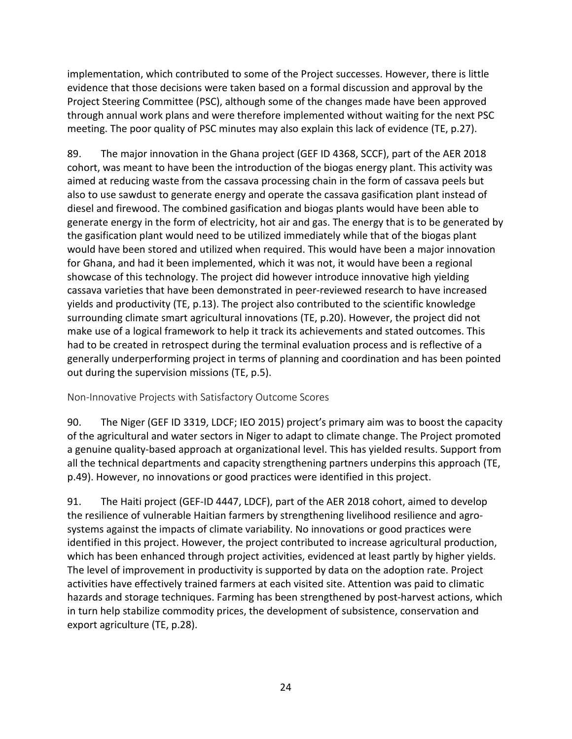implementation, which contributed to some of the Project successes. However, there is little evidence that those decisions were taken based on a formal discussion and approval by the Project Steering Committee (PSC), although some of the changes made have been approved through annual work plans and were therefore implemented without waiting for the next PSC meeting. The poor quality of PSC minutes may also explain this lack of evidence (TE, p.27).

89. The major innovation in the Ghana project (GEF ID 4368, SCCF), part of the AER 2018 cohort, was meant to have been the introduction of the biogas energy plant. This activity was aimed at reducing waste from the cassava processing chain in the form of cassava peels but also to use sawdust to generate energy and operate the cassava gasification plant instead of diesel and firewood. The combined gasification and biogas plants would have been able to generate energy in the form of electricity, hot air and gas. The energy that is to be generated by the gasification plant would need to be utilized immediately while that of the biogas plant would have been stored and utilized when required. This would have been a major innovation for Ghana, and had it been implemented, which it was not, it would have been a regional showcase of this technology. The project did however introduce innovative high yielding cassava varieties that have been demonstrated in peer-reviewed research to have increased yields and productivity (TE, p.13). The project also contributed to the scientific knowledge surrounding climate smart agricultural innovations (TE, p.20). However, the project did not make use of a logical framework to help it track its achievements and stated outcomes. This had to be created in retrospect during the terminal evaluation process and is reflective of a generally underperforming project in terms of planning and coordination and has been pointed out during the supervision missions (TE, p.5).

<span id="page-32-0"></span>Non-Innovative Projects with Satisfactory Outcome Scores

90. The Niger (GEF ID 3319, LDCF; IEO 2015) project's primary aim was to boost the capacity of the agricultural and water sectors in Niger to adapt to climate change. The Project promoted a genuine quality-based approach at organizational level. This has yielded results. Support from all the technical departments and capacity strengthening partners underpins this approach (TE, p.49). However, no innovations or good practices were identified in this project.

91. The Haiti project (GEF-ID 4447, LDCF), part of the AER 2018 cohort, aimed to develop the resilience of vulnerable Haitian farmers by strengthening livelihood resilience and agrosystems against the impacts of climate variability. No innovations or good practices were identified in this project. However, the project contributed to increase agricultural production, which has been enhanced through project activities, evidenced at least partly by higher yields. The level of improvement in productivity is supported by data on the adoption rate. Project activities have effectively trained farmers at each visited site. Attention was paid to climatic hazards and storage techniques. Farming has been strengthened by post-harvest actions, which in turn help stabilize commodity prices, the development of subsistence, conservation and export agriculture (TE, p.28).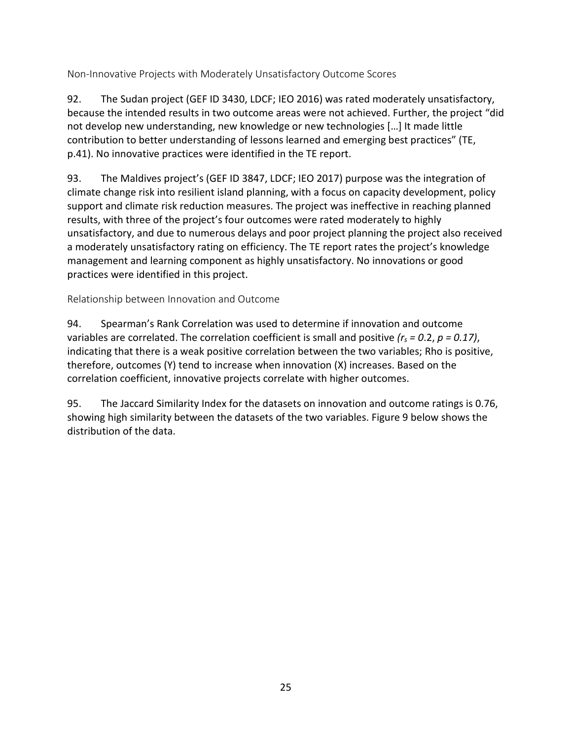<span id="page-33-0"></span>Non-Innovative Projects with Moderately Unsatisfactory Outcome Scores

92. The Sudan project (GEF ID 3430, LDCF; IEO 2016) was rated moderately unsatisfactory, because the intended results in two outcome areas were not achieved. Further, the project "did not develop new understanding, new knowledge or new technologies […] It made little contribution to better understanding of lessons learned and emerging best practices" (TE, p.41). No innovative practices were identified in the TE report.

93. The Maldives project's (GEF ID 3847, LDCF; IEO 2017) purpose was the integration of climate change risk into resilient island planning, with a focus on capacity development, policy support and climate risk reduction measures. The project was ineffective in reaching planned results, with three of the project's four outcomes were rated moderately to highly unsatisfactory, and due to numerous delays and poor project planning the project also received a moderately unsatisfactory rating on efficiency. The TE report rates the project's knowledge management and learning component as highly unsatisfactory. No innovations or good practices were identified in this project.

<span id="page-33-1"></span>Relationship between Innovation and Outcome

94. Spearman's Rank Correlation was used to determine if innovation and outcome variables are correlated. The correlation coefficient is small and positive *(rs = 0*.2, *p = 0.17)*, indicating that there is a weak positive correlation between the two variables; Rho is positive, therefore, outcomes (Y) tend to increase when innovation (X) increases. Based on the correlation coefficient, innovative projects correlate with higher outcomes.

95. The Jaccard Similarity Index for the datasets on innovation and outcome ratings is 0.76, showing high similarity between the datasets of the two variables. Figure 9 below shows the distribution of the data.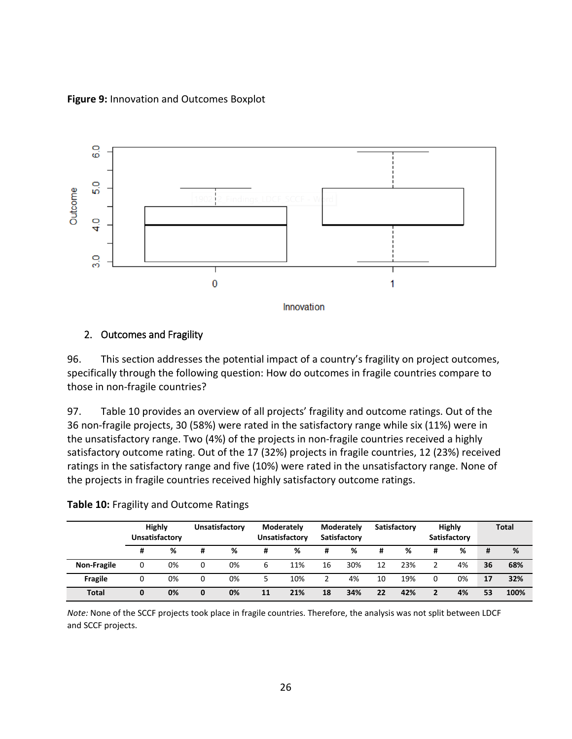<span id="page-34-2"></span>**Figure 9:** Innovation and Outcomes Boxplot



### <span id="page-34-0"></span>2. Outcomes and Fragility

96. This section addresses the potential impact of a country's fragility on project outcomes, specifically through the following question: How do outcomes in fragile countries compare to those in non-fragile countries?

97. Table 10 provides an overview of all projects' fragility and outcome ratings. Out of the 36 non-fragile projects, 30 (58%) were rated in the satisfactory range while six (11%) were in the unsatisfactory range. Two (4%) of the projects in non-fragile countries received a highly satisfactory outcome rating. Out of the 17 (32%) projects in fragile countries, 12 (23%) received ratings in the satisfactory range and five (10%) were rated in the unsatisfactory range. None of the projects in fragile countries received highly satisfactory outcome ratings.

|                    |   | <b>Highly</b><br>Unsatisfactory |   | Unsatisfactory |    | Moderately<br>Unsatisfactory |    | Moderately<br>Satisfactory |    | Satisfactory |   | <b>Highly</b><br>Satisfactory |    | <b>Total</b> |
|--------------------|---|---------------------------------|---|----------------|----|------------------------------|----|----------------------------|----|--------------|---|-------------------------------|----|--------------|
|                    | # | %                               | # | %              | Ħ  | %                            | #  | %                          | #  | ℅            | # | %                             | #  | %            |
| <b>Non-Fragile</b> | 0 | 0%                              | 0 | 0%             | 6  | 11%                          | 16 | 30%                        | 12 | 23%          |   | 4%                            | 36 | 68%          |
| <b>Fragile</b>     | 0 | 0%                              | 0 | 0%             | 5  | 10%                          |    | 4%                         | 10 | 19%          | 0 | 0%                            | 17 | 32%          |
| <b>Total</b>       | 0 | 0%                              | 0 | 0%             | 11 | 21%                          | 18 | 34%                        | 22 | 42%          | 2 | 4%                            | 53 | 100%         |

#### <span id="page-34-1"></span>**Table 10:** Fragility and Outcome Ratings

*Note:* None of the SCCF projects took place in fragile countries. Therefore, the analysis was not split between LDCF and SCCF projects.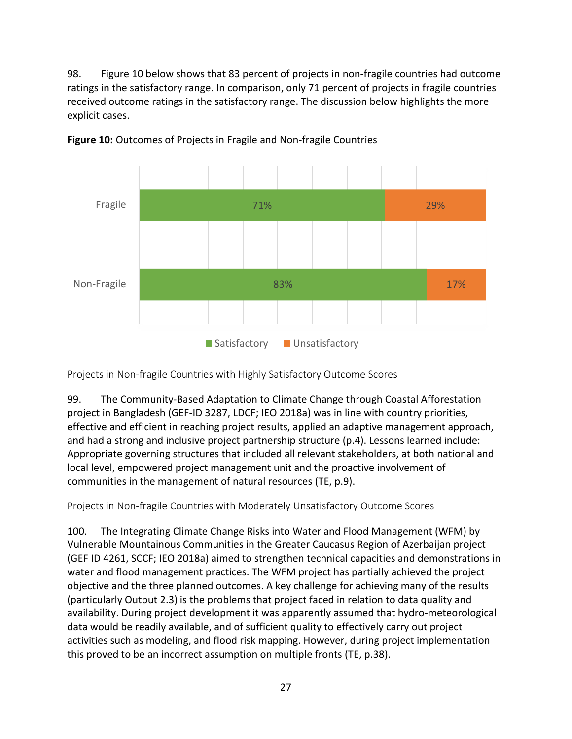98. Figure 10 below shows that 83 percent of projects in non-fragile countries had outcome ratings in the satisfactory range. In comparison, only 71 percent of projects in fragile countries received outcome ratings in the satisfactory range. The discussion below highlights the more explicit cases.



<span id="page-35-2"></span>**Figure 10:** Outcomes of Projects in Fragile and Non-fragile Countries

<span id="page-35-0"></span>Projects in Non-fragile Countries with Highly Satisfactory Outcome Scores

99. The Community-Based Adaptation to Climate Change through Coastal Afforestation project in Bangladesh (GEF-ID 3287, LDCF; IEO 2018a) was in line with country priorities, effective and efficient in reaching project results, applied an adaptive management approach, and had a strong and inclusive project partnership structure (p.4). Lessons learned include: Appropriate governing structures that included all relevant stakeholders, at both national and local level, empowered project management unit and the proactive involvement of communities in the management of natural resources (TE, p.9).

<span id="page-35-1"></span>Projects in Non-fragile Countries with Moderately Unsatisfactory Outcome Scores

100. The Integrating Climate Change Risks into Water and Flood Management (WFM) by Vulnerable Mountainous Communities in the Greater Caucasus Region of Azerbaijan project (GEF ID 4261, SCCF; IEO 2018a) aimed to strengthen technical capacities and demonstrations in water and flood management practices. The WFM project has partially achieved the project objective and the three planned outcomes. A key challenge for achieving many of the results (particularly Output 2.3) is the problems that project faced in relation to data quality and availability. During project development it was apparently assumed that hydro-meteorological data would be readily available, and of sufficient quality to effectively carry out project activities such as modeling, and flood risk mapping. However, during project implementation this proved to be an incorrect assumption on multiple fronts (TE, p.38).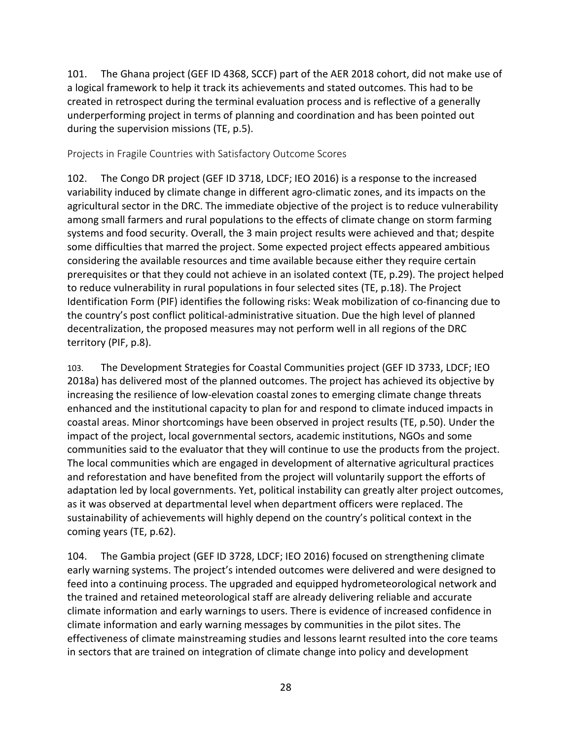101. The Ghana project (GEF ID 4368, SCCF) part of the AER 2018 cohort, did not make use of a logical framework to help it track its achievements and stated outcomes. This had to be created in retrospect during the terminal evaluation process and is reflective of a generally underperforming project in terms of planning and coordination and has been pointed out during the supervision missions (TE, p.5).

<span id="page-36-0"></span>Projects in Fragile Countries with Satisfactory Outcome Scores

102. The Congo DR project (GEF ID 3718, LDCF; IEO 2016) is a response to the increased variability induced by climate change in different agro-climatic zones, and its impacts on the agricultural sector in the DRC. The immediate objective of the project is to reduce vulnerability among small farmers and rural populations to the effects of climate change on storm farming systems and food security. Overall, the 3 main project results were achieved and that; despite some difficulties that marred the project. Some expected project effects appeared ambitious considering the available resources and time available because either they require certain prerequisites or that they could not achieve in an isolated context (TE, p.29). The project helped to reduce vulnerability in rural populations in four selected sites (TE, p.18). The Project Identification Form (PIF) identifies the following risks: Weak mobilization of co-financing due to the country's post conflict political-administrative situation. Due the high level of planned decentralization, the proposed measures may not perform well in all regions of the DRC territory (PIF, p.8).

103. The Development Strategies for Coastal Communities project (GEF ID 3733, LDCF; IEO 2018a) has delivered most of the planned outcomes. The project has achieved its objective by increasing the resilience of low-elevation coastal zones to emerging climate change threats enhanced and the institutional capacity to plan for and respond to climate induced impacts in coastal areas. Minor shortcomings have been observed in project results (TE, p.50). Under the impact of the project, local governmental sectors, academic institutions, NGOs and some communities said to the evaluator that they will continue to use the products from the project. The local communities which are engaged in development of alternative agricultural practices and reforestation and have benefited from the project will voluntarily support the efforts of adaptation led by local governments. Yet, political instability can greatly alter project outcomes, as it was observed at departmental level when department officers were replaced. The sustainability of achievements will highly depend on the country's political context in the coming years (TE, p.62).

104. The Gambia project (GEF ID 3728, LDCF; IEO 2016) focused on strengthening climate early warning systems. The project's intended outcomes were delivered and were designed to feed into a continuing process. The upgraded and equipped hydrometeorological network and the trained and retained meteorological staff are already delivering reliable and accurate climate information and early warnings to users. There is evidence of increased confidence in climate information and early warning messages by communities in the pilot sites. The effectiveness of climate mainstreaming studies and lessons learnt resulted into the core teams in sectors that are trained on integration of climate change into policy and development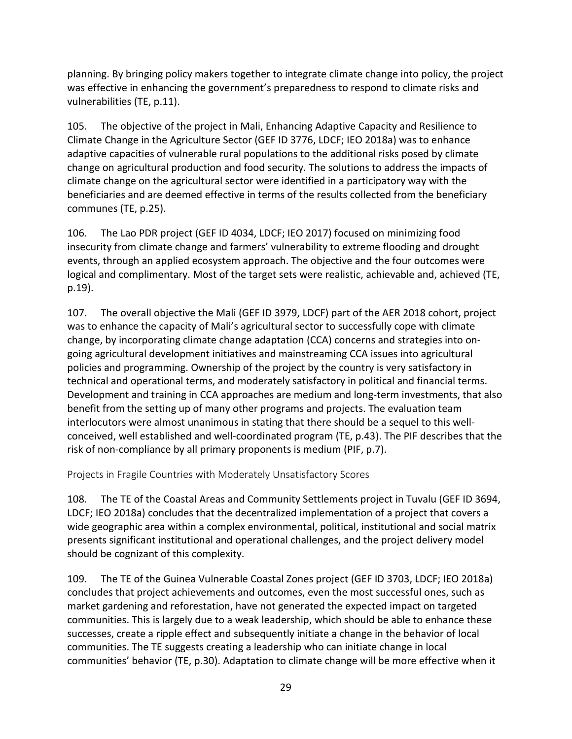planning. By bringing policy makers together to integrate climate change into policy, the project was effective in enhancing the government's preparedness to respond to climate risks and vulnerabilities (TE, p.11).

105. The objective of the project in Mali, Enhancing Adaptive Capacity and Resilience to Climate Change in the Agriculture Sector (GEF ID 3776, LDCF; IEO 2018a) was to enhance adaptive capacities of vulnerable rural populations to the additional risks posed by climate change on agricultural production and food security. The solutions to address the impacts of climate change on the agricultural sector were identified in a participatory way with the beneficiaries and are deemed effective in terms of the results collected from the beneficiary communes (TE, p.25).

106. The Lao PDR project (GEF ID 4034, LDCF; IEO 2017) focused on minimizing food insecurity from climate change and farmers' vulnerability to extreme flooding and drought events, through an applied ecosystem approach. The objective and the four outcomes were logical and complimentary. Most of the target sets were realistic, achievable and, achieved (TE, p.19).

107. The overall objective the Mali (GEF ID 3979, LDCF) part of the AER 2018 cohort, project was to enhance the capacity of Mali's agricultural sector to successfully cope with climate change, by incorporating climate change adaptation (CCA) concerns and strategies into ongoing agricultural development initiatives and mainstreaming CCA issues into agricultural policies and programming. Ownership of the project by the country is very satisfactory in technical and operational terms, and moderately satisfactory in political and financial terms. Development and training in CCA approaches are medium and long-term investments, that also benefit from the setting up of many other programs and projects. The evaluation team interlocutors were almost unanimous in stating that there should be a sequel to this wellconceived, well established and well-coordinated program (TE, p.43). The PIF describes that the risk of non-compliance by all primary proponents is medium (PIF, p.7).

<span id="page-37-0"></span>Projects in Fragile Countries with Moderately Unsatisfactory Scores

108. The TE of the Coastal Areas and Community Settlements project in Tuvalu (GEF ID 3694, LDCF; IEO 2018a) concludes that the decentralized implementation of a project that covers a wide geographic area within a complex environmental, political, institutional and social matrix presents significant institutional and operational challenges, and the project delivery model should be cognizant of this complexity.

109. The TE of the Guinea Vulnerable Coastal Zones project (GEF ID 3703, LDCF; IEO 2018a) concludes that project achievements and outcomes, even the most successful ones, such as market gardening and reforestation, have not generated the expected impact on targeted communities. This is largely due to a weak leadership, which should be able to enhance these successes, create a ripple effect and subsequently initiate a change in the behavior of local communities. The TE suggests creating a leadership who can initiate change in local communities' behavior (TE, p.30). Adaptation to climate change will be more effective when it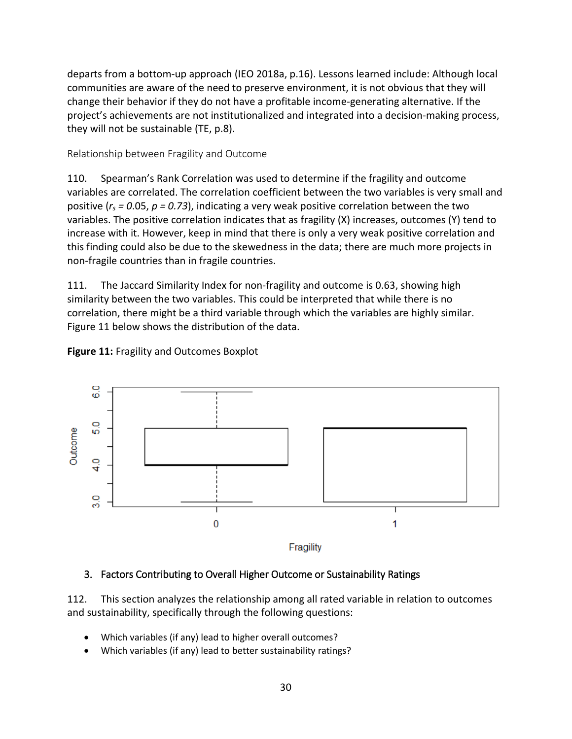departs from a bottom-up approach (IEO 2018a, p.16). Lessons learned include: Although local communities are aware of the need to preserve environment, it is not obvious that they will change their behavior if they do not have a profitable income-generating alternative. If the project's achievements are not institutionalized and integrated into a decision-making process, they will not be sustainable (TE, p.8).

#### <span id="page-38-0"></span>Relationship between Fragility and Outcome

110. Spearman's Rank Correlation was used to determine if the fragility and outcome variables are correlated. The correlation coefficient between the two variables is very small and positive ( $r_s$  = 0.05,  $p$  = 0.73), indicating a very weak positive correlation between the two variables. The positive correlation indicates that as fragility (X) increases, outcomes (Y) tend to increase with it. However, keep in mind that there is only a very weak positive correlation and this finding could also be due to the skewedness in the data; there are much more projects in non-fragile countries than in fragile countries.

111. The Jaccard Similarity Index for non-fragility and outcome is 0.63, showing high similarity between the two variables. This could be interpreted that while there is no correlation, there might be a third variable through which the variables are highly similar. Figure 11 below shows the distribution of the data.

#### <span id="page-38-2"></span>**Figure 11:** Fragility and Outcomes Boxplot



#### <span id="page-38-1"></span>3. Factors Contributing to Overall Higher Outcome or Sustainability Ratings

112. This section analyzes the relationship among all rated variable in relation to outcomes and sustainability, specifically through the following questions:

- Which variables (if any) lead to higher overall outcomes?
- Which variables (if any) lead to better sustainability ratings?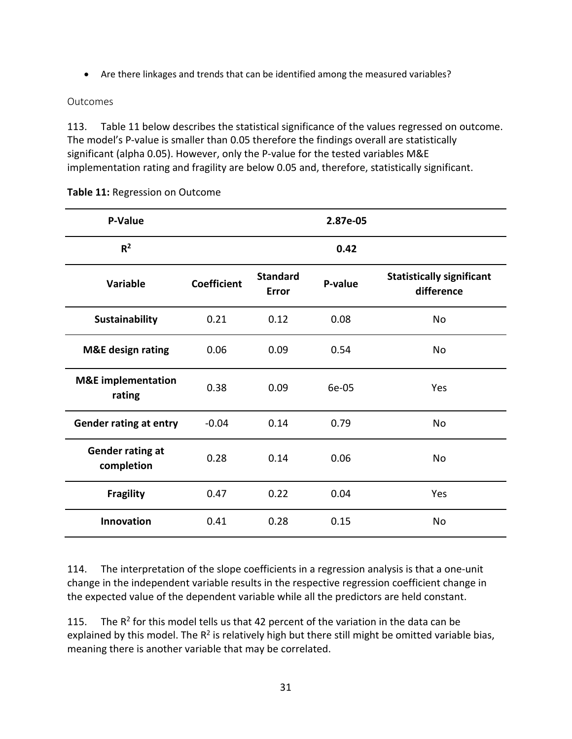• Are there linkages and trends that can be identified among the measured variables?

#### <span id="page-39-0"></span>Outcomes

113. Table 11 below describes the statistical significance of the values regressed on outcome. The model's P-value is smaller than 0.05 therefore the findings overall are statistically significant (alpha 0.05). However, only the P-value for the tested variables M&E implementation rating and fragility are below 0.05 and, therefore, statistically significant.

| P-Value                                 |                    |                                 | 2.87e-05 |                                                |
|-----------------------------------------|--------------------|---------------------------------|----------|------------------------------------------------|
| R <sup>2</sup>                          |                    |                                 | 0.42     |                                                |
| <b>Variable</b>                         | <b>Coefficient</b> | <b>Standard</b><br><b>Error</b> | P-value  | <b>Statistically significant</b><br>difference |
| Sustainability                          | 0.21               | 0.12                            | 0.08     | No                                             |
| <b>M&amp;E</b> design rating            | 0.06               | 0.09                            | 0.54     | <b>No</b>                                      |
| <b>M&amp;E</b> implementation<br>rating | 0.38               | 0.09                            | 6e-05    | Yes                                            |
| <b>Gender rating at entry</b>           | $-0.04$            | 0.14                            | 0.79     | <b>No</b>                                      |
| <b>Gender rating at</b><br>completion   | 0.28               | 0.14                            | 0.06     | No                                             |
| <b>Fragility</b>                        | 0.47               | 0.22                            | 0.04     | Yes                                            |
| <b>Innovation</b>                       | 0.41               | 0.28                            | 0.15     | No                                             |

<span id="page-39-1"></span>**Table 11:** Regression on Outcome

114. The interpretation of the slope coefficients in a regression analysis is that a one-unit change in the independent variable results in the respective regression coefficient change in the expected value of the dependent variable while all the predictors are held constant.

115. The  $R^2$  for this model tells us that 42 percent of the variation in the data can be explained by this model. The  $R^2$  is relatively high but there still might be omitted variable bias, meaning there is another variable that may be correlated.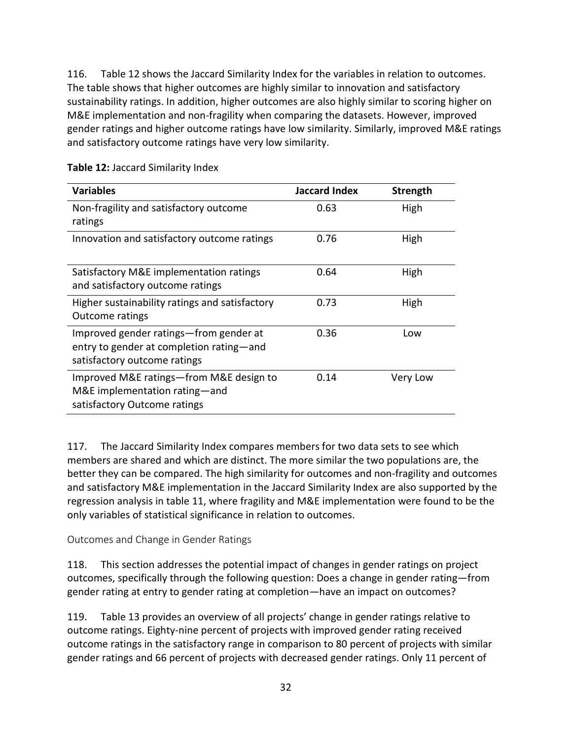116. Table 12 shows the Jaccard Similarity Index for the variables in relation to outcomes. The table shows that higher outcomes are highly similar to innovation and satisfactory sustainability ratings. In addition, higher outcomes are also highly similar to scoring higher on M&E implementation and non-fragility when comparing the datasets. However, improved gender ratings and higher outcome ratings have low similarity. Similarly, improved M&E ratings and satisfactory outcome ratings have very low similarity.

| <b>Variables</b>                                                                                                   | <b>Jaccard Index</b> | Strength |
|--------------------------------------------------------------------------------------------------------------------|----------------------|----------|
| Non-fragility and satisfactory outcome<br>ratings                                                                  | 0.63                 | High     |
| Innovation and satisfactory outcome ratings                                                                        | 0.76                 | High     |
| Satisfactory M&E implementation ratings<br>and satisfactory outcome ratings                                        | 0.64                 | High     |
| Higher sustainability ratings and satisfactory<br><b>Outcome ratings</b>                                           | 0.73                 | High     |
| Improved gender ratings—from gender at<br>entry to gender at completion rating-and<br>satisfactory outcome ratings | 0.36                 | Low      |
| Improved M&E ratings-from M&E design to<br>M&E implementation rating-and<br>satisfactory Outcome ratings           | 0.14                 | Very Low |

<span id="page-40-1"></span>**Table 12:** Jaccard Similarity Index

117. The Jaccard Similarity Index compares members for two data sets to see which members are shared and which are distinct. The more similar the two populations are, the better they can be compared. The high similarity for outcomes and non-fragility and outcomes and satisfactory M&E implementation in the Jaccard Similarity Index are also supported by the regression analysis in table 11, where fragility and M&E implementation were found to be the only variables of statistical significance in relation to outcomes.

<span id="page-40-0"></span>Outcomes and Change in Gender Ratings

118. This section addresses the potential impact of changes in gender ratings on project outcomes, specifically through the following question: Does a change in gender rating—from gender rating at entry to gender rating at completion—have an impact on outcomes?

119. Table 13 provides an overview of all projects' change in gender ratings relative to outcome ratings. Eighty-nine percent of projects with improved gender rating received outcome ratings in the satisfactory range in comparison to 80 percent of projects with similar gender ratings and 66 percent of projects with decreased gender ratings. Only 11 percent of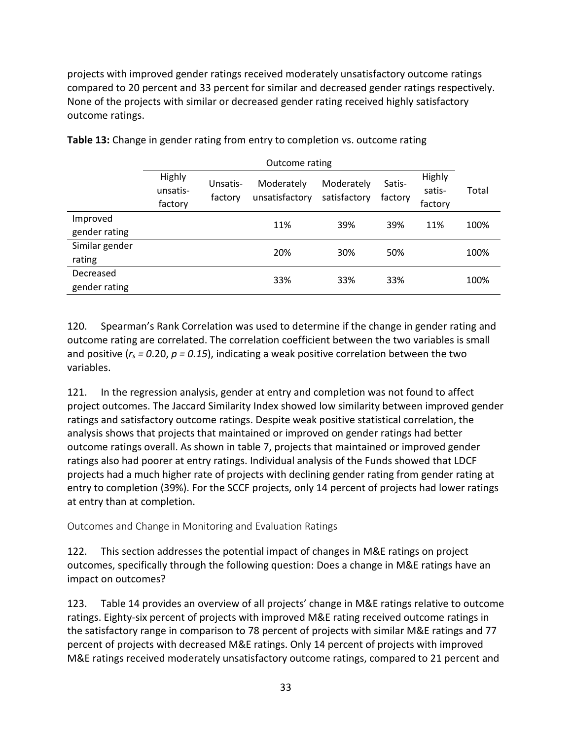projects with improved gender ratings received moderately unsatisfactory outcome ratings compared to 20 percent and 33 percent for similar and decreased gender ratings respectively. None of the projects with similar or decreased gender rating received highly satisfactory outcome ratings.

|                            | Outcome rating                |                     |                              |                            |                   |                             |       |  |
|----------------------------|-------------------------------|---------------------|------------------------------|----------------------------|-------------------|-----------------------------|-------|--|
|                            | Highly<br>unsatis-<br>factory | Unsatis-<br>factory | Moderately<br>unsatisfactory | Moderately<br>satisfactory | Satis-<br>factory | Highly<br>satis-<br>factory | Total |  |
| Improved<br>gender rating  |                               |                     | 11%                          | 39%                        | 39%               | 11%                         | 100%  |  |
| Similar gender<br>rating   |                               |                     | 20%                          | 30%                        | 50%               |                             | 100%  |  |
| Decreased<br>gender rating |                               |                     | 33%                          | 33%                        | 33%               |                             | 100%  |  |

<span id="page-41-1"></span>**Table 13:** Change in gender rating from entry to completion vs. outcome rating

120. Spearman's Rank Correlation was used to determine if the change in gender rating and outcome rating are correlated. The correlation coefficient between the two variables is small and positive (*rs = 0*.20, *p = 0.15*), indicating a weak positive correlation between the two variables.

121. In the regression analysis, gender at entry and completion was not found to affect project outcomes. The Jaccard Similarity Index showed low similarity between improved gender ratings and satisfactory outcome ratings. Despite weak positive statistical correlation, the analysis shows that projects that maintained or improved on gender ratings had better outcome ratings overall. As shown in table 7, projects that maintained or improved gender ratings also had poorer at entry ratings. Individual analysis of the Funds showed that LDCF projects had a much higher rate of projects with declining gender rating from gender rating at entry to completion (39%). For the SCCF projects, only 14 percent of projects had lower ratings at entry than at completion.

<span id="page-41-0"></span>Outcomes and Change in Monitoring and Evaluation Ratings

122. This section addresses the potential impact of changes in M&E ratings on project outcomes, specifically through the following question: Does a change in M&E ratings have an impact on outcomes?

123. Table 14 provides an overview of all projects' change in M&E ratings relative to outcome ratings. Eighty-six percent of projects with improved M&E rating received outcome ratings in the satisfactory range in comparison to 78 percent of projects with similar M&E ratings and 77 percent of projects with decreased M&E ratings. Only 14 percent of projects with improved M&E ratings received moderately unsatisfactory outcome ratings, compared to 21 percent and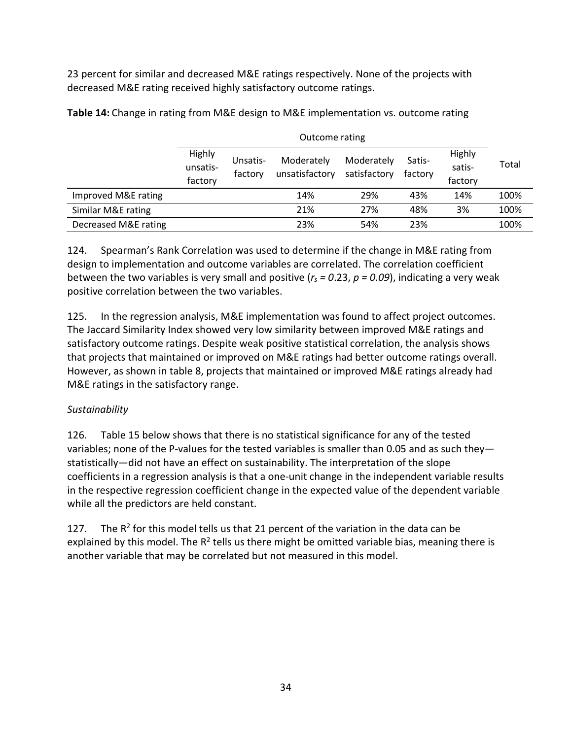23 percent for similar and decreased M&E ratings respectively. None of the projects with decreased M&E rating received highly satisfactory outcome ratings.

|                      | Outcome rating                |                     |                              |                            |                   |                             |       |  |
|----------------------|-------------------------------|---------------------|------------------------------|----------------------------|-------------------|-----------------------------|-------|--|
|                      | Highly<br>unsatis-<br>factory | Unsatis-<br>factory | Moderately<br>unsatisfactory | Moderately<br>satisfactory | Satis-<br>factory | Highly<br>satis-<br>factory | Total |  |
| Improved M&E rating  |                               |                     | 14%                          | 29%                        | 43%               | 14%                         | 100%  |  |
| Similar M&E rating   |                               |                     | 21%                          | 27%                        | 48%               | 3%                          | 100%  |  |
| Decreased M&E rating |                               |                     | 23%                          | 54%                        | 23%               |                             | 100%  |  |

<span id="page-42-0"></span>**Table 14:** Change in rating from M&E design to M&E implementation vs. outcome rating

124. Spearman's Rank Correlation was used to determine if the change in M&E rating from design to implementation and outcome variables are correlated. The correlation coefficient between the two variables is very small and positive (*rs = 0*.23, *p = 0.09*), indicating a very weak positive correlation between the two variables.

125. In the regression analysis, M&E implementation was found to affect project outcomes. The Jaccard Similarity Index showed very low similarity between improved M&E ratings and satisfactory outcome ratings. Despite weak positive statistical correlation, the analysis shows that projects that maintained or improved on M&E ratings had better outcome ratings overall. However, as shown in table 8, projects that maintained or improved M&E ratings already had M&E ratings in the satisfactory range.

## *Sustainability*

126. Table 15 below shows that there is no statistical significance for any of the tested variables; none of the P-values for the tested variables is smaller than 0.05 and as such they statistically—did not have an effect on sustainability. The interpretation of the slope coefficients in a regression analysis is that a one-unit change in the independent variable results in the respective regression coefficient change in the expected value of the dependent variable while all the predictors are held constant.

127. The  $R^2$  for this model tells us that 21 percent of the variation in the data can be explained by this model. The  $R^2$  tells us there might be omitted variable bias, meaning there is another variable that may be correlated but not measured in this model.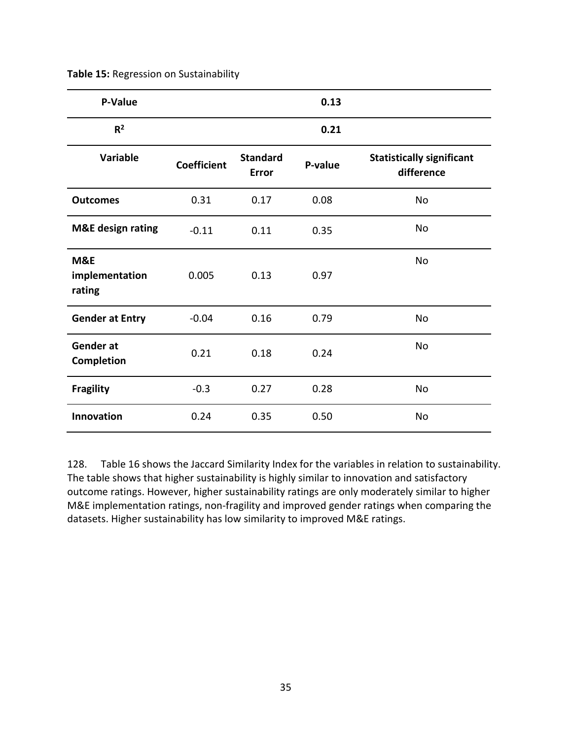| P-Value                         |                    |                          | 0.13    |                                                |
|---------------------------------|--------------------|--------------------------|---------|------------------------------------------------|
| R <sup>2</sup>                  |                    |                          | 0.21    |                                                |
| <b>Variable</b>                 | <b>Coefficient</b> | <b>Standard</b><br>Error | P-value | <b>Statistically significant</b><br>difference |
| <b>Outcomes</b>                 | 0.31               | 0.17                     | 0.08    | No                                             |
| <b>M&amp;E</b> design rating    | $-0.11$            | 0.11                     | 0.35    | No                                             |
| M&E<br>implementation<br>rating | 0.005              | 0.13                     | 0.97    | No                                             |
| <b>Gender at Entry</b>          | $-0.04$            | 0.16                     | 0.79    | No                                             |
| Gender at<br>Completion         | 0.21               | 0.18                     | 0.24    | No                                             |
| <b>Fragility</b>                | $-0.3$             | 0.27                     | 0.28    | No                                             |
| Innovation                      | 0.24               | 0.35                     | 0.50    | No                                             |

<span id="page-43-0"></span>**Table 15:** Regression on Sustainability

128. Table 16 shows the Jaccard Similarity Index for the variables in relation to sustainability. The table shows that higher sustainability is highly similar to innovation and satisfactory outcome ratings. However, higher sustainability ratings are only moderately similar to higher M&E implementation ratings, non-fragility and improved gender ratings when comparing the datasets. Higher sustainability has low similarity to improved M&E ratings.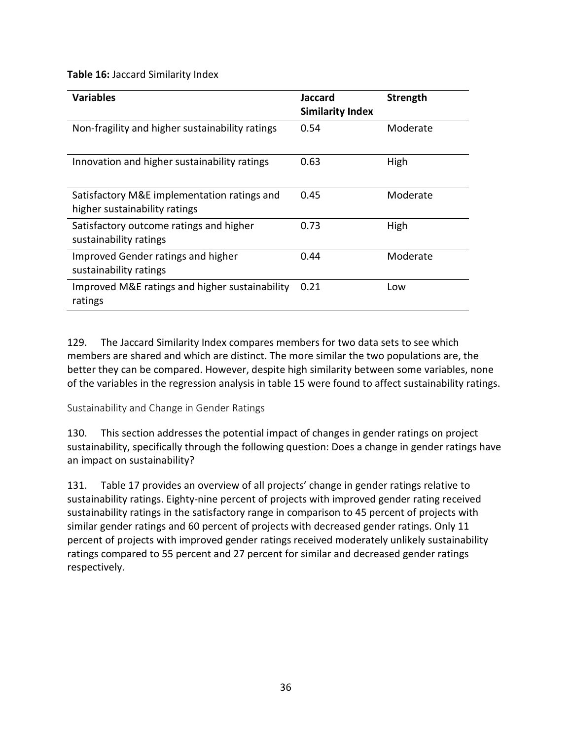<span id="page-44-1"></span>**Table 16:** Jaccard Similarity Index

| <b>Variables</b>                                                             | Jaccard<br><b>Similarity Index</b> | <b>Strength</b> |
|------------------------------------------------------------------------------|------------------------------------|-----------------|
| Non-fragility and higher sustainability ratings                              | 0.54                               | Moderate        |
| Innovation and higher sustainability ratings                                 | 0.63                               | High            |
| Satisfactory M&E implementation ratings and<br>higher sustainability ratings | 0.45                               | Moderate        |
| Satisfactory outcome ratings and higher<br>sustainability ratings            | 0.73                               | High            |
| Improved Gender ratings and higher<br>sustainability ratings                 | 0.44                               | Moderate        |
| Improved M&E ratings and higher sustainability<br>ratings                    | 0.21                               | Low             |

129. The Jaccard Similarity Index compares members for two data sets to see which members are shared and which are distinct. The more similar the two populations are, the better they can be compared. However, despite high similarity between some variables, none of the variables in the regression analysis in table 15 were found to affect sustainability ratings.

<span id="page-44-0"></span>Sustainability and Change in Gender Ratings

130. This section addresses the potential impact of changes in gender ratings on project sustainability, specifically through the following question: Does a change in gender ratings have an impact on sustainability?

131. Table 17 provides an overview of all projects' change in gender ratings relative to sustainability ratings. Eighty-nine percent of projects with improved gender rating received sustainability ratings in the satisfactory range in comparison to 45 percent of projects with similar gender ratings and 60 percent of projects with decreased gender ratings. Only 11 percent of projects with improved gender ratings received moderately unlikely sustainability ratings compared to 55 percent and 27 percent for similar and decreased gender ratings respectively.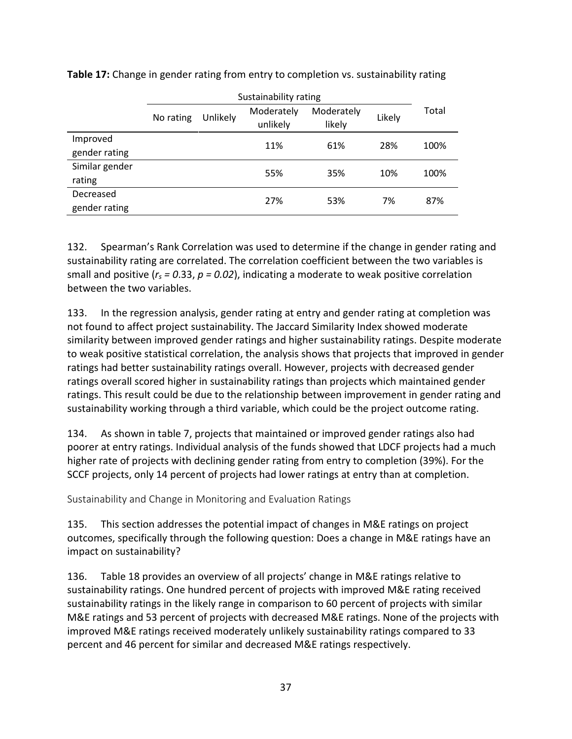|                            | Sustainability rating |          |                        |                      |        |       |  |  |
|----------------------------|-----------------------|----------|------------------------|----------------------|--------|-------|--|--|
|                            | No rating             | Unlikely | Moderately<br>unlikely | Moderately<br>likely | Likely | Total |  |  |
| Improved<br>gender rating  |                       |          | 11%                    | 61%                  | 28%    | 100%  |  |  |
| Similar gender<br>rating   |                       |          | 55%                    | 35%                  | 10%    | 100%  |  |  |
| Decreased<br>gender rating |                       |          | 27%                    | 53%                  | 7%     | 87%   |  |  |

<span id="page-45-1"></span>**Table 17:** Change in gender rating from entry to completion vs. sustainability rating

132. Spearman's Rank Correlation was used to determine if the change in gender rating and sustainability rating are correlated. The correlation coefficient between the two variables is small and positive (*rs = 0*.33, *p = 0.02*), indicating a moderate to weak positive correlation between the two variables.

133. In the regression analysis, gender rating at entry and gender rating at completion was not found to affect project sustainability. The Jaccard Similarity Index showed moderate similarity between improved gender ratings and higher sustainability ratings. Despite moderate to weak positive statistical correlation, the analysis shows that projects that improved in gender ratings had better sustainability ratings overall. However, projects with decreased gender ratings overall scored higher in sustainability ratings than projects which maintained gender ratings. This result could be due to the relationship between improvement in gender rating and sustainability working through a third variable, which could be the project outcome rating.

134. As shown in table 7, projects that maintained or improved gender ratings also had poorer at entry ratings. Individual analysis of the funds showed that LDCF projects had a much higher rate of projects with declining gender rating from entry to completion (39%). For the SCCF projects, only 14 percent of projects had lower ratings at entry than at completion.

<span id="page-45-0"></span>Sustainability and Change in Monitoring and Evaluation Ratings

135. This section addresses the potential impact of changes in M&E ratings on project outcomes, specifically through the following question: Does a change in M&E ratings have an impact on sustainability?

136. Table 18 provides an overview of all projects' change in M&E ratings relative to sustainability ratings. One hundred percent of projects with improved M&E rating received sustainability ratings in the likely range in comparison to 60 percent of projects with similar M&E ratings and 53 percent of projects with decreased M&E ratings. None of the projects with improved M&E ratings received moderately unlikely sustainability ratings compared to 33 percent and 46 percent for similar and decreased M&E ratings respectively.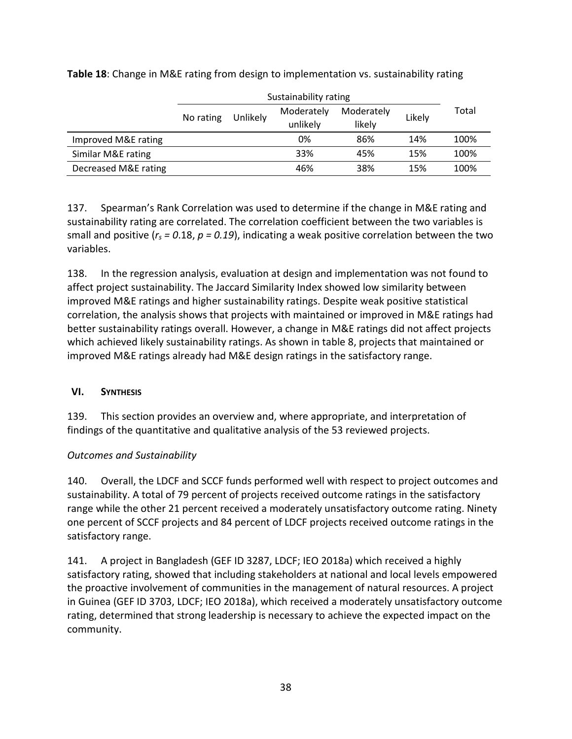|                      | No rating | Unlikely | Moderately<br>unlikely |     | Likely | Total |  |
|----------------------|-----------|----------|------------------------|-----|--------|-------|--|
| Improved M&E rating  |           |          | 0%                     | 86% | 14%    | 100%  |  |
| Similar M&E rating   |           |          | 33%                    | 45% | 15%    | 100%  |  |
| Decreased M&E rating |           |          | 46%                    | 38% | 15%    | 100%  |  |

<span id="page-46-1"></span>**Table 18**: Change in M&E rating from design to implementation vs. sustainability rating

137. Spearman's Rank Correlation was used to determine if the change in M&E rating and sustainability rating are correlated. The correlation coefficient between the two variables is small and positive (*rs = 0*.18, *p = 0.19*), indicating a weak positive correlation between the two variables.

138. In the regression analysis, evaluation at design and implementation was not found to affect project sustainability. The Jaccard Similarity Index showed low similarity between improved M&E ratings and higher sustainability ratings. Despite weak positive statistical correlation, the analysis shows that projects with maintained or improved in M&E ratings had better sustainability ratings overall. However, a change in M&E ratings did not affect projects which achieved likely sustainability ratings. As shown in table 8, projects that maintained or improved M&E ratings already had M&E design ratings in the satisfactory range.

#### <span id="page-46-0"></span>**VI. SYNTHESIS**

139. This section provides an overview and, where appropriate, and interpretation of findings of the quantitative and qualitative analysis of the 53 reviewed projects.

## *Outcomes and Sustainability*

140. Overall, the LDCF and SCCF funds performed well with respect to project outcomes and sustainability. A total of 79 percent of projects received outcome ratings in the satisfactory range while the other 21 percent received a moderately unsatisfactory outcome rating. Ninety one percent of SCCF projects and 84 percent of LDCF projects received outcome ratings in the satisfactory range.

141. A project in Bangladesh (GEF ID 3287, LDCF; IEO 2018a) which received a highly satisfactory rating, showed that including stakeholders at national and local levels empowered the proactive involvement of communities in the management of natural resources. A project in Guinea (GEF ID 3703, LDCF; IEO 2018a), which received a moderately unsatisfactory outcome rating, determined that strong leadership is necessary to achieve the expected impact on the community.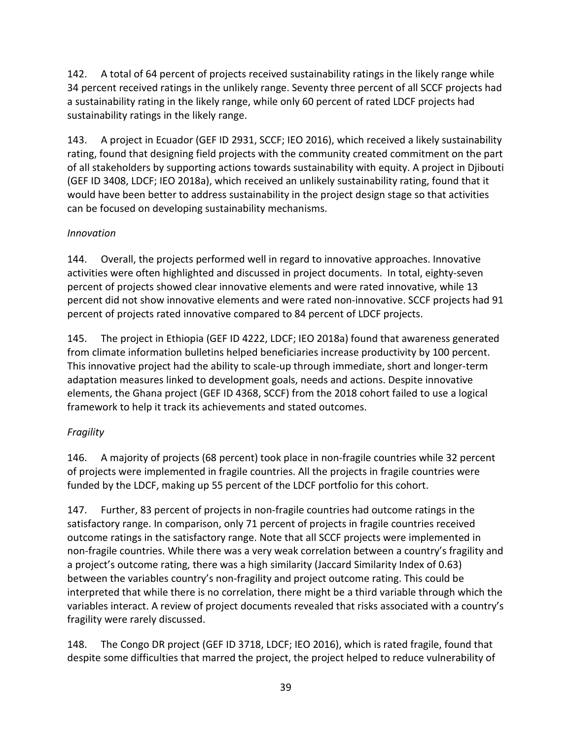142. A total of 64 percent of projects received sustainability ratings in the likely range while 34 percent received ratings in the unlikely range. Seventy three percent of all SCCF projects had a sustainability rating in the likely range, while only 60 percent of rated LDCF projects had sustainability ratings in the likely range.

143. A project in Ecuador (GEF ID 2931, SCCF; IEO 2016), which received a likely sustainability rating, found that designing field projects with the community created commitment on the part of all stakeholders by supporting actions towards sustainability with equity. A project in Djibouti (GEF ID 3408, LDCF; IEO 2018a), which received an unlikely sustainability rating, found that it would have been better to address sustainability in the project design stage so that activities can be focused on developing sustainability mechanisms.

## *Innovation*

144. Overall, the projects performed well in regard to innovative approaches. Innovative activities were often highlighted and discussed in project documents. In total, eighty-seven percent of projects showed clear innovative elements and were rated innovative, while 13 percent did not show innovative elements and were rated non-innovative. SCCF projects had 91 percent of projects rated innovative compared to 84 percent of LDCF projects.

145. The project in Ethiopia (GEF ID 4222, LDCF; IEO 2018a) found that awareness generated from climate information bulletins helped beneficiaries increase productivity by 100 percent. This innovative project had the ability to scale-up through immediate, short and longer-term adaptation measures linked to development goals, needs and actions. Despite innovative elements, the Ghana project (GEF ID 4368, SCCF) from the 2018 cohort failed to use a logical framework to help it track its achievements and stated outcomes.

## *Fragility*

146. A majority of projects (68 percent) took place in non-fragile countries while 32 percent of projects were implemented in fragile countries. All the projects in fragile countries were funded by the LDCF, making up 55 percent of the LDCF portfolio for this cohort.

147. Further, 83 percent of projects in non-fragile countries had outcome ratings in the satisfactory range. In comparison, only 71 percent of projects in fragile countries received outcome ratings in the satisfactory range. Note that all SCCF projects were implemented in non-fragile countries. While there was a very weak correlation between a country's fragility and a project's outcome rating, there was a high similarity (Jaccard Similarity Index of 0.63) between the variables country's non-fragility and project outcome rating. This could be interpreted that while there is no correlation, there might be a third variable through which the variables interact. A review of project documents revealed that risks associated with a country's fragility were rarely discussed.

148. The Congo DR project (GEF ID 3718, LDCF; IEO 2016), which is rated fragile, found that despite some difficulties that marred the project, the project helped to reduce vulnerability of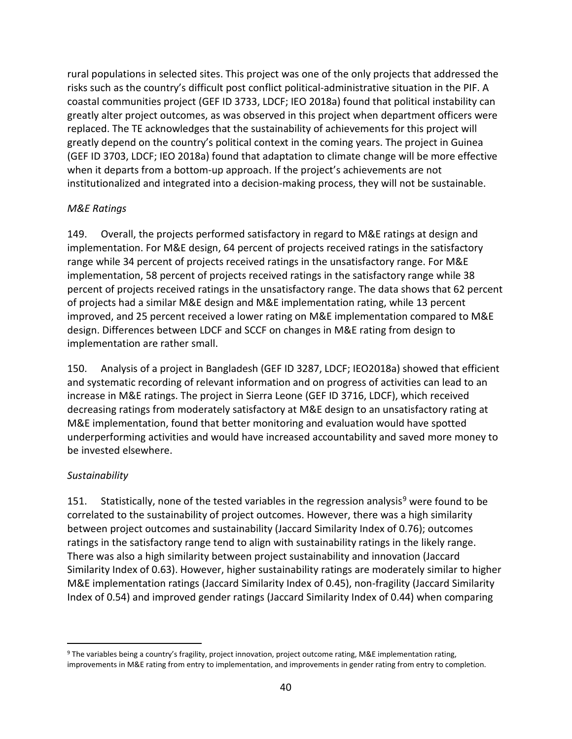rural populations in selected sites. This project was one of the only projects that addressed the risks such as the country's difficult post conflict political-administrative situation in the PIF. A coastal communities project (GEF ID 3733, LDCF; IEO 2018a) found that political instability can greatly alter project outcomes, as was observed in this project when department officers were replaced. The TE acknowledges that the sustainability of achievements for this project will greatly depend on the country's political context in the coming years. The project in Guinea (GEF ID 3703, LDCF; IEO 2018a) found that adaptation to climate change will be more effective when it departs from a bottom-up approach. If the project's achievements are not institutionalized and integrated into a decision-making process, they will not be sustainable.

#### *M&E Ratings*

149. Overall, the projects performed satisfactory in regard to M&E ratings at design and implementation. For M&E design, 64 percent of projects received ratings in the satisfactory range while 34 percent of projects received ratings in the unsatisfactory range. For M&E implementation, 58 percent of projects received ratings in the satisfactory range while 38 percent of projects received ratings in the unsatisfactory range. The data shows that 62 percent of projects had a similar M&E design and M&E implementation rating, while 13 percent improved, and 25 percent received a lower rating on M&E implementation compared to M&E design. Differences between LDCF and SCCF on changes in M&E rating from design to implementation are rather small.

150. Analysis of a project in Bangladesh (GEF ID 3287, LDCF; IEO2018a) showed that efficient and systematic recording of relevant information and on progress of activities can lead to an increase in M&E ratings. The project in Sierra Leone (GEF ID 3716, LDCF), which received decreasing ratings from moderately satisfactory at M&E design to an unsatisfactory rating at M&E implementation, found that better monitoring and evaluation would have spotted underperforming activities and would have increased accountability and saved more money to be invested elsewhere.

#### *Sustainability*

151. Statistically, none of the tested variables in the regression analysis<sup>[9](#page-48-0)</sup> were found to be correlated to the sustainability of project outcomes. However, there was a high similarity between project outcomes and sustainability (Jaccard Similarity Index of 0.76); outcomes ratings in the satisfactory range tend to align with sustainability ratings in the likely range. There was also a high similarity between project sustainability and innovation (Jaccard Similarity Index of 0.63). However, higher sustainability ratings are moderately similar to higher M&E implementation ratings (Jaccard Similarity Index of 0.45), non-fragility (Jaccard Similarity Index of 0.54) and improved gender ratings (Jaccard Similarity Index of 0.44) when comparing

<span id="page-48-0"></span> <sup>9</sup> The variables being a country's fragility, project innovation, project outcome rating, M&E implementation rating, improvements in M&E rating from entry to implementation, and improvements in gender rating from entry to completion.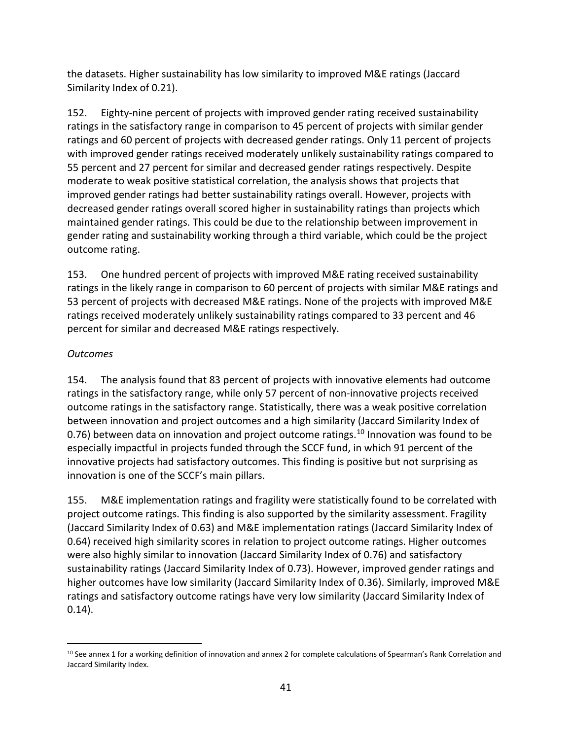the datasets. Higher sustainability has low similarity to improved M&E ratings (Jaccard Similarity Index of 0.21).

152. Eighty-nine percent of projects with improved gender rating received sustainability ratings in the satisfactory range in comparison to 45 percent of projects with similar gender ratings and 60 percent of projects with decreased gender ratings. Only 11 percent of projects with improved gender ratings received moderately unlikely sustainability ratings compared to 55 percent and 27 percent for similar and decreased gender ratings respectively. Despite moderate to weak positive statistical correlation, the analysis shows that projects that improved gender ratings had better sustainability ratings overall. However, projects with decreased gender ratings overall scored higher in sustainability ratings than projects which maintained gender ratings. This could be due to the relationship between improvement in gender rating and sustainability working through a third variable, which could be the project outcome rating.

153. One hundred percent of projects with improved M&E rating received sustainability ratings in the likely range in comparison to 60 percent of projects with similar M&E ratings and 53 percent of projects with decreased M&E ratings. None of the projects with improved M&E ratings received moderately unlikely sustainability ratings compared to 33 percent and 46 percent for similar and decreased M&E ratings respectively.

## *Outcomes*

154. The analysis found that 83 percent of projects with innovative elements had outcome ratings in the satisfactory range, while only 57 percent of non-innovative projects received outcome ratings in the satisfactory range. Statistically, there was a weak positive correlation between innovation and project outcomes and a high similarity (Jaccard Similarity Index of 0.76) between data on innovation and project outcome ratings.<sup>[10](#page-49-0)</sup> Innovation was found to be especially impactful in projects funded through the SCCF fund, in which 91 percent of the innovative projects had satisfactory outcomes. This finding is positive but not surprising as innovation is one of the SCCF's main pillars.

155. M&E implementation ratings and fragility were statistically found to be correlated with project outcome ratings. This finding is also supported by the similarity assessment. Fragility (Jaccard Similarity Index of 0.63) and M&E implementation ratings (Jaccard Similarity Index of 0.64) received high similarity scores in relation to project outcome ratings. Higher outcomes were also highly similar to innovation (Jaccard Similarity Index of 0.76) and satisfactory sustainability ratings (Jaccard Similarity Index of 0.73). However, improved gender ratings and higher outcomes have low similarity (Jaccard Similarity Index of 0.36). Similarly, improved M&E ratings and satisfactory outcome ratings have very low similarity (Jaccard Similarity Index of 0.14).

<span id="page-49-0"></span> <sup>10</sup> See annex 1 for a working definition of innovation and annex 2 for complete calculations of Spearman's Rank Correlation and Jaccard Similarity Index.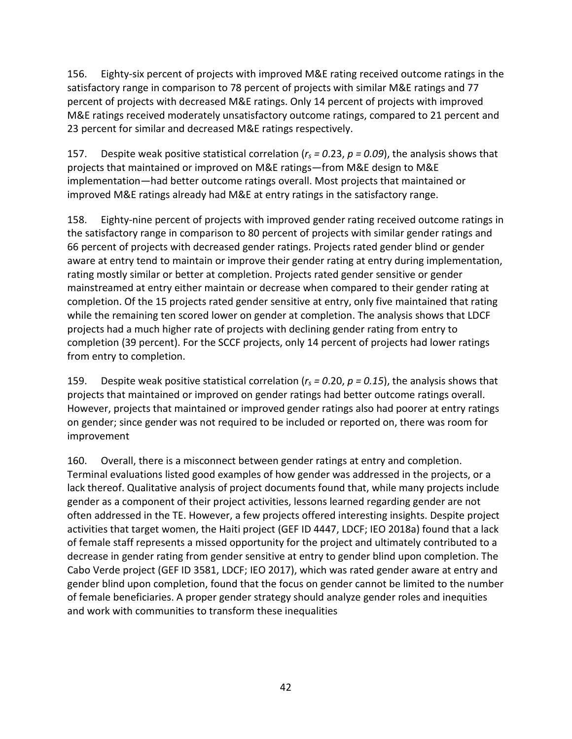156. Eighty-six percent of projects with improved M&E rating received outcome ratings in the satisfactory range in comparison to 78 percent of projects with similar M&E ratings and 77 percent of projects with decreased M&E ratings. Only 14 percent of projects with improved M&E ratings received moderately unsatisfactory outcome ratings, compared to 21 percent and 23 percent for similar and decreased M&E ratings respectively.

157. Despite weak positive statistical correlation ( $r_s$  = 0.23,  $p$  = 0.09), the analysis shows that projects that maintained or improved on M&E ratings—from M&E design to M&E implementation—had better outcome ratings overall. Most projects that maintained or improved M&E ratings already had M&E at entry ratings in the satisfactory range.

158. Eighty-nine percent of projects with improved gender rating received outcome ratings in the satisfactory range in comparison to 80 percent of projects with similar gender ratings and 66 percent of projects with decreased gender ratings. Projects rated gender blind or gender aware at entry tend to maintain or improve their gender rating at entry during implementation, rating mostly similar or better at completion. Projects rated gender sensitive or gender mainstreamed at entry either maintain or decrease when compared to their gender rating at completion. Of the 15 projects rated gender sensitive at entry, only five maintained that rating while the remaining ten scored lower on gender at completion. The analysis shows that LDCF projects had a much higher rate of projects with declining gender rating from entry to completion (39 percent). For the SCCF projects, only 14 percent of projects had lower ratings from entry to completion.

159. Despite weak positive statistical correlation (*rs = 0*.20, *p = 0.15*), the analysis shows that projects that maintained or improved on gender ratings had better outcome ratings overall. However, projects that maintained or improved gender ratings also had poorer at entry ratings on gender; since gender was not required to be included or reported on, there was room for improvement

160. Overall, there is a misconnect between gender ratings at entry and completion. Terminal evaluations listed good examples of how gender was addressed in the projects, or a lack thereof. Qualitative analysis of project documents found that, while many projects include gender as a component of their project activities, lessons learned regarding gender are not often addressed in the TE. However, a few projects offered interesting insights. Despite project activities that target women, the Haiti project (GEF ID 4447, LDCF; IEO 2018a) found that a lack of female staff represents a missed opportunity for the project and ultimately contributed to a decrease in gender rating from gender sensitive at entry to gender blind upon completion. The Cabo Verde project (GEF ID 3581, LDCF; IEO 2017), which was rated gender aware at entry and gender blind upon completion, found that the focus on gender cannot be limited to the number of female beneficiaries. A proper gender strategy should analyze gender roles and inequities and work with communities to transform these inequalities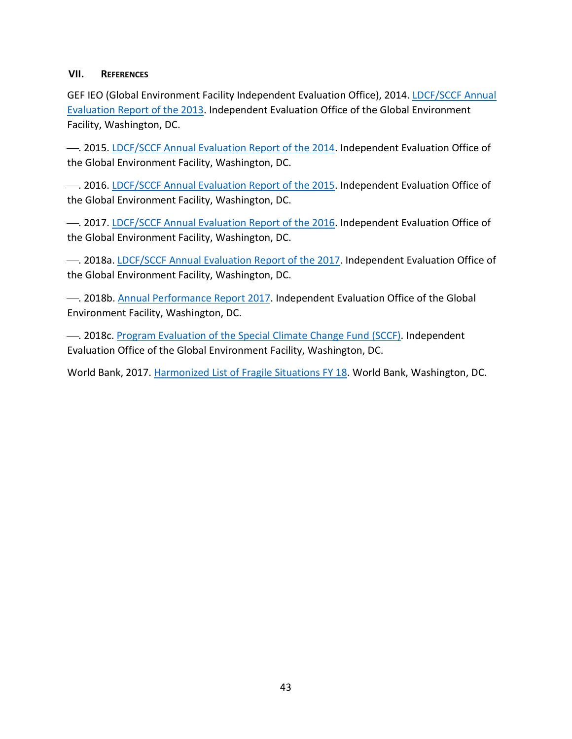#### <span id="page-51-0"></span>**VII. REFERENCES**

GEF IEO (Global Environment Facility Independent Evaluation Office), 2014. [LDCF/SCCF Annual](http://www.gefieo.org/council-documents/ldcfsccf-annual-evaluation-report-2013)  [Evaluation Report of the 2013.](http://www.gefieo.org/council-documents/ldcfsccf-annual-evaluation-report-2013) Independent Evaluation Office of the Global Environment Facility, Washington, DC.

. 2015. [LDCF/SCCF Annual Evaluation Report of the 2014.](http://www.gefieo.org/council-documents/ldcfsccf-annual-evaluation-report-2014) Independent Evaluation Office of the Global Environment Facility, Washington, DC.

. 2016. [LDCF/SCCF Annual Evaluation Report of the 2015.](http://www.gefieo.org/council-documents/ldcfsccf-annual-evaluation-report-2015) Independent Evaluation Office of the Global Environment Facility, Washington, DC.

- 2017. [LDCF/SCCF Annual Evaluation Report of the 2016.](http://www.gefieo.org/council-documents/ldcfsccf-annual-evaluation-report-2016) Independent Evaluation Office of the Global Environment Facility, Washington, DC.

. 2018a[. LDCF/SCCF Annual Evaluation Report of the 2017.](http://www.gefieo.org/council-documents/ldcfsccf-annual-evaluation-report-2017) Independent Evaluation Office of the Global Environment Facility, Washington, DC.

- 2018b. [Annual Performance Report 2017.](http://www.gefieo.org/council-documents/annual-performance-report-2017) Independent Evaluation Office of the Global Environment Facility, Washington, DC.

. 2018c. [Program Evaluation of the Special Climate Change Fund \(SCCF\).](http://www.gefieo.org/evaluations/program-evaluation-special-climate-change-fund-sccf-2017) Independent Evaluation Office of the Global Environment Facility, Washington, DC.

World Bank, 2017. [Harmonized List of Fragile Situations FY 18.](http://pubdocs.worldbank.org/en/189701503418416651/FY18FCSLIST-Final-July-2017.pdf) World Bank, Washington, DC.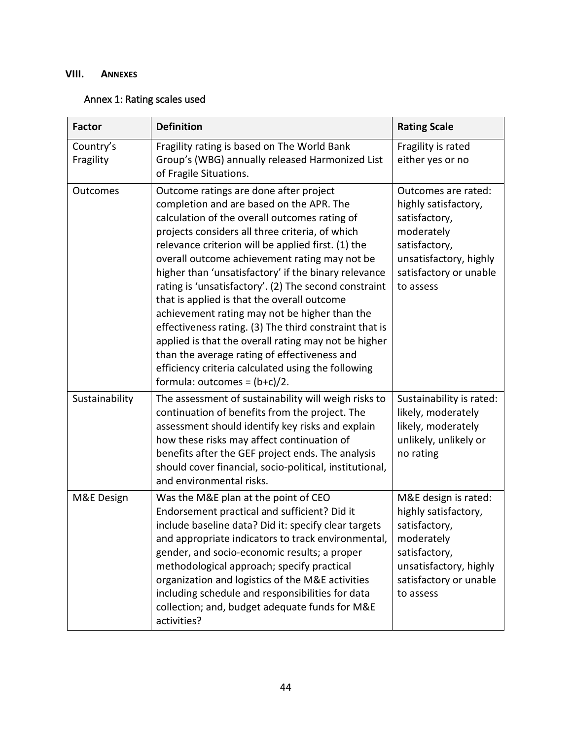## <span id="page-52-0"></span>**VIII. ANNEXES**

## <span id="page-52-1"></span>Annex 1: Rating scales used

| <b>Factor</b>          | <b>Definition</b>                                                                                                                                                                                                                                                                                                                                                                                                                                                                                                                                                                                                                                                                                                                                                         | <b>Rating Scale</b>                                                                                                                                           |
|------------------------|---------------------------------------------------------------------------------------------------------------------------------------------------------------------------------------------------------------------------------------------------------------------------------------------------------------------------------------------------------------------------------------------------------------------------------------------------------------------------------------------------------------------------------------------------------------------------------------------------------------------------------------------------------------------------------------------------------------------------------------------------------------------------|---------------------------------------------------------------------------------------------------------------------------------------------------------------|
| Country's<br>Fragility | Fragility rating is based on The World Bank<br>Group's (WBG) annually released Harmonized List<br>of Fragile Situations.                                                                                                                                                                                                                                                                                                                                                                                                                                                                                                                                                                                                                                                  | Fragility is rated<br>either yes or no                                                                                                                        |
| Outcomes               | Outcome ratings are done after project<br>completion and are based on the APR. The<br>calculation of the overall outcomes rating of<br>projects considers all three criteria, of which<br>relevance criterion will be applied first. (1) the<br>overall outcome achievement rating may not be<br>higher than 'unsatisfactory' if the binary relevance<br>rating is 'unsatisfactory'. (2) The second constraint<br>that is applied is that the overall outcome<br>achievement rating may not be higher than the<br>effectiveness rating. (3) The third constraint that is<br>applied is that the overall rating may not be higher<br>than the average rating of effectiveness and<br>efficiency criteria calculated using the following<br>formula: outcomes = $(b+c)/2$ . | Outcomes are rated:<br>highly satisfactory,<br>satisfactory,<br>moderately<br>satisfactory,<br>unsatisfactory, highly<br>satisfactory or unable<br>to assess  |
| Sustainability         | The assessment of sustainability will weigh risks to<br>continuation of benefits from the project. The<br>assessment should identify key risks and explain<br>how these risks may affect continuation of<br>benefits after the GEF project ends. The analysis<br>should cover financial, socio-political, institutional,<br>and environmental risks.                                                                                                                                                                                                                                                                                                                                                                                                                      | Sustainability is rated:<br>likely, moderately<br>likely, moderately<br>unlikely, unlikely or<br>no rating                                                    |
| M&E Design             | Was the M&E plan at the point of CEO<br>Endorsement practical and sufficient? Did it<br>include baseline data? Did it: specify clear targets<br>and appropriate indicators to track environmental,<br>gender, and socio-economic results; a proper<br>methodological approach; specify practical<br>organization and logistics of the M&E activities<br>including schedule and responsibilities for data<br>collection; and, budget adequate funds for M&E<br>activities?                                                                                                                                                                                                                                                                                                 | M&E design is rated:<br>highly satisfactory,<br>satisfactory,<br>moderately<br>satisfactory,<br>unsatisfactory, highly<br>satisfactory or unable<br>to assess |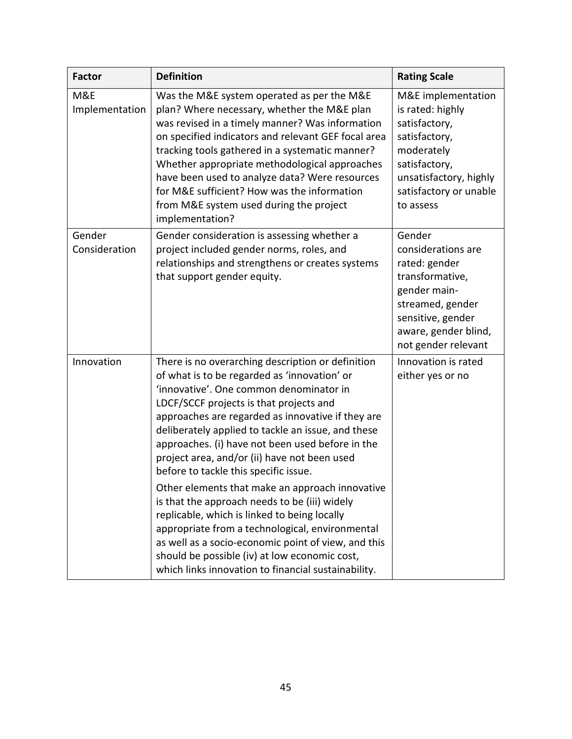<span id="page-53-0"></span>

| <b>Factor</b>           | <b>Definition</b>                                                                                                                                                                                                                                                                                                                                                                                                                                                                                                                                                                                                                                                                                                                                                                                                     | <b>Rating Scale</b>                                                                                                                                                      |
|-------------------------|-----------------------------------------------------------------------------------------------------------------------------------------------------------------------------------------------------------------------------------------------------------------------------------------------------------------------------------------------------------------------------------------------------------------------------------------------------------------------------------------------------------------------------------------------------------------------------------------------------------------------------------------------------------------------------------------------------------------------------------------------------------------------------------------------------------------------|--------------------------------------------------------------------------------------------------------------------------------------------------------------------------|
| M&E<br>Implementation   | Was the M&E system operated as per the M&E<br>plan? Where necessary, whether the M&E plan<br>was revised in a timely manner? Was information<br>on specified indicators and relevant GEF focal area<br>tracking tools gathered in a systematic manner?<br>Whether appropriate methodological approaches<br>have been used to analyze data? Were resources<br>for M&E sufficient? How was the information<br>from M&E system used during the project<br>implementation?                                                                                                                                                                                                                                                                                                                                                | M&E implementation<br>is rated: highly<br>satisfactory,<br>satisfactory,<br>moderately<br>satisfactory,<br>unsatisfactory, highly<br>satisfactory or unable<br>to assess |
| Gender<br>Consideration | Gender consideration is assessing whether a<br>project included gender norms, roles, and<br>relationships and strengthens or creates systems<br>that support gender equity.                                                                                                                                                                                                                                                                                                                                                                                                                                                                                                                                                                                                                                           | Gender<br>considerations are<br>rated: gender<br>transformative,<br>gender main-<br>streamed, gender<br>sensitive, gender<br>aware, gender blind,<br>not gender relevant |
| Innovation              | There is no overarching description or definition<br>of what is to be regarded as 'innovation' or<br>'innovative'. One common denominator in<br>LDCF/SCCF projects is that projects and<br>approaches are regarded as innovative if they are<br>deliberately applied to tackle an issue, and these<br>approaches. (i) have not been used before in the<br>project area, and/or (ii) have not been used<br>before to tackle this specific issue.<br>Other elements that make an approach innovative<br>is that the approach needs to be (iii) widely<br>replicable, which is linked to being locally<br>appropriate from a technological, environmental<br>as well as a socio-economic point of view, and this<br>should be possible (iv) at low economic cost,<br>which links innovation to financial sustainability. | Innovation is rated<br>either yes or no                                                                                                                                  |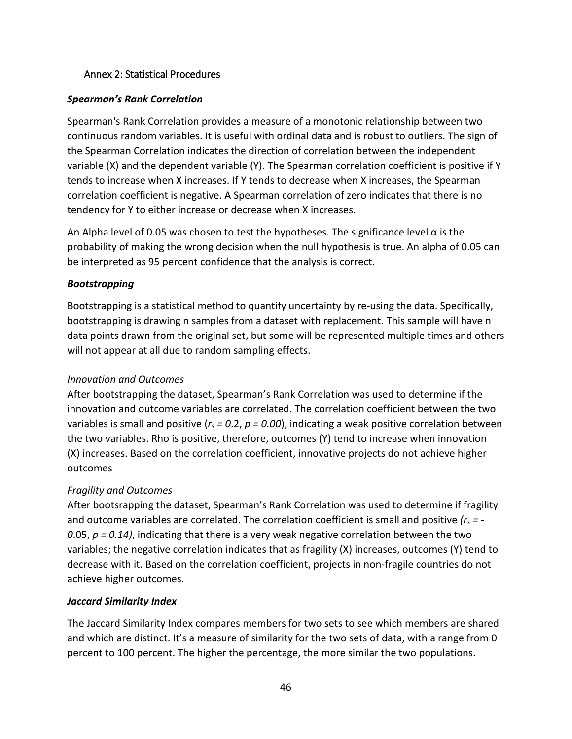#### Annex 2: Statistical Procedures

### *Spearman's Rank Correlation*

Spearman's Rank Correlation provides a measure of a monotonic relationship between two continuous random variables. It is useful with ordinal data and is robust to outliers. The sign of the Spearman Correlation indicates the direction of correlation between the independent variable (X) and the dependent variable (Y). The Spearman correlation coefficient is positive if Y tends to increase when X increases. If Y tends to decrease when X increases, the Spearman correlation coefficient is negative. A Spearman correlation of zero indicates that there is no tendency for Y to either increase or decrease when X increases.

An Alpha level of 0.05 was chosen to test the hypotheses. The significance level  $\alpha$  is the probability of making the wrong decision when the [null hypothesis](https://www.statisticshowto.datasciencecentral.com/probability-and-statistics/null-hypothesis/) is true. An alpha of 0.05 can be interpreted as 95 percent confidence that the analysis is correct.

### *Bootstrapping*

Bootstrapping is a statistical method to quantify uncertainty by re-using the data. Specifically, bootstrapping is drawing n samples from a dataset with replacement. This sample will have n data points drawn from the original set, but some will be represented multiple times and others will not appear at all due to random sampling effects.

## *Innovation and Outcomes*

After bootstrapping the dataset, Spearman's Rank Correlation was used to determine if the innovation and outcome variables are correlated. The correlation coefficient between the two variables is small and positive (*rs = 0*.2, *p = 0.00*), indicating a weak positive correlation between the two variables. Rho is positive, therefore, outcomes (Y) tend to increase when innovation (X) increases. Based on the correlation coefficient, innovative projects do not achieve higher outcomes

## *Fragility and Outcomes*

After bootsrapping the dataset, Spearman's Rank Correlation was used to determine if fragility and outcome variables are correlated. The correlation coefficient is small and positive *(rs = - 0*.05, *p = 0.14)*, indicating that there is a very weak negative correlation between the two variables; the negative correlation indicates that as fragility (X) increases, outcomes (Y) tend to decrease with it. Based on the correlation coefficient, projects in non-fragile countries do not achieve higher outcomes.

#### *Jaccard Similarity Index*

The Jaccard Similarity Index compares members for two sets to see which members are shared and which are distinct. It's a measure of similarity for the two sets of data, with a range from 0 percent to 100 percent. The higher the percentage, the more similar the two populations.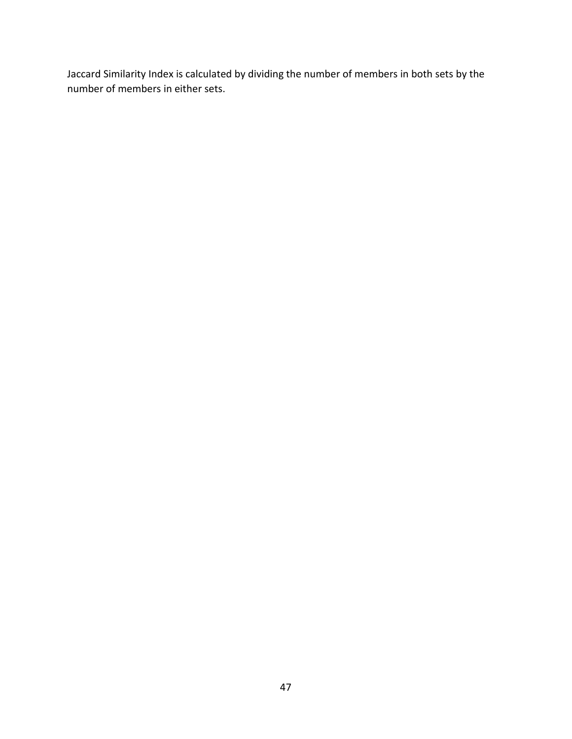Jaccard Similarity Index is calculated by dividing the number of members in both sets by the number of members in either sets.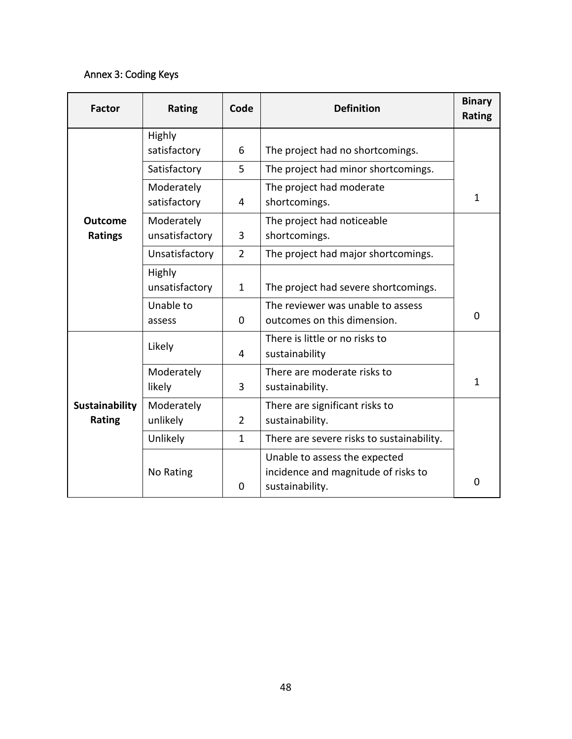# <span id="page-56-0"></span>Annex 3: Coding Keys

| <b>Factor</b>                    | Rating                       | Code           | <b>Definition</b>                                                                       | <b>Binary</b><br><b>Rating</b> |
|----------------------------------|------------------------------|----------------|-----------------------------------------------------------------------------------------|--------------------------------|
|                                  | Highly<br>satisfactory       | 6              | The project had no shortcomings.                                                        |                                |
|                                  | Satisfactory                 | 5              | The project had minor shortcomings.                                                     |                                |
|                                  | Moderately<br>satisfactory   | 4              | The project had moderate<br>shortcomings.                                               | $\mathbf{1}$                   |
| <b>Outcome</b><br><b>Ratings</b> | Moderately<br>unsatisfactory | 3              | The project had noticeable<br>shortcomings.                                             |                                |
|                                  | Unsatisfactory               | $\overline{2}$ | The project had major shortcomings.                                                     |                                |
|                                  | Highly<br>unsatisfactory     | $\mathbf{1}$   | The project had severe shortcomings.                                                    |                                |
|                                  | Unable to<br>assess          | 0              | The reviewer was unable to assess<br>outcomes on this dimension.                        | $\Omega$                       |
|                                  | Likely                       | 4              | There is little or no risks to<br>sustainability                                        |                                |
|                                  | Moderately<br>likely         | 3              | There are moderate risks to<br>sustainability.                                          | $\mathbf{1}$                   |
| Sustainability<br>Rating         | Moderately<br>unlikely<br>2  |                | There are significant risks to<br>sustainability.                                       |                                |
|                                  | Unlikely                     | $\mathbf{1}$   | There are severe risks to sustainability.                                               |                                |
|                                  | No Rating                    | 0              | Unable to assess the expected<br>incidence and magnitude of risks to<br>sustainability. | 0                              |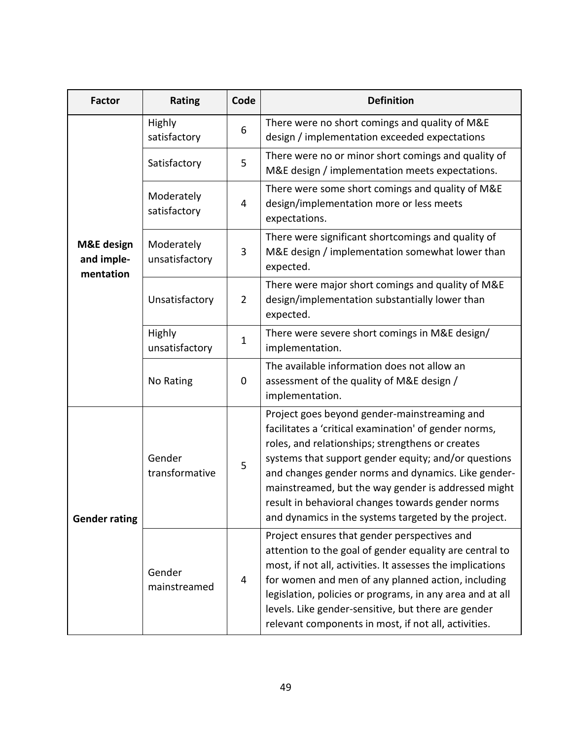| <b>Factor</b>                                    | <b>Rating</b>                | Code           | <b>Definition</b>                                                                                                                                                                                                                                                                                                                                                                                                                            |
|--------------------------------------------------|------------------------------|----------------|----------------------------------------------------------------------------------------------------------------------------------------------------------------------------------------------------------------------------------------------------------------------------------------------------------------------------------------------------------------------------------------------------------------------------------------------|
|                                                  | Highly<br>satisfactory       | 6              | There were no short comings and quality of M&E<br>design / implementation exceeded expectations                                                                                                                                                                                                                                                                                                                                              |
|                                                  | Satisfactory                 | 5              | There were no or minor short comings and quality of<br>M&E design / implementation meets expectations.                                                                                                                                                                                                                                                                                                                                       |
|                                                  | Moderately<br>satisfactory   | 4              | There were some short comings and quality of M&E<br>design/implementation more or less meets<br>expectations.                                                                                                                                                                                                                                                                                                                                |
| <b>M&amp;E</b> design<br>and imple-<br>mentation | Moderately<br>unsatisfactory | 3              | There were significant shortcomings and quality of<br>M&E design / implementation somewhat lower than<br>expected.                                                                                                                                                                                                                                                                                                                           |
|                                                  | Unsatisfactory               | $\overline{2}$ | There were major short comings and quality of M&E<br>design/implementation substantially lower than<br>expected.                                                                                                                                                                                                                                                                                                                             |
|                                                  | Highly<br>unsatisfactory     | 1              | There were severe short comings in M&E design/<br>implementation.                                                                                                                                                                                                                                                                                                                                                                            |
|                                                  | No Rating                    | $\mathbf 0$    | The available information does not allow an<br>assessment of the quality of M&E design /<br>implementation.                                                                                                                                                                                                                                                                                                                                  |
| <b>Gender rating</b>                             | Gender<br>transformative     | 5              | Project goes beyond gender-mainstreaming and<br>facilitates a 'critical examination' of gender norms,<br>roles, and relationships; strengthens or creates<br>systems that support gender equity; and/or questions<br>and changes gender norms and dynamics. Like gender-<br>mainstreamed, but the way gender is addressed might<br>result in behavioral changes towards gender norms<br>and dynamics in the systems targeted by the project. |
|                                                  | Gender<br>4<br>mainstreamed  |                | Project ensures that gender perspectives and<br>attention to the goal of gender equality are central to<br>most, if not all, activities. It assesses the implications<br>for women and men of any planned action, including<br>legislation, policies or programs, in any area and at all<br>levels. Like gender-sensitive, but there are gender<br>relevant components in most, if not all, activities.                                      |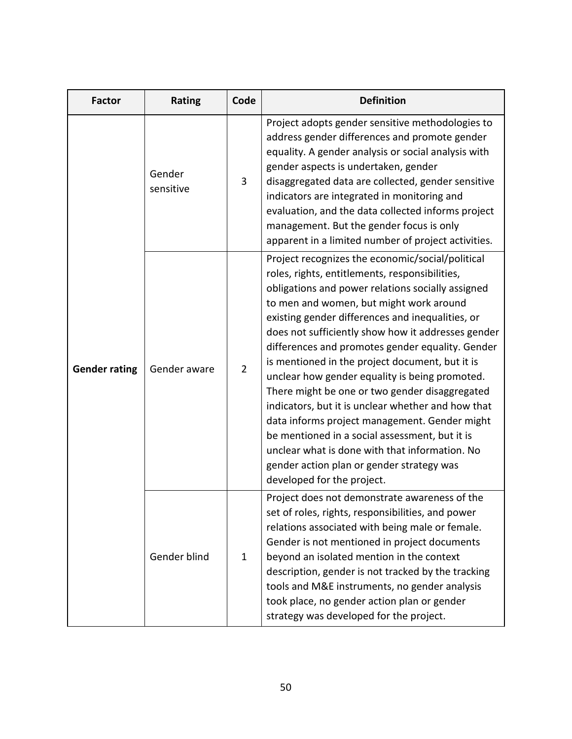| <b>Factor</b>        | Rating                         | Code | <b>Definition</b>                                                                                                                                                                                                                                                                                                                                                                                                                                                                                                                                                                                                                                                                                                                                                                                             |
|----------------------|--------------------------------|------|---------------------------------------------------------------------------------------------------------------------------------------------------------------------------------------------------------------------------------------------------------------------------------------------------------------------------------------------------------------------------------------------------------------------------------------------------------------------------------------------------------------------------------------------------------------------------------------------------------------------------------------------------------------------------------------------------------------------------------------------------------------------------------------------------------------|
| <b>Gender rating</b> | Gender<br>sensitive            | 3    | Project adopts gender sensitive methodologies to<br>address gender differences and promote gender<br>equality. A gender analysis or social analysis with<br>gender aspects is undertaken, gender<br>disaggregated data are collected, gender sensitive<br>indicators are integrated in monitoring and<br>evaluation, and the data collected informs project<br>management. But the gender focus is only<br>apparent in a limited number of project activities.                                                                                                                                                                                                                                                                                                                                                |
|                      | Gender aware<br>$\overline{2}$ |      | Project recognizes the economic/social/political<br>roles, rights, entitlements, responsibilities,<br>obligations and power relations socially assigned<br>to men and women, but might work around<br>existing gender differences and inequalities, or<br>does not sufficiently show how it addresses gender<br>differences and promotes gender equality. Gender<br>is mentioned in the project document, but it is<br>unclear how gender equality is being promoted.<br>There might be one or two gender disaggregated<br>indicators, but it is unclear whether and how that<br>data informs project management. Gender might<br>be mentioned in a social assessment, but it is<br>unclear what is done with that information. No<br>gender action plan or gender strategy was<br>developed for the project. |
|                      | Gender blind                   | 1    | Project does not demonstrate awareness of the<br>set of roles, rights, responsibilities, and power<br>relations associated with being male or female.<br>Gender is not mentioned in project documents<br>beyond an isolated mention in the context<br>description, gender is not tracked by the tracking<br>tools and M&E instruments, no gender analysis<br>took place, no gender action plan or gender<br>strategy was developed for the project.                                                                                                                                                                                                                                                                                                                                                           |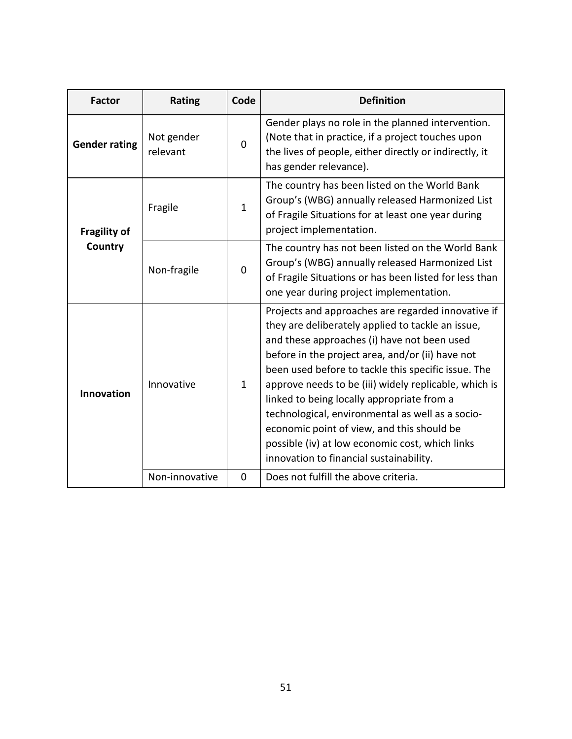| <b>Factor</b>        | <b>Rating</b>           | Code | <b>Definition</b>                                                                                                                                                                                                                                                                                                                                                                                                                                                                                                                                                        |  |
|----------------------|-------------------------|------|--------------------------------------------------------------------------------------------------------------------------------------------------------------------------------------------------------------------------------------------------------------------------------------------------------------------------------------------------------------------------------------------------------------------------------------------------------------------------------------------------------------------------------------------------------------------------|--|
| <b>Gender rating</b> | Not gender<br>relevant  | 0    | Gender plays no role in the planned intervention.<br>(Note that in practice, if a project touches upon<br>the lives of people, either directly or indirectly, it<br>has gender relevance).                                                                                                                                                                                                                                                                                                                                                                               |  |
| <b>Fragility of</b>  | Fragile                 | 1    | The country has been listed on the World Bank<br>Group's (WBG) annually released Harmonized List<br>of Fragile Situations for at least one year during<br>project implementation.                                                                                                                                                                                                                                                                                                                                                                                        |  |
| Country              | Non-fragile<br>$\Omega$ |      | The country has not been listed on the World Bank<br>Group's (WBG) annually released Harmonized List<br>of Fragile Situations or has been listed for less than<br>one year during project implementation.                                                                                                                                                                                                                                                                                                                                                                |  |
| <b>Innovation</b>    | Innovative              | 1    | Projects and approaches are regarded innovative if<br>they are deliberately applied to tackle an issue,<br>and these approaches (i) have not been used<br>before in the project area, and/or (ii) have not<br>been used before to tackle this specific issue. The<br>approve needs to be (iii) widely replicable, which is<br>linked to being locally appropriate from a<br>technological, environmental as well as a socio-<br>economic point of view, and this should be<br>possible (iv) at low economic cost, which links<br>innovation to financial sustainability. |  |
|                      | Non-innovative          | 0    | Does not fulfill the above criteria.                                                                                                                                                                                                                                                                                                                                                                                                                                                                                                                                     |  |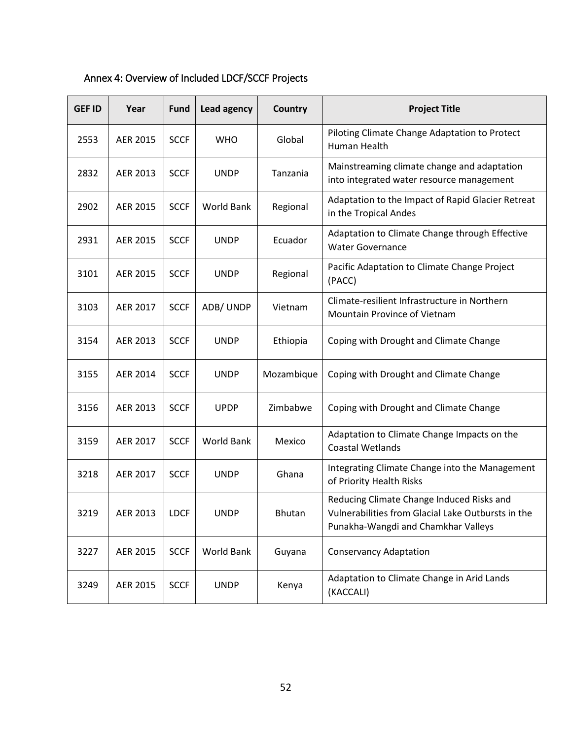| <b>GEF ID</b> | Year            | Fund        | Lead agency       | Country    | <b>Project Title</b>                                                                                                                   |
|---------------|-----------------|-------------|-------------------|------------|----------------------------------------------------------------------------------------------------------------------------------------|
| 2553          | <b>AER 2015</b> | <b>SCCF</b> | <b>WHO</b>        | Global     | Piloting Climate Change Adaptation to Protect<br>Human Health                                                                          |
| 2832          | AER 2013        | <b>SCCF</b> | <b>UNDP</b>       | Tanzania   | Mainstreaming climate change and adaptation<br>into integrated water resource management                                               |
| 2902          | <b>AER 2015</b> | <b>SCCF</b> | World Bank        | Regional   | Adaptation to the Impact of Rapid Glacier Retreat<br>in the Tropical Andes                                                             |
| 2931          | <b>AER 2015</b> | <b>SCCF</b> | <b>UNDP</b>       | Ecuador    | Adaptation to Climate Change through Effective<br><b>Water Governance</b>                                                              |
| 3101          | <b>AER 2015</b> | <b>SCCF</b> | <b>UNDP</b>       | Regional   | Pacific Adaptation to Climate Change Project<br>(PACC)                                                                                 |
| 3103          | AER 2017        | <b>SCCF</b> | ADB/UNDP          | Vietnam    | Climate-resilient Infrastructure in Northern<br>Mountain Province of Vietnam                                                           |
| 3154          | AER 2013        | <b>SCCF</b> | <b>UNDP</b>       | Ethiopia   | Coping with Drought and Climate Change                                                                                                 |
| 3155          | <b>AER 2014</b> | <b>SCCF</b> | <b>UNDP</b>       | Mozambique | Coping with Drought and Climate Change                                                                                                 |
| 3156          | AER 2013        | <b>SCCF</b> | <b>UPDP</b>       | Zimbabwe   | Coping with Drought and Climate Change                                                                                                 |
| 3159          | AER 2017        | <b>SCCF</b> | <b>World Bank</b> | Mexico     | Adaptation to Climate Change Impacts on the<br><b>Coastal Wetlands</b>                                                                 |
| 3218          | <b>AER 2017</b> | <b>SCCF</b> | <b>UNDP</b>       | Ghana      | Integrating Climate Change into the Management<br>of Priority Health Risks                                                             |
| 3219          | AER 2013        | <b>LDCF</b> | <b>UNDP</b>       | Bhutan     | Reducing Climate Change Induced Risks and<br>Vulnerabilities from Glacial Lake Outbursts in the<br>Punakha-Wangdi and Chamkhar Valleys |
| 3227          | AER 2015        | <b>SCCF</b> | World Bank        | Guyana     | <b>Conservancy Adaptation</b>                                                                                                          |
| 3249          | AER 2015        | <b>SCCF</b> | <b>UNDP</b>       | Kenya      | Adaptation to Climate Change in Arid Lands<br>(KACCALI)                                                                                |

# <span id="page-60-0"></span>Annex 4: Overview of Included LDCF/SCCF Projects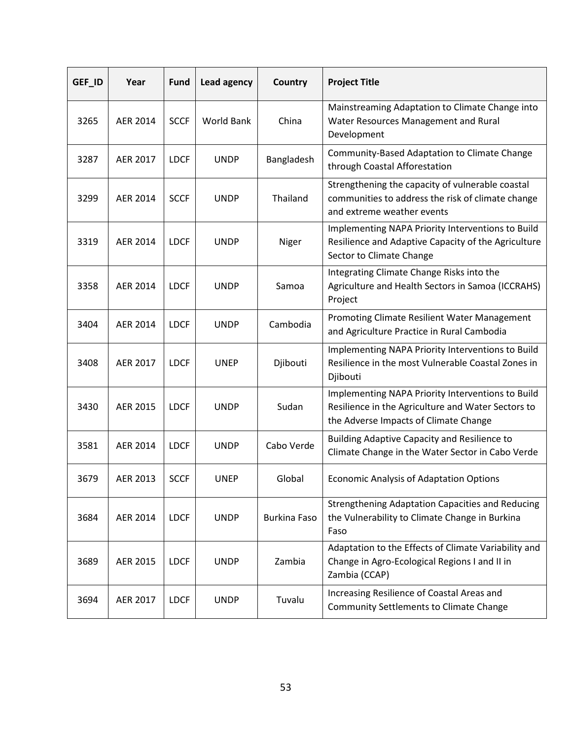| GEF_ID | Year            | <b>Fund</b> | Lead agency       | Country             | <b>Project Title</b>                                                                                                                             |
|--------|-----------------|-------------|-------------------|---------------------|--------------------------------------------------------------------------------------------------------------------------------------------------|
| 3265   | AER 2014        | <b>SCCF</b> | <b>World Bank</b> | China               | Mainstreaming Adaptation to Climate Change into<br>Water Resources Management and Rural<br>Development                                           |
| 3287   | AER 2017        | <b>LDCF</b> | <b>UNDP</b>       | Bangladesh          | Community-Based Adaptation to Climate Change<br>through Coastal Afforestation                                                                    |
| 3299   | AER 2014        | <b>SCCF</b> | <b>UNDP</b>       | Thailand            | Strengthening the capacity of vulnerable coastal<br>communities to address the risk of climate change<br>and extreme weather events              |
| 3319   | AER 2014        | <b>LDCF</b> | <b>UNDP</b>       | Niger               | Implementing NAPA Priority Interventions to Build<br>Resilience and Adaptive Capacity of the Agriculture<br>Sector to Climate Change             |
| 3358   | AER 2014        | <b>LDCF</b> | <b>UNDP</b>       | Samoa               | Integrating Climate Change Risks into the<br>Agriculture and Health Sectors in Samoa (ICCRAHS)<br>Project                                        |
| 3404   | <b>AER 2014</b> | <b>LDCF</b> | <b>UNDP</b>       | Cambodia            | Promoting Climate Resilient Water Management<br>and Agriculture Practice in Rural Cambodia                                                       |
| 3408   | AER 2017        | <b>LDCF</b> | <b>UNEP</b>       | Djibouti            | Implementing NAPA Priority Interventions to Build<br>Resilience in the most Vulnerable Coastal Zones in<br>Djibouti                              |
| 3430   | AER 2015        | <b>LDCF</b> | <b>UNDP</b>       | Sudan               | Implementing NAPA Priority Interventions to Build<br>Resilience in the Agriculture and Water Sectors to<br>the Adverse Impacts of Climate Change |
| 3581   | AER 2014        | <b>LDCF</b> | <b>UNDP</b>       | Cabo Verde          | Building Adaptive Capacity and Resilience to<br>Climate Change in the Water Sector in Cabo Verde                                                 |
| 3679   | AER 2013        | <b>SCCF</b> | <b>UNEP</b>       | Global              | <b>Economic Analysis of Adaptation Options</b>                                                                                                   |
| 3684   | AER 2014        | <b>LDCF</b> | <b>UNDP</b>       | <b>Burkina Faso</b> | <b>Strengthening Adaptation Capacities and Reducing</b><br>the Vulnerability to Climate Change in Burkina<br>Faso                                |
| 3689   | AER 2015        | <b>LDCF</b> | <b>UNDP</b>       | Zambia              | Adaptation to the Effects of Climate Variability and<br>Change in Agro-Ecological Regions I and II in<br>Zambia (CCAP)                           |
| 3694   | AER 2017        | <b>LDCF</b> | <b>UNDP</b>       | Tuvalu              | Increasing Resilience of Coastal Areas and<br><b>Community Settlements to Climate Change</b>                                                     |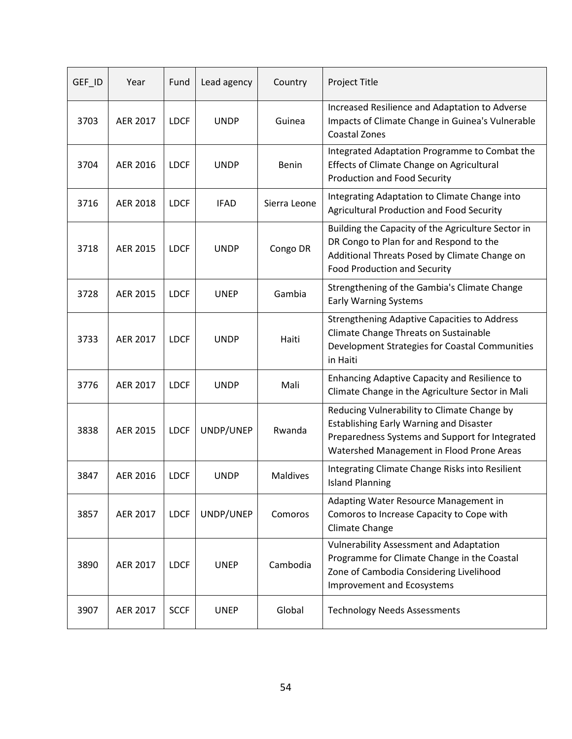| GEF_ID | Year            | Fund        | Lead agency | Country         | Project Title                                                                                                                                                                                 |
|--------|-----------------|-------------|-------------|-----------------|-----------------------------------------------------------------------------------------------------------------------------------------------------------------------------------------------|
| 3703   | AER 2017        | <b>LDCF</b> | <b>UNDP</b> | Guinea          | Increased Resilience and Adaptation to Adverse<br>Impacts of Climate Change in Guinea's Vulnerable<br><b>Coastal Zones</b>                                                                    |
| 3704   | AER 2016        | <b>LDCF</b> | <b>UNDP</b> | Benin           | Integrated Adaptation Programme to Combat the<br>Effects of Climate Change on Agricultural<br><b>Production and Food Security</b>                                                             |
| 3716   | AER 2018        | <b>LDCF</b> | <b>IFAD</b> | Sierra Leone    | Integrating Adaptation to Climate Change into<br>Agricultural Production and Food Security                                                                                                    |
| 3718   | AER 2015        | <b>LDCF</b> | <b>UNDP</b> | Congo DR        | Building the Capacity of the Agriculture Sector in<br>DR Congo to Plan for and Respond to the<br>Additional Threats Posed by Climate Change on<br><b>Food Production and Security</b>         |
| 3728   | AER 2015        | <b>LDCF</b> | <b>UNEP</b> | Gambia          | Strengthening of the Gambia's Climate Change<br><b>Early Warning Systems</b>                                                                                                                  |
| 3733   | <b>AER 2017</b> | <b>LDCF</b> | <b>UNDP</b> | Haiti           | <b>Strengthening Adaptive Capacities to Address</b><br>Climate Change Threats on Sustainable<br>Development Strategies for Coastal Communities<br>in Haiti                                    |
| 3776   | AER 2017        | <b>LDCF</b> | <b>UNDP</b> | Mali            | Enhancing Adaptive Capacity and Resilience to<br>Climate Change in the Agriculture Sector in Mali                                                                                             |
| 3838   | AER 2015        | <b>LDCF</b> | UNDP/UNEP   | Rwanda          | Reducing Vulnerability to Climate Change by<br><b>Establishing Early Warning and Disaster</b><br>Preparedness Systems and Support for Integrated<br>Watershed Management in Flood Prone Areas |
| 3847   | AER 2016        | <b>LDCF</b> | <b>UNDP</b> | <b>Maldives</b> | Integrating Climate Change Risks into Resilient<br><b>Island Planning</b>                                                                                                                     |
| 3857   | AER 2017        | <b>LDCF</b> | UNDP/UNEP   | Comoros         | Adapting Water Resource Management in<br>Comoros to Increase Capacity to Cope with<br>Climate Change                                                                                          |
| 3890   | AER 2017        | <b>LDCF</b> | <b>UNEP</b> | Cambodia        | <b>Vulnerability Assessment and Adaptation</b><br>Programme for Climate Change in the Coastal<br>Zone of Cambodia Considering Livelihood<br><b>Improvement and Ecosystems</b>                 |
| 3907   | AER 2017        | <b>SCCF</b> | <b>UNEP</b> | Global          | <b>Technology Needs Assessments</b>                                                                                                                                                           |